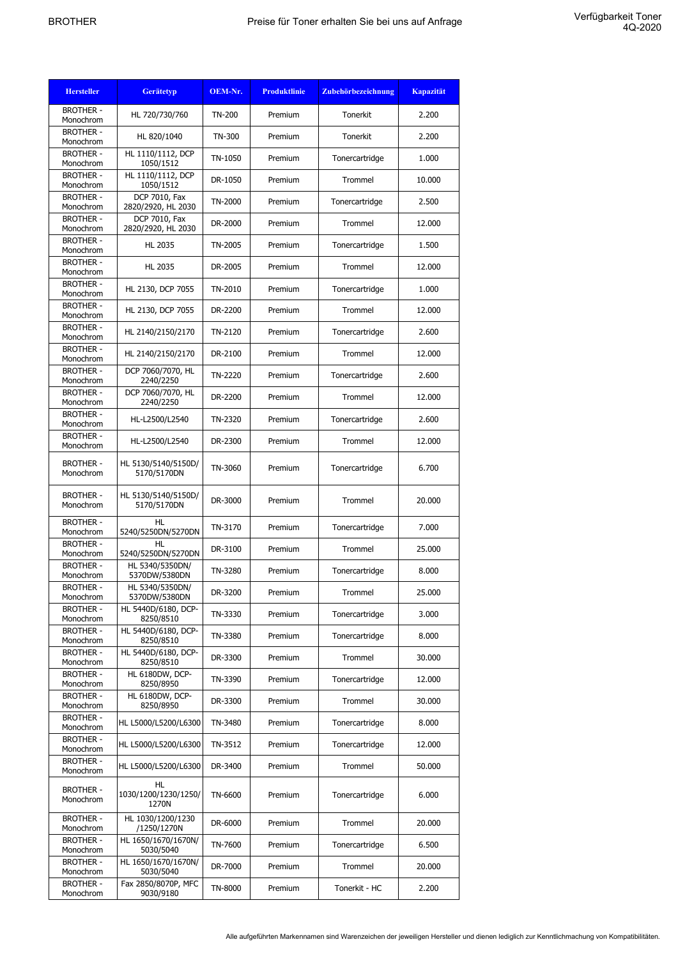| <b>Hersteller</b>             | <b>Gerätetyp</b>                    | OEM-Nr. | <b>Produktlinie</b> | Zubehörbezeichnung | <b>Kapazität</b> |
|-------------------------------|-------------------------------------|---------|---------------------|--------------------|------------------|
| <b>BROTHER -</b><br>Monochrom | HL 720/730/760                      | TN-200  | Premium             | Tonerkit           | 2.200            |
| <b>BROTHER -</b><br>Monochrom | HL 820/1040                         | TN-300  | Premium             | Tonerkit           | 2.200            |
| <b>BROTHER -</b><br>Monochrom | HL 1110/1112, DCP<br>1050/1512      | TN-1050 | Premium             | Tonercartridge     | 1.000            |
| <b>BROTHER -</b><br>Monochrom | HL 1110/1112, DCP<br>1050/1512      | DR-1050 | Premium             | Trommel            | 10.000           |
| <b>BROTHER -</b><br>Monochrom | DCP 7010, Fax<br>2820/2920, HL 2030 | TN-2000 | Premium             | Tonercartridge     | 2.500            |
| <b>BROTHER -</b><br>Monochrom | DCP 7010, Fax<br>2820/2920, HL 2030 | DR-2000 | Premium             | Trommel            | 12.000           |
| <b>BROTHER -</b><br>Monochrom | <b>HL 2035</b>                      | TN-2005 | Premium             | Tonercartridge     | 1.500            |
| <b>BROTHER -</b><br>Monochrom | <b>HL 2035</b>                      | DR-2005 | Premium             | Trommel            | 12.000           |
| <b>BROTHER -</b><br>Monochrom | HL 2130, DCP 7055                   | TN-2010 | Premium             | Tonercartridge     | 1.000            |
| <b>BROTHER -</b><br>Monochrom | HL 2130, DCP 7055                   | DR-2200 | Premium             | Trommel            | 12.000           |
| <b>BROTHER -</b><br>Monochrom | HL 2140/2150/2170                   | TN-2120 | Premium             | Tonercartridge     | 2.600            |
| <b>BROTHER -</b><br>Monochrom | HL 2140/2150/2170                   | DR-2100 | Premium             | Trommel            | 12.000           |
| <b>BROTHER -</b><br>Monochrom | DCP 7060/7070, HL<br>2240/2250      | TN-2220 | Premium             | Tonercartridge     | 2.600            |
| <b>BROTHER -</b><br>Monochrom | DCP 7060/7070, HL<br>2240/2250      | DR-2200 | Premium             | Trommel            | 12.000           |
| <b>BROTHER -</b><br>Monochrom | HL-L2500/L2540                      | TN-2320 | Premium             | Tonercartridge     | 2.600            |
| <b>BROTHER -</b><br>Monochrom | HL-L2500/L2540                      | DR-2300 | Premium             | Trommel            | 12.000           |
| <b>BROTHER -</b><br>Monochrom | HL 5130/5140/5150D/<br>5170/5170DN  | TN-3060 | Premium             | Tonercartridge     | 6.700            |
| <b>BROTHER -</b><br>Monochrom | HL 5130/5140/5150D/<br>5170/5170DN  | DR-3000 | Premium             | Trommel            | 20.000           |
| <b>BROTHER -</b><br>Monochrom | HL<br>5240/5250DN/5270DN            | TN-3170 | Premium             | Tonercartridge     | 7.000            |
| <b>BROTHER -</b><br>Monochrom | HL<br>5240/5250DN/5270DN            | DR-3100 | Premium             | Trommel            | 25,000           |
| <b>BROTHER -</b><br>Monochrom | HL 5340/5350DN/<br>5370DW/5380DN    | TN-3280 | Premium             | Tonercartridge     | 8.000            |
| <b>BROTHER -</b><br>Monochrom | HL 5340/5350DN/<br>5370DW/5380DN    | DR-3200 | Premium             | Trommel            | 25.000           |
| <b>BROTHER -</b><br>Monochrom | HL 5440D/6180, DCP-<br>8250/8510    | TN-3330 | Premium             | Tonercartridge     | 3.000            |
| <b>BROTHER -</b><br>Monochrom | HL 5440D/6180, DCP-<br>8250/8510    | TN-3380 | Premium             | Tonercartridge     | 8.000            |
| <b>BROTHER -</b><br>Monochrom | HL 5440D/6180, DCP-<br>8250/8510    | DR-3300 | Premium             | Trommel            | 30.000           |
| <b>BROTHER -</b><br>Monochrom | HL 6180DW, DCP-<br>8250/8950        | TN-3390 | Premium             | Tonercartridge     | 12.000           |
| <b>BROTHER -</b><br>Monochrom | HL 6180DW, DCP-<br>8250/8950        | DR-3300 | Premium             | Trommel            | 30.000           |
| <b>BROTHER -</b><br>Monochrom | HL L5000/L5200/L6300                | TN-3480 | Premium             | Tonercartridge     | 8.000            |
| <b>BROTHER -</b><br>Monochrom | HL L5000/L5200/L6300                | TN-3512 | Premium             | Tonercartridge     | 12.000           |
| <b>BROTHER -</b><br>Monochrom | HL L5000/L5200/L6300                | DR-3400 | Premium             | Trommel            | 50.000           |
| <b>BROTHER -</b><br>Monochrom | HL<br>1030/1200/1230/1250/<br>1270N | TN-6600 | Premium             | Tonercartridge     | 6.000            |
| <b>BROTHER -</b><br>Monochrom | HL 1030/1200/1230<br>/1250/1270N    | DR-6000 | Premium             | Trommel            | 20.000           |
| <b>BROTHER -</b><br>Monochrom | HL 1650/1670/1670N/<br>5030/5040    | TN-7600 | Premium             | Tonercartridge     | 6.500            |
| <b>BROTHER -</b><br>Monochrom | HL 1650/1670/1670N/<br>5030/5040    | DR-7000 | Premium             | Trommel            | 20.000           |
| <b>BROTHER -</b><br>Monochrom | Fax 2850/8070P, MFC<br>9030/9180    | TN-8000 | Premium             | Tonerkit - HC      | 2.200            |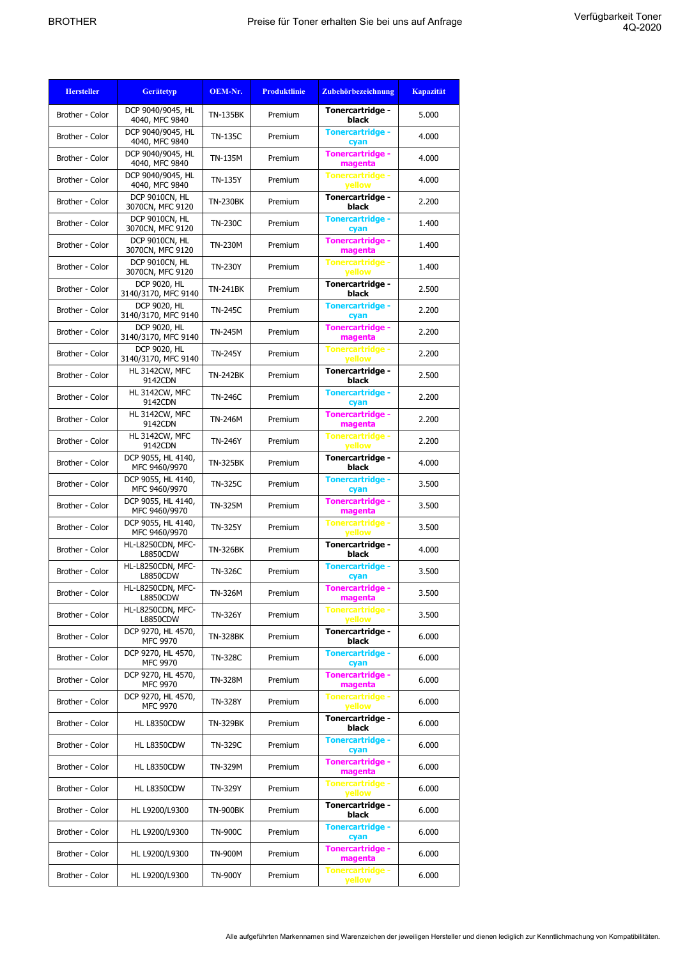| <b>Hersteller</b> | <b>Gerätetyp</b>                      | OEM-Nr.         | <b>Produktlinie</b> | Zubehörbezeichnung                       | <b>Kapazität</b> |
|-------------------|---------------------------------------|-----------------|---------------------|------------------------------------------|------------------|
| Brother - Color   | DCP 9040/9045, HL<br>4040, MFC 9840   | <b>TN-135BK</b> | Premium             | Tonercartridge -<br>black                | 5.000            |
| Brother - Color   | DCP 9040/9045, HL<br>4040, MFC 9840   | <b>TN-135C</b>  | Premium             | <b>Tonercartridge -</b><br>cyan          | 4.000            |
| Brother - Color   | DCP 9040/9045, HL<br>4040, MFC 9840   | TN-135M         | Premium             | <b>Tonercartridge -</b><br>magenta       | 4.000            |
| Brother - Color   | DCP 9040/9045, HL<br>4040, MFC 9840   | <b>TN-135Y</b>  | Premium             | <b>Tonercartridge -</b><br>vellow        | 4.000            |
| Brother - Color   | DCP 9010CN, HL<br>3070CN, MFC 9120    | <b>TN-230BK</b> | Premium             | Tonercartridge -<br>black                | 2.200            |
| Brother - Color   | DCP 9010CN, HL<br>3070CN, MFC 9120    | <b>TN-230C</b>  | Premium             | <b>Tonercartridge -</b><br>cyan          | 1.400            |
| Brother - Color   | DCP 9010CN, HL<br>3070CN, MFC 9120    | <b>TN-230M</b>  | Premium             | <b>Tonercartridge -</b><br>magenta       | 1.400            |
| Brother - Color   | DCP 9010CN, HL<br>3070CN, MFC 9120    | TN-230Y         | Premium             | <b>Tonercartridge -</b><br>yellow        | 1.400            |
| Brother - Color   | DCP 9020, HL<br>3140/3170, MFC 9140   | <b>TN-241BK</b> | Premium             | Tonercartridge -<br>black                | 2.500            |
| Brother - Color   | DCP 9020, HL<br>3140/3170, MFC 9140   | <b>TN-245C</b>  | Premium             | <b>Tonercartridge -</b><br>cyan          | 2.200            |
| Brother - Color   | DCP 9020, HL<br>3140/3170, MFC 9140   | <b>TN-245M</b>  | Premium             | <b>Tonercartridge -</b><br>magenta       | 2.200            |
| Brother - Color   | DCP 9020, HL<br>3140/3170, MFC 9140   | <b>TN-245Y</b>  | Premium             | <b>Tonercartridge -</b><br>yellow        | 2.200            |
| Brother - Color   | HL 3142CW, MFC<br>9142CDN             | <b>TN-242BK</b> | Premium             | Tonercartridge -<br>black                | 2.500            |
| Brother - Color   | HL 3142CW, MFC<br>9142CDN             | <b>TN-246C</b>  | Premium             | <b>Tonercartridge -</b><br>cyan          | 2.200            |
| Brother - Color   | HL 3142CW, MFC<br>9142CDN             | TN-246M         | Premium             | Tonercartridge -<br>magenta              | 2.200            |
| Brother - Color   | HL 3142CW, MFC<br>9142CDN             | TN-246Y         | Premium             | <b>Tonercartridge -</b><br><b>vellow</b> | 2.200            |
| Brother - Color   | DCP 9055, HL 4140,<br>MFC 9460/9970   | <b>TN-325BK</b> | Premium             | Tonercartridge -<br>black                | 4.000            |
| Brother - Color   | DCP 9055, HL 4140,<br>MFC 9460/9970   | <b>TN-325C</b>  | Premium             | <b>Tonercartridge -</b><br>cyan          | 3.500            |
| Brother - Color   | DCP 9055, HL 4140,<br>MFC 9460/9970   | TN-325M         | Premium             | <b>Tonercartridge -</b><br>magenta       | 3.500            |
| Brother - Color   | DCP 9055, HL 4140,<br>MFC 9460/9970   | <b>TN-325Y</b>  | Premium             | <b>Tonercartridge -</b><br>yellow        | 3.500            |
| Brother - Color   | HL-L8250CDN, MFC-<br><b>L8850CDW</b>  | <b>TN-326BK</b> | Premium             | Tonercartridge -<br>black                | 4.000            |
| Brother - Color   | HL-L8250CDN, MFC-<br>L8850CDW         | <b>TN-326C</b>  | Premium             | <b>Tonercartridge -</b><br>cyan          | 3.500            |
| Brother - Color   | HL-L8250CDN, MFC-<br><b>L8850CDW</b>  | TN-326M         | Premium             | Tonercartridge -<br>magenta              | 3.500            |
| Brother - Color   | HL-L8250CDN, MFC-<br><b>L8850CDW</b>  | <b>TN-326Y</b>  | Premium             | <b>Tonercartridge -</b><br>yellow        | 3.500            |
| Brother - Color   | DCP 9270, HL 4570,<br><b>MFC 9970</b> | <b>TN-328BK</b> | Premium             | Tonercartridge -<br>black                | 6.000            |
| Brother - Color   | DCP 9270, HL 4570,<br><b>MFC 9970</b> | <b>TN-328C</b>  | Premium             | <b>Tonercartridge -</b><br>cyan          | 6.000            |
| Brother - Color   | DCP 9270, HL 4570,<br><b>MFC 9970</b> | TN-328M         | Premium             | <b>Tonercartridge -</b><br>magenta       | 6.000            |
| Brother - Color   | DCP 9270, HL 4570,<br><b>MFC 9970</b> | <b>TN-328Y</b>  | Premium             | <b>Tonercartridge -</b><br>yellow        | 6.000            |
| Brother - Color   | HL L8350CDW                           | <b>TN-329BK</b> | Premium             | Tonercartridge -<br>black                | 6.000            |
| Brother - Color   | HL L8350CDW                           | <b>TN-329C</b>  | Premium             | <b>Tonercartridge -</b><br>cyan          | 6.000            |
| Brother - Color   | HL L8350CDW                           | TN-329M         | Premium             | Tonercartridge -<br>magenta              | 6.000            |
| Brother - Color   | HL L8350CDW                           | TN-329Y         | Premium             | Tonercartridge -<br><b>vellow</b>        | 6.000            |
| Brother - Color   | HL L9200/L9300                        | <b>TN-900BK</b> | Premium             | Tonercartridge -<br>black                | 6.000            |
| Brother - Color   | HL L9200/L9300                        | <b>TN-900C</b>  | Premium             | <b>Tonercartridge -</b><br>cyan          | 6.000            |
| Brother - Color   | HL L9200/L9300                        | <b>TN-900M</b>  | Premium             | <b>Tonercartridge -</b><br>magenta       | 6.000            |
| Brother - Color   | HL L9200/L9300                        | <b>TN-900Y</b>  | Premium             | <b>Tonercartridge -</b><br>yellow        | 6.000            |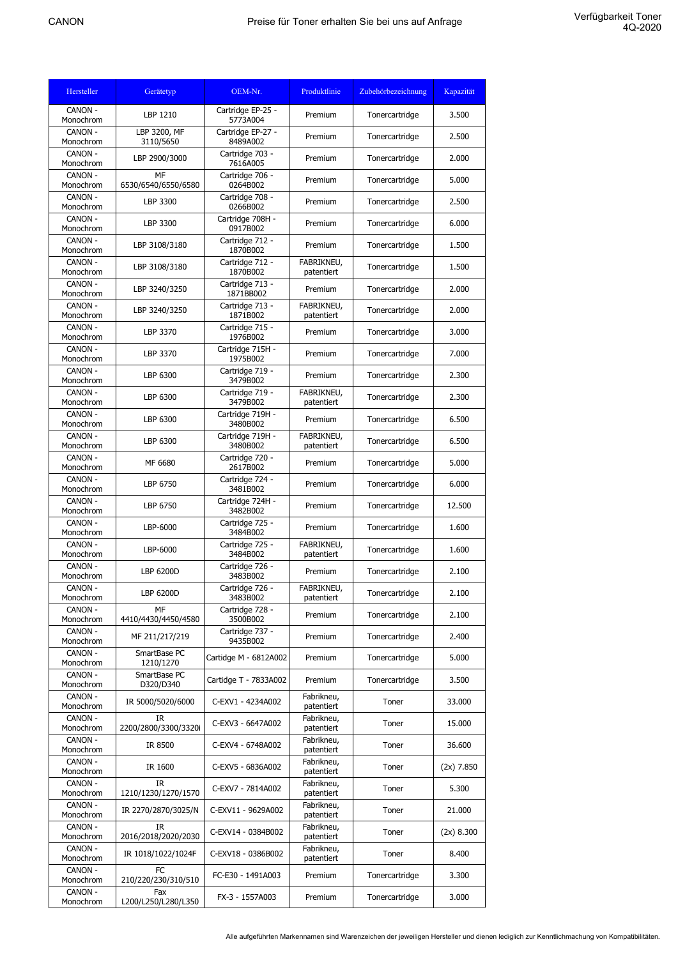| Hersteller           | Gerätetyp                   | OEM-Nr.                       | Produktlinie             | Zubehörbezeichnung | Kapazität    |
|----------------------|-----------------------------|-------------------------------|--------------------------|--------------------|--------------|
| CANON -<br>Monochrom | LBP 1210                    | Cartridge EP-25 -<br>5773A004 | Premium                  | Tonercartridge     | 3.500        |
| CANON -<br>Monochrom | LBP 3200, MF<br>3110/5650   | Cartridge EP-27 -<br>8489A002 | Premium                  | Tonercartridge     | 2.500        |
| CANON -<br>Monochrom | LBP 2900/3000               | Cartridge 703 -<br>7616A005   | Premium                  | Tonercartridge     | 2.000        |
| CANON -<br>Monochrom | MF<br>6530/6540/6550/6580   | Cartridge 706 -<br>0264B002   | Premium                  | Tonercartridge     | 5.000        |
| CANON -<br>Monochrom | LBP 3300                    | Cartridge 708 -<br>0266B002   | Premium                  | Tonercartridge     | 2.500        |
| CANON -<br>Monochrom | LBP 3300                    | Cartridge 708H -<br>0917B002  | Premium                  | Tonercartridge     | 6.000        |
| CANON -<br>Monochrom | LBP 3108/3180               | Cartridge 712 -<br>1870B002   | Premium                  | Tonercartridge     | 1.500        |
| CANON -<br>Monochrom | LBP 3108/3180               | Cartridge 712 -<br>1870B002   | FABRIKNEU,<br>patentiert | Tonercartridge     | 1.500        |
| CANON -<br>Monochrom | LBP 3240/3250               | Cartridge 713 -<br>1871BB002  | Premium                  | Tonercartridge     | 2.000        |
| CANON -<br>Monochrom | LBP 3240/3250               | Cartridge 713 -<br>1871B002   | FABRIKNEU,<br>patentiert | Tonercartridge     | 2.000        |
| CANON -<br>Monochrom | LBP 3370                    | Cartridge 715 -<br>1976B002   | Premium                  | Tonercartridge     | 3.000        |
| CANON -<br>Monochrom | LBP 3370                    | Cartridge 715H -<br>1975B002  | Premium                  | Tonercartridge     | 7.000        |
| CANON -<br>Monochrom | LBP 6300                    | Cartridge 719 -<br>3479B002   | Premium                  | Tonercartridge     | 2.300        |
| CANON -<br>Monochrom | LBP 6300                    | Cartridge 719 -<br>3479B002   | FABRIKNEU,<br>patentiert | Tonercartridge     | 2.300        |
| CANON -<br>Monochrom | LBP 6300                    | Cartridge 719H -<br>3480B002  | Premium                  | Tonercartridge     | 6.500        |
| CANON -<br>Monochrom | LBP 6300                    | Cartridge 719H -<br>3480B002  | FABRIKNEU,<br>patentiert | Tonercartridge     | 6.500        |
| CANON -<br>Monochrom | MF 6680                     | Cartridge 720 -<br>2617B002   | Premium                  | Tonercartridge     | 5.000        |
| CANON -<br>Monochrom | LBP 6750                    | Cartridge 724 -<br>3481B002   | Premium                  | Tonercartridge     | 6.000        |
| CANON -<br>Monochrom | LBP 6750                    | Cartridge 724H -<br>3482B002  | Premium                  | Tonercartridge     | 12.500       |
| CANON -<br>Monochrom | LBP-6000                    | Cartridge 725 -<br>3484B002   | Premium                  | Tonercartridge     | 1.600        |
| CANON -<br>Monochrom | LBP-6000                    | Cartridge 725 -<br>3484B002   | FABRIKNEU,<br>patentiert | Tonercartridge     | 1.600        |
| CANON -<br>Monochrom | LBP 6200D                   | Cartridge 726 -<br>3483B002   | Premium                  | Tonercartridge     | 2.100        |
| CANON -<br>Monochrom | LBP 6200D                   | Cartridge 726 -<br>3483B002   | FABRIKNEU.<br>patentiert | Tonercartridge     | 2.100        |
| CANON -<br>Monochrom | MF<br>4410/4430/4450/4580   | Cartridge 728 -<br>3500B002   | Premium                  | Tonercartridge     | 2.100        |
| CANON -<br>Monochrom | MF 211/217/219              | Cartridge 737 -<br>9435B002   | Premium                  | Tonercartridge     | 2.400        |
| CANON -<br>Monochrom | SmartBase PC<br>1210/1270   | Cartidge M - 6812A002         | Premium                  | Tonercartridge     | 5.000        |
| CANON -<br>Monochrom | SmartBase PC<br>D320/D340   | Cartidge T - 7833A002         | Premium                  | Tonercartridge     | 3.500        |
| CANON -<br>Monochrom | IR 5000/5020/6000           | C-EXV1 - 4234A002             | Fabrikneu,<br>patentiert | Toner              | 33.000       |
| CANON -<br>Monochrom | IR.<br>2200/2800/3300/3320i | C-EXV3 - 6647A002             | Fabrikneu,<br>patentiert | Toner              | 15.000       |
| CANON -<br>Monochrom | IR 8500                     | C-EXV4 - 6748A002             | Fabrikneu,<br>patentiert | Toner              | 36.600       |
| CANON -<br>Monochrom | IR 1600                     | C-EXV5 - 6836A002             | Fabrikneu,<br>patentiert | Toner              | $(2x)$ 7.850 |
| CANON -<br>Monochrom | IR<br>1210/1230/1270/1570   | C-EXV7 - 7814A002             | Fabrikneu,<br>patentiert | Toner              | 5.300        |
| CANON -<br>Monochrom | IR 2270/2870/3025/N         | C-EXV11 - 9629A002            | Fabrikneu,<br>patentiert | Toner              | 21.000       |
| CANON -<br>Monochrom | IR<br>2016/2018/2020/2030   | C-EXV14 - 0384B002            | Fabrikneu,<br>patentiert | Toner              | (2x) 8.300   |
| CANON -<br>Monochrom | IR 1018/1022/1024F          | C-EXV18 - 0386B002            | Fabrikneu,<br>patentiert | Toner              | 8.400        |
| CANON -<br>Monochrom | FC<br>210/220/230/310/510   | FC-E30 - 1491A003             | Premium                  | Tonercartridge     | 3.300        |
| CANON -<br>Monochrom | Fax<br>L200/L250/L280/L350  | FX-3 - 1557A003               | Premium                  | Tonercartridge     | 3.000        |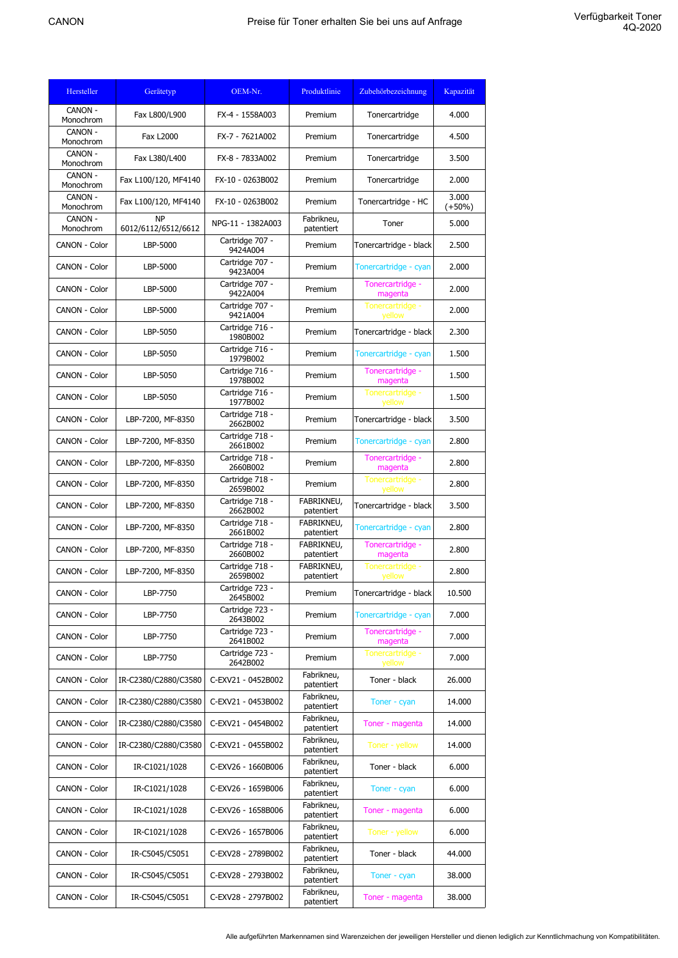| Hersteller           | Gerätetyp                        | OEM-Nr.                     | Produktlinie             | Zubehörbezeichnung          | Kapazität         |
|----------------------|----------------------------------|-----------------------------|--------------------------|-----------------------------|-------------------|
| CANON -<br>Monochrom | Fax L800/L900                    | FX-4 - 1558A003             | Premium                  | Tonercartridge              | 4.000             |
| CANON -<br>Monochrom | <b>Fax L2000</b>                 | FX-7 - 7621A002             | Premium                  | Tonercartridge              | 4.500             |
| CANON -<br>Monochrom | Fax L380/L400                    | FX-8 - 7833A002             | Premium                  | Tonercartridge              | 3.500             |
| CANON -<br>Monochrom | Fax L100/120, MF4140             | FX-10 - 0263B002            | Premium                  | Tonercartridge              | 2.000             |
| CANON -<br>Monochrom | Fax L100/120, MF4140             | FX-10 - 0263B002            | Premium                  | Tonercartridge - HC         | 3.000<br>$(+50%)$ |
| CANON -<br>Monochrom | <b>NP</b><br>6012/6112/6512/6612 | NPG-11 - 1382A003           | Fabrikneu,<br>patentiert | Toner                       | 5.000             |
| CANON - Color        | LBP-5000                         | Cartridge 707 -<br>9424A004 | Premium                  | Tonercartridge - black      | 2.500             |
| CANON - Color        | LBP-5000                         | Cartridge 707 -<br>9423A004 | Premium                  | Tonercartridge - cyan       | 2.000             |
| CANON - Color        | LBP-5000                         | Cartridge 707 -<br>9422A004 | Premium                  | Tonercartridge -<br>magenta | 2.000             |
| CANON - Color        | LBP-5000                         | Cartridge 707 -<br>9421A004 | Premium                  | Tonercartridge -<br>yellow  | 2.000             |
| CANON - Color        | LBP-5050                         | Cartridge 716 -<br>1980B002 | Premium                  | Tonercartridge - black      | 2.300             |
| CANON - Color        | LBP-5050                         | Cartridge 716 -<br>1979B002 | Premium                  | Tonercartridge - cyan       | 1.500             |
| CANON - Color        | LBP-5050                         | Cartridge 716 -<br>1978B002 | Premium                  | Tonercartridge -<br>magenta | 1.500             |
| CANON - Color        | LBP-5050                         | Cartridge 716 -<br>1977B002 | Premium                  | Tonercartridge -<br>yellow  | 1.500             |
| <b>CANON - Color</b> | LBP-7200, MF-8350                | Cartridge 718 -<br>2662B002 | Premium                  | Tonercartridge - black      | 3.500             |
| CANON - Color        | LBP-7200, MF-8350                | Cartridge 718 -<br>2661B002 | Premium                  | Tonercartridge - cyan       | 2.800             |
| CANON - Color        | LBP-7200, MF-8350                | Cartridge 718 -<br>2660B002 | Premium                  | Tonercartridge -<br>magenta | 2.800             |
| CANON - Color        | LBP-7200, MF-8350                | Cartridge 718 -<br>2659B002 | Premium                  | Tonercartridge -<br>yellow  | 2.800             |
| CANON - Color        | LBP-7200, MF-8350                | Cartridge 718 -<br>2662B002 | FABRIKNEU,<br>patentiert | Tonercartridge - black      | 3.500             |
| CANON - Color        | LBP-7200, MF-8350                | Cartridge 718 -<br>2661B002 | FABRIKNEU,<br>patentiert | Tonercartridge - cyan       | 2.800             |
| CANON - Color        | LBP-7200, MF-8350                | Cartridge 718 -<br>2660B002 | FABRIKNEU,<br>patentiert | Tonercartridge -<br>magenta | 2.800             |
| CANON - Color        | LBP-7200, MF-8350                | Cartridge 718 -<br>2659B002 | FABRIKNEU,<br>patentiert | Tonercartridge -<br>yellow  | 2.800             |
| CANON - Color        | LBP-7750                         | Cartridge 723 -<br>2645B002 | Premium                  | Tonercartridge - black      | 10.500            |
| CANON - Color        | LBP-7750                         | Cartridge 723 -<br>2643B002 | Premium                  | Tonercartridge - cyan       | 7.000             |
| CANON - Color        | LBP-7750                         | Cartridge 723 -<br>2641B002 | Premium                  | Tonercartridge -<br>magenta | 7.000             |
| CANON - Color        | LBP-7750                         | Cartridge 723 -<br>2642B002 | Premium                  | Tonercartridge -<br>yellow  | 7.000             |
| CANON - Color        | IR-C2380/C2880/C3580             | C-EXV21 - 0452B002          | Fabrikneu,<br>patentiert | Toner - black               | 26.000            |
| CANON - Color        | IR-C2380/C2880/C3580             | C-EXV21 - 0453B002          | Fabrikneu,<br>patentiert | Toner - cyan                | 14.000            |
| CANON - Color        | IR-C2380/C2880/C3580             | C-EXV21 - 0454B002          | Fabrikneu,<br>patentiert | Toner - magenta             | 14.000            |
| CANON - Color        | IR-C2380/C2880/C3580             | C-EXV21 - 0455B002          | Fabrikneu,<br>patentiert | Toner - yellow              | 14.000            |
| CANON - Color        | IR-C1021/1028                    | C-EXV26 - 1660B006          | Fabrikneu,<br>patentiert | Toner - black               | 6.000             |
| CANON - Color        | IR-C1021/1028                    | C-EXV26 - 1659B006          | Fabrikneu,<br>patentiert | Toner - cyan                | 6.000             |
| CANON - Color        | IR-C1021/1028                    | C-EXV26 - 1658B006          | Fabrikneu,<br>patentiert | Toner - magenta             | 6.000             |
| CANON - Color        | IR-C1021/1028                    | C-EXV26 - 1657B006          | Fabrikneu,<br>patentiert | Toner - yellow              | 6.000             |
| CANON - Color        | IR-C5045/C5051                   | C-EXV28 - 2789B002          | Fabrikneu,<br>patentiert | Toner - black               | 44.000            |
| CANON - Color        | IR-C5045/C5051                   | C-EXV28 - 2793B002          | Fabrikneu,<br>patentiert | Toner - cyan                | 38.000            |
| CANON - Color        | IR-C5045/C5051                   | C-EXV28 - 2797B002          | Fabrikneu,<br>patentiert | Toner - magenta             | 38.000            |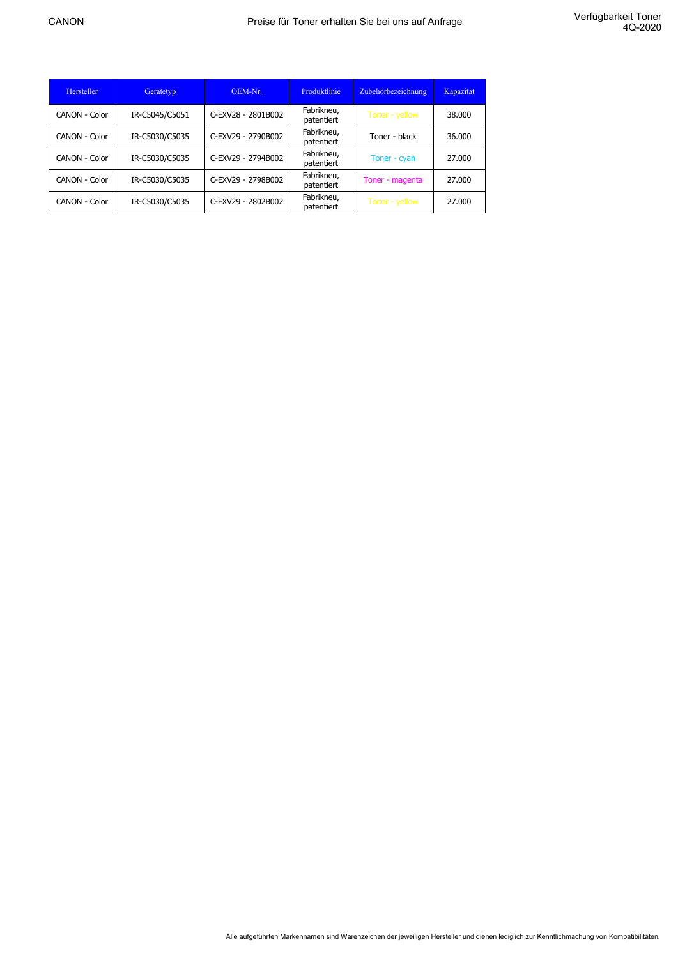| Hersteller    | Gerätetyp      | OEM-Nr.            | Produktlinie             | Zubehörbezeichnung | Kapazität |
|---------------|----------------|--------------------|--------------------------|--------------------|-----------|
| CANON - Color | IR-C5045/C5051 | C-EXV28 - 2801B002 | Fabrikneu,<br>patentiert | Toner - yellow     | 38,000    |
| CANON - Color | IR-C5030/C5035 | C-EXV29 - 2790B002 | Fabrikneu,<br>patentiert | Toner - black      | 36.000    |
| CANON - Color | IR-C5030/C5035 | C-EXV29 - 2794B002 | Fabrikneu,<br>patentiert | Toner - cyan       | 27.000    |
| CANON - Color | IR-C5030/C5035 | C-EXV29 - 2798B002 | Fabrikneu,<br>patentiert | Toner - magenta    | 27.000    |
| CANON - Color | IR-C5030/C5035 | C-EXV29 - 2802B002 | Fabrikneu,<br>patentiert | Toner - yellow     | 27.000    |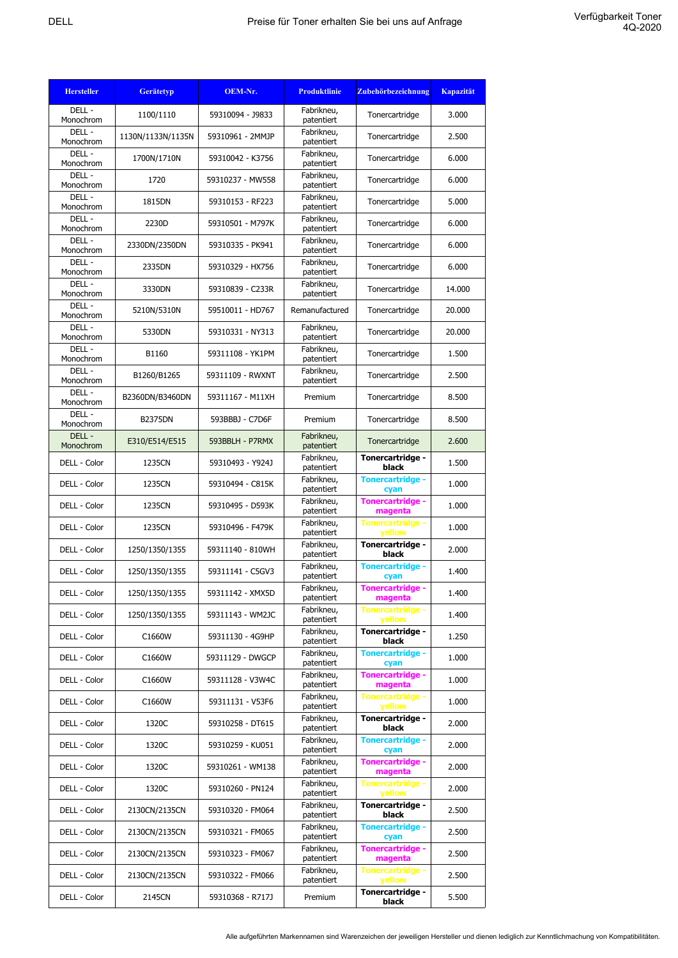| <b>Hersteller</b>   | <b>Gerätetyp</b>  | OEM-Nr.          | <b>Produktlinie</b>      | <b>Zubehörbezeichnung</b>         | <b>Kapazität</b> |
|---------------------|-------------------|------------------|--------------------------|-----------------------------------|------------------|
| DELL -<br>Monochrom | 1100/1110         | 59310094 - J9833 | Fabrikneu,<br>patentiert | Tonercartridge                    | 3.000            |
| DELL-<br>Monochrom  | 1130N/1133N/1135N | 59310961 - 2MMJP | Fabrikneu,<br>patentiert | Tonercartridge                    | 2.500            |
| DELL-<br>Monochrom  | 1700N/1710N       | 59310042 - K3756 | Fabrikneu,<br>patentiert | Tonercartridge                    | 6.000            |
| DELL-<br>Monochrom  | 1720              | 59310237 - MW558 | Fabrikneu,<br>patentiert | Tonercartridge                    | 6.000            |
| DELL -<br>Monochrom | 1815DN            | 59310153 - RF223 | Fabrikneu,<br>patentiert | Tonercartridge                    | 5.000            |
| DELL-<br>Monochrom  | 2230D             | 59310501 - M797K | Fabrikneu,<br>patentiert | Tonercartridge                    | 6.000            |
| DELL -<br>Monochrom | 2330DN/2350DN     | 59310335 - PK941 | Fabrikneu,<br>patentiert | Tonercartridge                    | 6.000            |
| DELL-<br>Monochrom  | 2335DN            | 59310329 - HX756 | Fabrikneu,<br>patentiert | Tonercartridge                    | 6.000            |
| DELL -<br>Monochrom | 3330DN            | 59310839 - C233R | Fabrikneu,<br>patentiert | Tonercartridge                    | 14.000           |
| DELL -<br>Monochrom | 5210N/5310N       | 59510011 - HD767 | Remanufactured           | Tonercartridge                    | 20.000           |
| DELL-<br>Monochrom  | 5330DN            | 59310331 - NY313 | Fabrikneu,<br>patentiert | Tonercartridge                    | 20,000           |
| DELL-<br>Monochrom  | B1160             | 59311108 - YK1PM | Fabrikneu,<br>patentiert | Tonercartridge                    | 1.500            |
| DELL-<br>Monochrom  | B1260/B1265       | 59311109 - RWXNT | Fabrikneu,<br>patentiert | Tonercartridge                    | 2.500            |
| DELL-<br>Monochrom  | B2360DN/B3460DN   | 59311167 - M11XH | Premium                  | Tonercartridge                    | 8.500            |
| DELL-<br>Monochrom  | <b>B2375DN</b>    | 593BBBJ - C7D6F  | Premium                  | Tonercartridge                    | 8.500            |
| DELL -<br>Monochrom | E310/E514/E515    | 593BBLH - P7RMX  | Fabrikneu,<br>patentiert | Tonercartridge                    | 2.600            |
| DELL - Color        | 1235CN            | 59310493 - Y924J | Fabrikneu,<br>patentiert | Tonercartridge -<br>black         | 1.500            |
| DELL - Color        | 1235CN            | 59310494 - C815K | Fabrikneu,<br>patentiert | <b>Tonercartridge -</b><br>cyan   | 1.000            |
| DELL - Color        | 1235CN            | 59310495 - D593K | Fabrikneu,<br>patentiert | Tonercartridge -<br>magenta       | 1.000            |
| DELL - Color        | 1235CN            | 59310496 - F479K | Fabrikneu,<br>patentiert | <b>Tonercartridge -</b><br>yellow | 1.000            |
| DELL - Color        | 1250/1350/1355    | 59311140 - 810WH | Fabrikneu,<br>patentiert | Tonercartridge -<br>black         | 2.000            |
| DELL - Color        | 1250/1350/1355    | 59311141 - C5GV3 | Fabrikneu,<br>patentiert | <b>Tonercartridge -</b><br>cyan   | 1.400            |
| DELL - Color        | 1250/1350/1355    | 59311142 - XMX5D | Fabrikneu,<br>patentiert | Tonercartridge -<br>magenta       | 1.400            |
| DELL - Color        | 1250/1350/1355    | 59311143 - WM2JC | Fabrikneu,<br>patentiert | <b>Tonercartridge -</b><br>vellow | 1.400            |
| DELL - Color        | C1660W            | 59311130 - 4G9HP | Fabrikneu,<br>patentiert | Tonercartridge -<br>black         | 1.250            |
| DELL - Color        | C1660W            | 59311129 - DWGCP | Fabrikneu,<br>patentiert | <b>Tonercartridge -</b><br>cyan   | 1.000            |
| DELL - Color        | C1660W            | 59311128 - V3W4C | Fabrikneu,<br>patentiert | Tonercartridge -<br>magenta       | 1.000            |
| DELL - Color        | C1660W            | 59311131 - V53F6 | Fabrikneu,<br>patentiert | <b>Tonercartridge -</b><br>yellow | 1.000            |
| DELL - Color        | 1320C             | 59310258 - DT615 | Fabrikneu,<br>patentiert | Tonercartridge -<br>black         | 2.000            |
| DELL - Color        | 1320C             | 59310259 - KU051 | Fabrikneu,<br>patentiert | <b>Tonercartridge -</b><br>cyan   | 2.000            |
| DELL - Color        | 1320C             | 59310261 - WM138 | Fabrikneu,<br>patentiert | Tonercartridge -<br>magenta       | 2.000            |
| DELL - Color        | 1320C             | 59310260 - PN124 | Fabrikneu,<br>patentiert | <b>Tonercartridge -</b><br>yellow | 2.000            |
| DELL - Color        | 2130CN/2135CN     | 59310320 - FM064 | Fabrikneu,<br>patentiert | Tonercartridge -<br>black         | 2.500            |
| DELL - Color        | 2130CN/2135CN     | 59310321 - FM065 | Fabrikneu,<br>patentiert | <b>Tonercartridge -</b><br>cyan   | 2.500            |
| DELL - Color        | 2130CN/2135CN     | 59310323 - FM067 | Fabrikneu,<br>patentiert | Tonercartridge -<br>magenta       | 2.500            |
| DELL - Color        | 2130CN/2135CN     | 59310322 - FM066 | Fabrikneu,<br>patentiert | <b>Tonercartridge -</b><br>yellow | 2.500            |
| DELL - Color        | 2145CN            | 59310368 - R717J | Premium                  | Tonercartridge -<br>black         | 5.500            |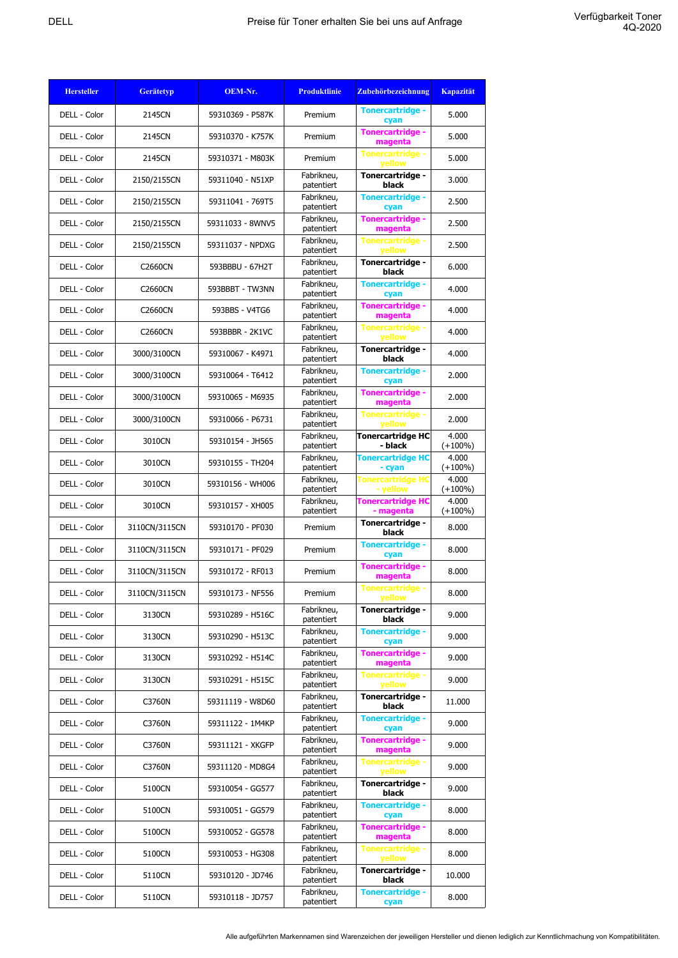| <b>Hersteller</b> | <b>Gerätetyp</b> | OEM-Nr.          | <b>Produktlinie</b>      | <b>Zubehörbezeichnung</b>                | <b>Kapazität</b>    |
|-------------------|------------------|------------------|--------------------------|------------------------------------------|---------------------|
| DELL - Color      | 2145CN           | 59310369 - P587K | Premium                  | <b>Tonercartridge -</b><br>cyan          | 5.000               |
| DELL - Color      | 2145CN           | 59310370 - K757K | Premium                  | <b>Tonercartridge -</b><br>magenta       | 5.000               |
| DELL - Color      | 2145CN           | 59310371 - M803K | Premium                  | <b>Tonercartridge -</b><br>yellow        | 5.000               |
| DELL - Color      | 2150/2155CN      | 59311040 - N51XP | Fabrikneu,<br>patentiert | Tonercartridge -<br>black                | 3.000               |
| DELL - Color      | 2150/2155CN      | 59311041 - 769T5 | Fabrikneu,<br>patentiert | <b>Tonercartridge -</b><br>cyan          | 2.500               |
| DELL - Color      | 2150/2155CN      | 59311033 - 8WNV5 | Fabrikneu,<br>patentiert | <b>Tonercartridge -</b><br>magenta       | 2.500               |
| DELL - Color      | 2150/2155CN      | 59311037 - NPDXG | Fabrikneu,<br>patentiert | <b>Tonercartridge -</b><br><b>vellow</b> | 2.500               |
| DELL - Color      | <b>C2660CN</b>   | 593BBBU - 67H2T  | Fabrikneu,<br>patentiert | Tonercartridge -<br>black                | 6.000               |
| DELL - Color      | <b>C2660CN</b>   | 593BBBT - TW3NN  | Fabrikneu,<br>patentiert | <b>Tonercartridge -</b><br>cyan          | 4.000               |
| DELL - Color      | <b>C2660CN</b>   | 593BBS - V4TG6   | Fabrikneu,<br>patentiert | <b>Tonercartridge -</b><br>magenta       | 4.000               |
| DELL - Color      | <b>C2660CN</b>   | 593BBBR - 2K1VC  | Fabrikneu,<br>patentiert | Tonercartridge -<br><b>yellow</b>        | 4.000               |
| DELL - Color      | 3000/3100CN      | 59310067 - K4971 | Fabrikneu,<br>patentiert | Tonercartridge -<br>black                | 4.000               |
| DELL - Color      | 3000/3100CN      | 59310064 - T6412 | Fabrikneu,<br>patentiert | <b>Tonercartridge -</b><br>cyan          | 2.000               |
| DELL - Color      | 3000/3100CN      | 59310065 - M6935 | Fabrikneu,<br>patentiert | <b>Tonercartridge -</b><br>magenta       | 2.000               |
| DELL - Color      | 3000/3100CN      | 59310066 - P6731 | Fabrikneu,<br>patentiert | <b>Tonercartridge -</b><br>yellow        | 2.000               |
| DELL - Color      | 3010CN           | 59310154 - JH565 | Fabrikneu,<br>patentiert | Tonercartridge HC<br>- black             | 4.000<br>$(+100\%)$ |
| DELL - Color      | 3010CN           | 59310155 - TH204 | Fabrikneu,<br>patentiert | <b>Tonercartridge HC</b><br>- cyan       | 4.000<br>$(+100\%)$ |
| DELL - Color      | 3010CN           | 59310156 - WH006 | Fabrikneu,<br>patentiert | <b>Tonercartridge HC</b><br>- yellow     | 4.000<br>$(+100\%)$ |
| DELL - Color      | 3010CN           | 59310157 - XH005 | Fabrikneu,<br>patentiert | Tonercartridge HC<br>- magenta           | 4.000<br>$(+100\%)$ |
| DELL - Color      | 3110CN/3115CN    | 59310170 - PF030 | Premium                  | Tonercartridge -<br>black                | 8.000               |
| DELL - Color      | 3110CN/3115CN    | 59310171 - PF029 | Premium                  | <b>Tonercartridge -</b><br>cyan          | 8.000               |
| DELL - Color      | 3110CN/3115CN    | 59310172 - RF013 | Premium                  | <b>Tonercartridge -</b><br>magenta       | 8.000               |
| DELL - Color      | 3110CN/3115CN    | 59310173 - NF556 | Premium                  | <b>Tonercartridge -</b><br><b>yellow</b> | 8.000               |
| DELL - Color      | 3130CN           | 59310289 - H516C | Fabrikneu,<br>patentiert | Tonercartridge -<br>black                | 9.000               |
| DELL - Color      | 3130CN           | 59310290 - H513C | Fabrikneu,<br>patentiert | <b>Tonercartridge -</b><br>cyan          | 9.000               |
| DELL - Color      | 3130CN           | 59310292 - H514C | Fabrikneu,<br>patentiert | <b>Tonercartridge -</b><br>magenta       | 9.000               |
| DELL - Color      | 3130CN           | 59310291 - H515C | Fabrikneu,<br>patentiert | Tonercartridge -<br>yellow               | 9.000               |
| DELL - Color      | C3760N           | 59311119 - W8D60 | Fabrikneu,<br>patentiert | Tonercartridge -<br>black                | 11.000              |
| DELL - Color      | C3760N           | 59311122 - 1M4KP | Fabrikneu,<br>patentiert | <b>Tonercartridge -</b><br>cyan          | 9.000               |
| DELL - Color      | C3760N           | 59311121 - XKGFP | Fabrikneu,<br>patentiert | <b>Tonercartridge -</b><br>magenta       | 9.000               |
| DELL - Color      | C3760N           | 59311120 - MD8G4 | Fabrikneu,<br>patentiert | <b>Tonercartridge -</b><br>yellow        | 9.000               |
| DELL - Color      | 5100CN           | 59310054 - GG577 | Fabrikneu,<br>patentiert | Tonercartridge -<br>black                | 9.000               |
| DELL - Color      | 5100CN           | 59310051 - GG579 | Fabrikneu,<br>patentiert | <b>Tonercartridge -</b><br>cyan          | 8.000               |
| DELL - Color      | 5100CN           | 59310052 - GG578 | Fabrikneu,<br>patentiert | <b>Tonercartridge -</b><br>magenta       | 8.000               |
| DELL - Color      | 5100CN           | 59310053 - HG308 | Fabrikneu,<br>patentiert | <b>Tonercartridge -</b><br>yellow        | 8.000               |
| DELL - Color      | 5110CN           | 59310120 - JD746 | Fabrikneu,<br>patentiert | Tonercartridge -<br>black                | 10.000              |
| DELL - Color      | 5110CN           | 59310118 - JD757 | Fabrikneu,<br>patentiert | <b>Tonercartridge -</b><br>cyan          | 8.000               |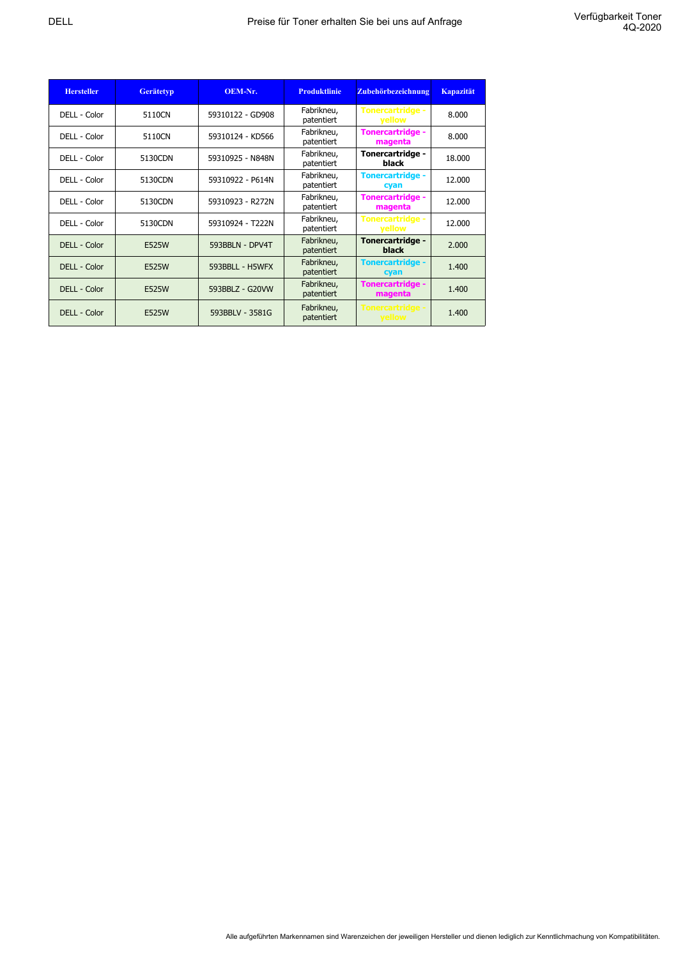| <b>Hersteller</b> | <b>Gerätetyp</b> | OEM-Nr.          | <b>Produktlinie</b>      | Zubehörbezeichnung                 | <b>Kapazität</b> |
|-------------------|------------------|------------------|--------------------------|------------------------------------|------------------|
| DELL - Color      | 5110CN           | 59310122 - GD908 | Fabrikneu,<br>patentiert | <b>Tonercartridge -</b><br>yellow  | 8.000            |
| DELL - Color      | 5110CN           | 59310124 - KD566 | Fabrikneu,<br>patentiert | <b>Tonercartridge -</b><br>magenta | 8.000            |
| DELL - Color      | 5130CDN          | 59310925 - N848N | Fabrikneu,<br>patentiert | Tonercartridge -<br>black          | 18,000           |
| DELL - Color      | 5130CDN          | 59310922 - P614N | Fabrikneu,<br>patentiert | <b>Tonercartridge -</b><br>cyan    | 12,000           |
| DELL - Color      | 5130CDN          | 59310923 - R272N | Fabrikneu,<br>patentiert | <b>Tonercartridge -</b><br>magenta | 12,000           |
| DELL - Color      | 5130CDN          | 59310924 - T222N | Fabrikneu,<br>patentiert | <b>Tonercartridge -</b><br>yellow  | 12,000           |
| DELL - Color      | E525W            | 593BBLN - DPV4T  | Fabrikneu,<br>patentiert | Tonercartridge -<br><b>black</b>   | 2.000            |
| DELL - Color      | E525W            | 593BBLL - H5WFX  | Fabrikneu,<br>patentiert | <b>Tonercartridge -</b><br>cyan    | 1.400            |
| DELL - Color      | E525W            | 593BBLZ - G20VW  | Fabrikneu,<br>patentiert | <b>Tonercartridge -</b><br>magenta | 1.400            |
| DELL - Color      | E525W            | 593BBLV - 3581G  | Fabrikneu,<br>patentiert | <b>Tonercartridge -</b><br>yellow  | 1.400            |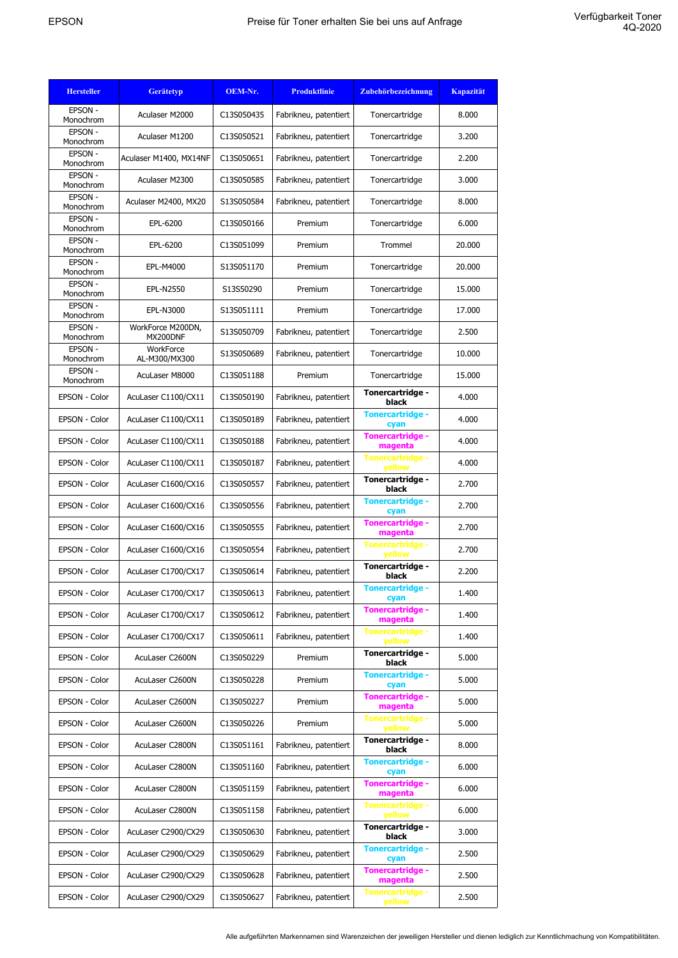| <b>Hersteller</b>           | <b>Gerätetyp</b>       | OEM-Nr.    | <b>Produktlinie</b>   | Zubehörbezeichnung                 | <b>Kapazität</b> |
|-----------------------------|------------------------|------------|-----------------------|------------------------------------|------------------|
| EPSON -<br>Monochrom        | Aculaser M2000         | C13S050435 | Fabrikneu, patentiert | Tonercartridge                     | 8.000            |
| EPSON -                     | Aculaser M1200         | C13S050521 | Fabrikneu, patentiert | Tonercartridge                     | 3.200            |
| Monochrom<br><b>EPSON -</b> | Aculaser M1400, MX14NF | C13S050651 | Fabrikneu, patentiert | Tonercartridge                     | 2.200            |
| Monochrom<br>EPSON -        |                        |            |                       |                                    |                  |
| Monochrom<br>EPSON -        | Aculaser M2300         | C13S050585 | Fabrikneu, patentiert | Tonercartridge                     | 3.000            |
| Monochrom                   | Aculaser M2400, MX20   | S13S050584 | Fabrikneu, patentiert | Tonercartridge                     | 8.000            |
| EPSON -<br>Monochrom        | EPL-6200               | C13S050166 | Premium               | Tonercartridge                     | 6.000            |
| EPSON -<br>Monochrom        | EPL-6200               | C13S051099 | Premium               | Trommel                            | 20.000           |
| EPSON -<br>Monochrom        | EPL-M4000              | S13S051170 | Premium               | Tonercartridge                     | 20.000           |
| EPSON -<br>Monochrom        | EPL-N2550              | S13S50290  | Premium               | Tonercartridge                     | 15.000           |
| EPSON -                     | EPL-N3000              | S13S051111 | Premium               | Tonercartridge                     | 17.000           |
| Monochrom<br>EPSON -        | WorkForce M200DN,      | S13S050709 | Fabrikneu, patentiert | Tonercartridge                     | 2.500            |
| Monochrom<br>EPSON -        | MX200DNF<br>WorkForce  | S13S050689 |                       |                                    |                  |
| Monochrom<br>EPSON -        | AL-M300/MX300          |            | Fabrikneu, patentiert | Tonercartridge                     | 10.000           |
| Monochrom                   | AcuLaser M8000         | C13S051188 | Premium               | Tonercartridge                     | 15.000           |
| EPSON - Color               | AcuLaser C1100/CX11    | C13S050190 | Fabrikneu, patentiert | Tonercartridge -<br>black          | 4.000            |
| EPSON - Color               | AcuLaser C1100/CX11    | C13S050189 | Fabrikneu, patentiert | <b>Tonercartridge -</b><br>cyan    | 4.000            |
| EPSON - Color               | AcuLaser C1100/CX11    | C13S050188 | Fabrikneu, patentiert | <b>Tonercartridge -</b><br>magenta | 4.000            |
| EPSON - Color               | AcuLaser C1100/CX11    | C13S050187 | Fabrikneu, patentiert | <b>Tonercartridge -</b><br>yellow  | 4.000            |
| EPSON - Color               | AcuLaser C1600/CX16    | C13S050557 | Fabrikneu, patentiert | Tonercartridge -<br>black          | 2.700            |
| EPSON - Color               | AcuLaser C1600/CX16    | C13S050556 | Fabrikneu, patentiert | <b>Tonercartridge -</b><br>cyan    | 2.700            |
| EPSON - Color               | AcuLaser C1600/CX16    | C13S050555 | Fabrikneu, patentiert | <b>Tonercartridge -</b><br>magenta | 2.700            |
| EPSON - Color               | AcuLaser C1600/CX16    | C13S050554 | Fabrikneu, patentiert | <b>Tonercartridge -</b><br>yellow  | 2.700            |
| EPSON - Color               | AcuLaser C1700/CX17    | C13S050614 | Fabrikneu, patentiert | Tonercartridge -<br>black          | 2.200            |
| EPSON - Color               | AcuLaser C1700/CX17    | C13S050613 | Fabrikneu, patentiert | <b>Tonercartridge -</b><br>cyan    | 1.400            |
| EPSON - Color               | AcuLaser C1700/CX17    | C13S050612 | Fabrikneu, patentiert | Tonercartridge -<br>magenta        | 1.400            |
| EPSON - Color               | AcuLaser C1700/CX17    | C13S050611 | Fabrikneu, patentiert | <b>Tonercartridge -</b><br>yellow  | 1.400            |
| EPSON - Color               | AcuLaser C2600N        | C13S050229 | Premium               | Tonercartridge -<br>black          | 5.000            |
| EPSON - Color               | AcuLaser C2600N        | C13S050228 | Premium               | <b>Tonercartridge -</b><br>cyan    | 5.000            |
| EPSON - Color               | AcuLaser C2600N        | C13S050227 | Premium               | <b>Tonercartridge -</b><br>magenta | 5.000            |
| EPSON - Color               | AcuLaser C2600N        | C13S050226 | Premium               | <b>Tonercartridge -</b><br>yellow  | 5.000            |
| EPSON - Color               | AcuLaser C2800N        | C13S051161 | Fabrikneu, patentiert | Tonercartridge -<br>black          | 8.000            |
| EPSON - Color               | AcuLaser C2800N        | C13S051160 | Fabrikneu, patentiert | <b>Tonercartridge -</b><br>cyan    | 6.000            |
| EPSON - Color               | AcuLaser C2800N        | C13S051159 | Fabrikneu, patentiert | <b>Tonercartridge -</b><br>magenta | 6.000            |
| EPSON - Color               | AcuLaser C2800N        | C13S051158 | Fabrikneu, patentiert | <b>Tonercartridge -</b><br>yellow  | 6.000            |
| EPSON - Color               | AcuLaser C2900/CX29    | C13S050630 | Fabrikneu, patentiert | Tonercartridge -<br>black          | 3.000            |
| EPSON - Color               | AcuLaser C2900/CX29    | C13S050629 | Fabrikneu, patentiert | <b>Tonercartridge -</b><br>cyan    | 2.500            |
| EPSON - Color               | AcuLaser C2900/CX29    | C13S050628 | Fabrikneu, patentiert | Tonercartridge -<br>magenta        | 2.500            |
| EPSON - Color               | AcuLaser C2900/CX29    | C13S050627 | Fabrikneu, patentiert | <b>Tonercartridge -</b><br>yellow  | 2.500            |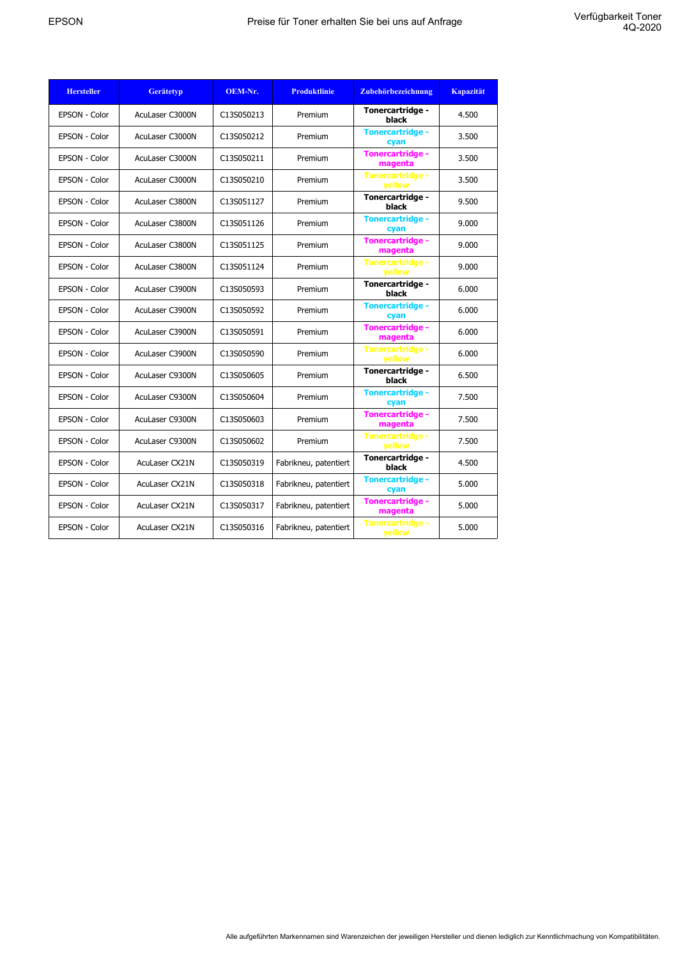| <b>Hersteller</b> | <b>Gerätetyp</b>      | OEM-Nr.    | <b>Produktlinie</b>   | Zubehörbezeichnung                       | <b>Kapazität</b> |
|-------------------|-----------------------|------------|-----------------------|------------------------------------------|------------------|
| EPSON - Color     | AcuLaser C3000N       | C13S050213 | Premium               | Tonercartridge -<br>black                | 4.500            |
| EPSON - Color     | AcuLaser C3000N       | C13S050212 | Premium               | <b>Tonercartridge -</b><br>cyan          | 3.500            |
| EPSON - Color     | AcuLaser C3000N       | C13S050211 | Premium               | <b>Tonercartridge -</b><br>magenta       | 3.500            |
| EPSON - Color     | AcuLaser C3000N       | C13S050210 | Premium               | <b>Tonercartridge -</b><br>vellow        | 3.500            |
| EPSON - Color     | AcuLaser C3800N       | C13S051127 | Premium               | Tonercartridge -<br>black                | 9.500            |
| EPSON - Color     | AcuLaser C3800N       | C13S051126 | Premium               | <b>Tonercartridge -</b><br>cyan          | 9.000            |
| EPSON - Color     | AcuLaser C3800N       | C13S051125 | Premium               | <b>Tonercartridge -</b><br>magenta       | 9.000            |
| EPSON - Color     | AcuLaser C3800N       | C13S051124 | Premium               | <b>Tonercartridge -</b><br>vellow        | 9.000            |
| EPSON - Color     | AcuLaser C3900N       | C13S050593 | Premium               | Tonercartridge -<br>black                | 6.000            |
| EPSON - Color     | AcuLaser C3900N       | C13S050592 | Premium               | <b>Tonercartridge -</b><br>cyan          | 6.000            |
| EPSON - Color     | AcuLaser C3900N       | C13S050591 | Premium               | <b>Tonercartridge -</b><br>magenta       | 6.000            |
| EPSON - Color     | AcuLaser C3900N       | C13S050590 | Premium               | <b>Tonercartridge -</b><br>vellow        | 6.000            |
| EPSON - Color     | AcuLaser C9300N       | C13S050605 | Premium               | Tonercartridge -<br>black                | 6.500            |
| EPSON - Color     | AcuLaser C9300N       | C13S050604 | Premium               | <b>Tonercartridge -</b><br>cyan          | 7.500            |
| EPSON - Color     | AcuLaser C9300N       | C13S050603 | Premium               | <b>Tonercartridge -</b><br>magenta       | 7.500            |
| EPSON - Color     | AcuLaser C9300N       | C13S050602 | Premium               | <b>Tonercartridge -</b><br><b>yellow</b> | 7.500            |
| EPSON - Color     | AcuLaser CX21N        | C13S050319 | Fabrikneu, patentiert | Tonercartridge -<br>black                | 4.500            |
| EPSON - Color     | <b>AcuLaser CX21N</b> | C13S050318 | Fabrikneu, patentiert | <b>Tonercartridge -</b><br>cyan          | 5.000            |
| EPSON - Color     | <b>AcuLaser CX21N</b> | C13S050317 | Fabrikneu, patentiert | <b>Tonercartridge -</b><br>magenta       | 5.000            |
| EPSON - Color     | <b>AcuLaser CX21N</b> | C13S050316 | Fabrikneu, patentiert | <b>Tonercartridge -</b><br>yellow        | 5.000            |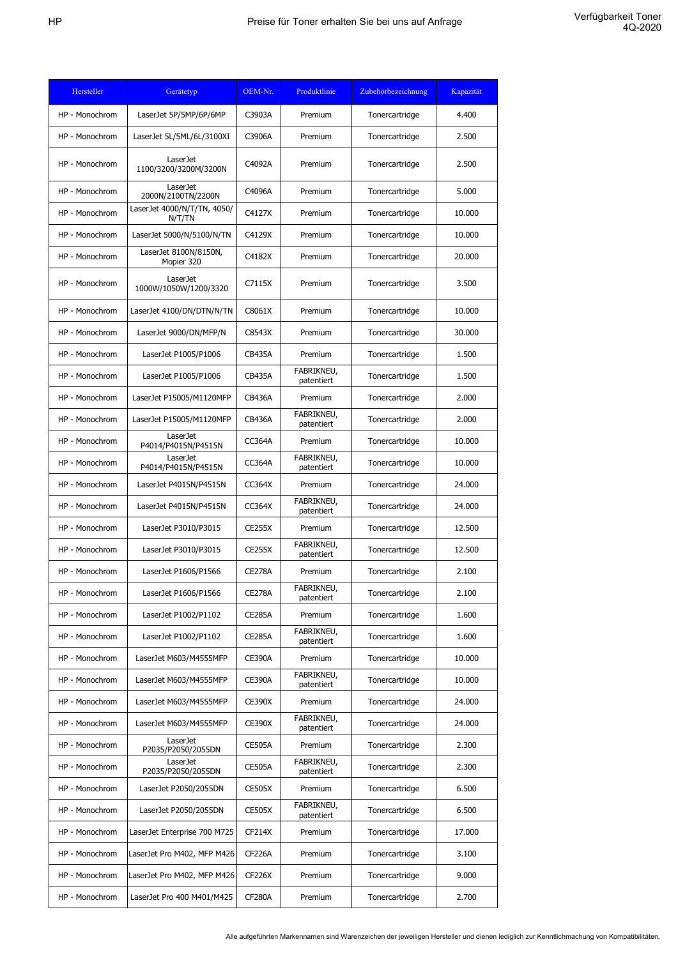| Hersteller     | Gerätetyp                                | OEM-Nr.       | Produktlinie             | Zubehörbezeichnung | Kapazität |
|----------------|------------------------------------------|---------------|--------------------------|--------------------|-----------|
| HP - Monochrom | LaserJet 5P/5MP/6P/6MP                   | C3903A        | Premium                  | Tonercartridge     | 4.400     |
| HP - Monochrom | LaserJet 5L/5ML/6L/3100XI                | C3906A        | Premium                  | Tonercartridge     | 2.500     |
| HP - Monochrom | <b>LaserJet</b><br>1100/3200/3200M/3200N | C4092A        | Premium                  | Tonercartridge     | 2.500     |
| HP - Monochrom | LaserJet<br>2000N/2100TN/2200N           | C4096A        | Premium                  | Tonercartridge     | 5.000     |
| HP - Monochrom | LaserJet 4000/N/T/TN, 4050/<br>N/T/TN    | C4127X        | Premium                  | Tonercartridge     | 10.000    |
| HP - Monochrom | LaserJet 5000/N/5100/N/TN                | C4129X        | Premium                  | Tonercartridge     | 10.000    |
| HP - Monochrom | LaserJet 8100N/8150N,<br>Mopier 320      | C4182X        | Premium                  | Tonercartridge     | 20.000    |
| HP - Monochrom | <b>LaserJet</b><br>1000W/1050W/1200/3320 | C7115X        | Premium                  | Tonercartridge     | 3.500     |
| HP - Monochrom | LaserJet 4100/DN/DTN/N/TN                | C8061X        | Premium                  | Tonercartridge     | 10.000    |
| HP - Monochrom | LaserJet 9000/DN/MFP/N                   | C8543X        | Premium                  | Tonercartridge     | 30,000    |
| HP - Monochrom | LaserJet P1005/P1006                     | <b>CB435A</b> | Premium                  | Tonercartridge     | 1.500     |
| HP - Monochrom | LaserJet P1005/P1006                     | CB435A        | FABRIKNEU,<br>patentiert | Tonercartridge     | 1.500     |
| HP - Monochrom | LaserJet P15005/M1120MFP                 | <b>CB436A</b> | Premium                  | Tonercartridge     | 2.000     |
| HP - Monochrom | LaserJet P15005/M1120MFP                 | <b>CB436A</b> | FABRIKNEU,<br>patentiert | Tonercartridge     | 2.000     |
| HP - Monochrom | <b>LaserJet</b><br>P4014/P4015N/P4515N   | <b>CC364A</b> | Premium                  | Tonercartridge     | 10.000    |
| HP - Monochrom | LaserJet<br>P4014/P4015N/P4515N          | <b>CC364A</b> | FABRIKNEU,<br>patentiert | Tonercartridge     | 10.000    |
| HP - Monochrom | LaserJet P4015N/P4515N                   | <b>CC364X</b> | Premium                  | Tonercartridge     | 24.000    |
| HP - Monochrom | LaserJet P4015N/P4515N                   | <b>CC364X</b> | FABRIKNEU,<br>patentiert | Tonercartridge     | 24.000    |
| HP - Monochrom | LaserJet P3010/P3015                     | <b>CE255X</b> | Premium                  | Tonercartridge     | 12.500    |
| HP - Monochrom | LaserJet P3010/P3015                     | <b>CE255X</b> | FABRIKNEU,<br>patentiert | Tonercartridge     | 12.500    |
| HP - Monochrom | LaserJet P1606/P1566                     | <b>CE278A</b> | Premium                  | Tonercartridge     | 2.100     |
| HP - Monochrom | LaserJet P1606/P1566                     | <b>CE278A</b> | FABRIKNEU,<br>patentiert | Tonercartridge     | 2.100     |
| HP - Monochrom | LaserJet P1002/P1102                     | <b>CE285A</b> | Premium                  | Tonercartridge     | 1.600     |
| HP - Monochrom | LaserJet P1002/P1102                     | <b>CE285A</b> | FABRIKNEU,<br>patentiert | Tonercartridge     | 1.600     |
| HP - Monochrom | LaserJet M603/M4555MFP                   | <b>CE390A</b> | Premium                  | Tonercartridge     | 10.000    |
| HP - Monochrom | LaserJet M603/M4555MFP                   | <b>CE390A</b> | FABRIKNEU,<br>patentiert | Tonercartridge     | 10.000    |
| HP - Monochrom | LaserJet M603/M4555MFP                   | <b>CE390X</b> | Premium                  | Tonercartridge     | 24.000    |
| HP - Monochrom | LaserJet M603/M4555MFP                   | <b>CE390X</b> | FABRIKNEU,<br>patentiert | Tonercartridge     | 24.000    |
| HP - Monochrom | LaserJet<br>P2035/P2050/2055DN           | <b>CE505A</b> | Premium                  | Tonercartridge     | 2.300     |
| HP - Monochrom | LaserJet<br>P2035/P2050/2055DN           | <b>CE505A</b> | FABRIKNEU,<br>patentiert | Tonercartridge     | 2.300     |
| HP - Monochrom | LaserJet P2050/2055DN                    | <b>CE505X</b> | Premium                  | Tonercartridge     | 6.500     |
| HP - Monochrom | LaserJet P2050/2055DN                    | <b>CE505X</b> | FABRIKNEU,<br>patentiert | Tonercartridge     | 6.500     |
| HP - Monochrom | LaserJet Enterprise 700 M725             | <b>CF214X</b> | Premium                  | Tonercartridge     | 17.000    |
| HP - Monochrom | LaserJet Pro M402, MFP M426              | <b>CF226A</b> | Premium                  | Tonercartridge     | 3.100     |
| HP - Monochrom | LaserJet Pro M402, MFP M426              | <b>CF226X</b> | Premium                  | Tonercartridge     | 9.000     |
| HP - Monochrom | LaserJet Pro 400 M401/M425               | <b>CF280A</b> | Premium                  | Tonercartridge     | 2.700     |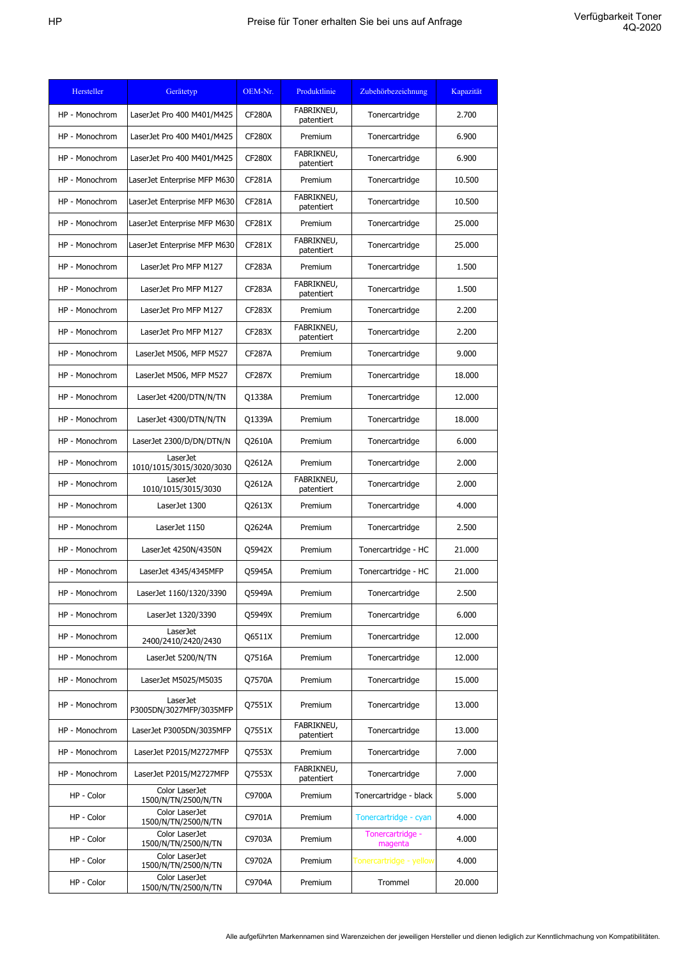| Hersteller     | Gerätetyp                                   | OEM-Nr.       | Produktlinie             | Zubehörbezeichnung          | Kapazität |
|----------------|---------------------------------------------|---------------|--------------------------|-----------------------------|-----------|
| HP - Monochrom | LaserJet Pro 400 M401/M425                  | <b>CF280A</b> | FABRIKNEU,<br>patentiert | Tonercartridge              | 2.700     |
| HP - Monochrom | LaserJet Pro 400 M401/M425                  | <b>CF280X</b> | Premium                  | Tonercartridge              | 6.900     |
| HP - Monochrom | LaserJet Pro 400 M401/M425                  | <b>CF280X</b> | FABRIKNEU,<br>patentiert | Tonercartridge              | 6.900     |
| HP - Monochrom | LaserJet Enterprise MFP M630                | <b>CF281A</b> | Premium                  | Tonercartridge              | 10.500    |
| HP - Monochrom | LaserJet Enterprise MFP M630                | <b>CF281A</b> | FABRIKNEU,<br>patentiert | Tonercartridge              | 10.500    |
| HP - Monochrom | LaserJet Enterprise MFP M630                | CF281X        | Premium                  | Tonercartridge              | 25.000    |
| HP - Monochrom | LaserJet Enterprise MFP M630                | CF281X        | FABRIKNEU,<br>patentiert | Tonercartridge              | 25.000    |
| HP - Monochrom | LaserJet Pro MFP M127                       | <b>CF283A</b> | Premium                  | Tonercartridge              | 1.500     |
| HP - Monochrom | LaserJet Pro MFP M127                       | <b>CF283A</b> | FABRIKNEU,<br>patentiert | Tonercartridge              | 1.500     |
| HP - Monochrom | LaserJet Pro MFP M127                       | <b>CF283X</b> | Premium                  | Tonercartridge              | 2.200     |
| HP - Monochrom | LaserJet Pro MFP M127                       | CF283X        | FABRIKNEU,<br>patentiert | Tonercartridge              | 2.200     |
| HP - Monochrom | LaserJet M506, MFP M527                     | <b>CF287A</b> | Premium                  | Tonercartridge              | 9.000     |
| HP - Monochrom | LaserJet M506, MFP M527                     | <b>CF287X</b> | Premium                  | Tonercartridge              | 18.000    |
| HP - Monochrom | LaserJet 4200/DTN/N/TN                      | Q1338A        | Premium                  | Tonercartridge              | 12,000    |
| HP - Monochrom | LaserJet 4300/DTN/N/TN                      | Q1339A        | Premium                  | Tonercartridge              | 18,000    |
| HP - Monochrom | LaserJet 2300/D/DN/DTN/N                    | Q2610A        | Premium                  | Tonercartridge              | 6.000     |
| HP - Monochrom | <b>LaserJet</b><br>1010/1015/3015/3020/3030 | Q2612A        | Premium                  | Tonercartridge              | 2.000     |
| HP - Monochrom | LaserJet<br>1010/1015/3015/3030             | Q2612A        | FABRIKNEU,<br>patentiert | Tonercartridge              | 2.000     |
| HP - Monochrom | LaserJet 1300                               | Q2613X        | Premium                  | Tonercartridge              | 4.000     |
| HP - Monochrom | LaserJet 1150                               | Q2624A        | Premium                  | Tonercartridge              | 2.500     |
| HP - Monochrom | LaserJet 4250N/4350N                        | Q5942X        | Premium                  | Tonercartridge - HC         | 21.000    |
| HP - Monochrom | LaserJet 4345/4345MFP                       | Q5945A        | Premium                  | Tonercartridge - HC         | 21.000    |
| HP - Monochrom | LaserJet 1160/1320/3390                     | Q5949A        | Premium                  | Tonercartridge              | 2.500     |
| HP - Monochrom | LaserJet 1320/3390                          | Q5949X        | Premium                  | Tonercartridge              | 6.000     |
| HP - Monochrom | LaserJet<br>2400/2410/2420/2430             | Q6511X        | Premium                  | Tonercartridge              | 12.000    |
| HP - Monochrom | LaserJet 5200/N/TN                          | Q7516A        | Premium                  | Tonercartridge              | 12.000    |
| HP - Monochrom | LaserJet M5025/M5035                        | Q7570A        | Premium                  | Tonercartridge              | 15.000    |
| HP - Monochrom | LaserJet<br>P3005DN/3027MFP/3035MFP         | Q7551X        | Premium                  | Tonercartridge              | 13.000    |
| HP - Monochrom | LaserJet P3005DN/3035MFP                    | Q7551X        | FABRIKNEU,<br>patentiert | Tonercartridge              | 13.000    |
| HP - Monochrom | LaserJet P2015/M2727MFP                     | Q7553X        | Premium                  | Tonercartridge              | 7.000     |
| HP - Monochrom | LaserJet P2015/M2727MFP                     | Q7553X        | FABRIKNEU,<br>patentiert | Tonercartridge              | 7.000     |
| HP - Color     | Color LaserJet<br>1500/N/TN/2500/N/TN       | C9700A        | Premium                  | Tonercartridge - black      | 5.000     |
| HP - Color     | Color LaserJet<br>1500/N/TN/2500/N/TN       | C9701A        | Premium                  | Tonercartridge - cyan       | 4.000     |
| HP - Color     | Color LaserJet<br>1500/N/TN/2500/N/TN       | C9703A        | Premium                  | Tonercartridge -<br>magenta | 4.000     |
| HP - Color     | Color LaserJet<br>1500/N/TN/2500/N/TN       | C9702A        | Premium                  | Tonercartridge - yellow     | 4.000     |
| HP - Color     | Color LaserJet<br>1500/N/TN/2500/N/TN       | C9704A        | Premium                  | Trommel                     | 20.000    |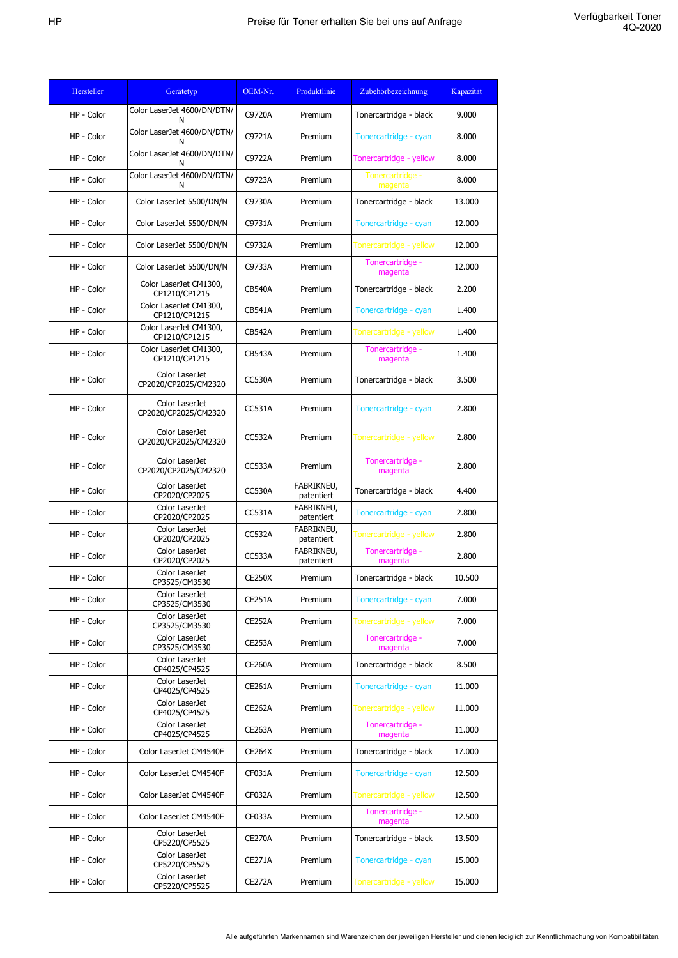| Hersteller | Gerätetyp                               | OEM-Nr.       | Produktlinie             | Zubehörbezeichnung          | Kapazität |
|------------|-----------------------------------------|---------------|--------------------------|-----------------------------|-----------|
| HP - Color | Color LaserJet 4600/DN/DTN/<br>N        | C9720A        | Premium                  | Tonercartridge - black      | 9.000     |
| HP - Color | Color LaserJet 4600/DN/DTN/<br>N        | C9721A        | Premium                  | Tonercartridge - cyan       | 8.000     |
| HP - Color | Color LaserJet 4600/DN/DTN/<br>N        | C9722A        | Premium                  | Tonercartridge - yellow     | 8.000     |
| HP - Color | Color LaserJet 4600/DN/DTN/<br>N        | C9723A        | Premium                  | Tonercartridge -<br>magenta | 8.000     |
| HP - Color | Color LaserJet 5500/DN/N                | C9730A        | Premium                  | Tonercartridge - black      | 13.000    |
| HP - Color | Color LaserJet 5500/DN/N                | C9731A        | Premium                  | Tonercartridge - cyan       | 12.000    |
| HP - Color | Color LaserJet 5500/DN/N                | C9732A        | Premium                  | Tonercartridge - yellow     | 12.000    |
| HP - Color | Color LaserJet 5500/DN/N                | C9733A        | Premium                  | Tonercartridge -<br>magenta | 12.000    |
| HP - Color | Color LaserJet CM1300,<br>CP1210/CP1215 | <b>CB540A</b> | Premium                  | Tonercartridge - black      | 2.200     |
| HP - Color | Color LaserJet CM1300,<br>CP1210/CP1215 | <b>CB541A</b> | Premium                  | Tonercartridge - cyan       | 1.400     |
| HP - Color | Color LaserJet CM1300,<br>CP1210/CP1215 | <b>CB542A</b> | Premium                  | Tonercartridge - yellow     | 1.400     |
| HP - Color | Color LaserJet CM1300,<br>CP1210/CP1215 | <b>CB543A</b> | Premium                  | Tonercartridge -<br>magenta | 1.400     |
| HP - Color | Color LaserJet<br>CP2020/CP2025/CM2320  | <b>CC530A</b> | Premium                  | Tonercartridge - black      | 3.500     |
| HP - Color | Color LaserJet<br>CP2020/CP2025/CM2320  | <b>CC531A</b> | Premium                  | Tonercartridge - cyan       | 2.800     |
| HP - Color | Color LaserJet<br>CP2020/CP2025/CM2320  | CC532A        | Premium                  | Tonercartridge - yellow     | 2.800     |
| HP - Color | Color LaserJet<br>CP2020/CP2025/CM2320  | CC533A        | Premium                  | Tonercartridge -<br>magenta | 2.800     |
| HP - Color | Color LaserJet<br>CP2020/CP2025         | CC530A        | FABRIKNEU,<br>patentiert | Tonercartridge - black      | 4.400     |
| HP - Color | Color LaserJet<br>CP2020/CP2025         | <b>CC531A</b> | FABRIKNEU,<br>patentiert | Tonercartridge - cyan       | 2.800     |
| HP - Color | Color LaserJet<br>CP2020/CP2025         | <b>CC532A</b> | FABRIKNEU,<br>patentiert | Tonercartridge - yellow     | 2.800     |
| HP - Color | Color LaserJet<br>CP2020/CP2025         | CC533A        | FABRIKNEU,<br>patentiert | Tonercartridge -<br>magenta | 2.800     |
| HP - Color | Color LaserJet<br>CP3525/CM3530         | <b>CE250X</b> | Premium                  | Tonercartridge - black      | 10.500    |
| HP - Color | Color LaserJet<br>CP3525/CM3530         | <b>CE251A</b> | Premium                  | Tonercartridge - cyan       | 7.000     |
| HP - Color | Color LaserJet<br>CP3525/CM3530         | <b>CE252A</b> | Premium                  | Tonercartridge - yellow     | 7.000     |
| HP - Color | Color LaserJet<br>CP3525/CM3530         | CE253A        | Premium                  | Tonercartridge -<br>magenta | 7.000     |
| HP - Color | Color LaserJet<br>CP4025/CP4525         | <b>CE260A</b> | Premium                  | Tonercartridge - black      | 8.500     |
| HP - Color | Color LaserJet<br>CP4025/CP4525         | <b>CE261A</b> | Premium                  | Tonercartridge - cyan       | 11.000    |
| HP - Color | Color LaserJet<br>CP4025/CP4525         | <b>CE262A</b> | Premium                  | Tonercartridge - yellow     | 11.000    |
| HP - Color | Color LaserJet<br>CP4025/CP4525         | CE263A        | Premium                  | Tonercartridge -<br>magenta | 11.000    |
| HP - Color | Color LaserJet CM4540F                  | <b>CE264X</b> | Premium                  | Tonercartridge - black      | 17.000    |
| HP - Color | Color LaserJet CM4540F                  | CF031A        | Premium                  | Tonercartridge - cyan       | 12.500    |
| HP - Color | Color LaserJet CM4540F                  | CF032A        | Premium                  | Tonercartridge - yellow     | 12.500    |
| HP - Color | Color LaserJet CM4540F                  | CF033A        | Premium                  | Tonercartridge -<br>magenta | 12.500    |
| HP - Color | Color LaserJet<br>CP5220/CP5525         | <b>CE270A</b> | Premium                  | Tonercartridge - black      | 13.500    |
| HP - Color | Color LaserJet<br>CP5220/CP5525         | <b>CE271A</b> | Premium                  | Tonercartridge - cyan       | 15.000    |
| HP - Color | Color LaserJet<br>CP5220/CP5525         | <b>CE272A</b> | Premium                  | Tonercartridge - yellow     | 15.000    |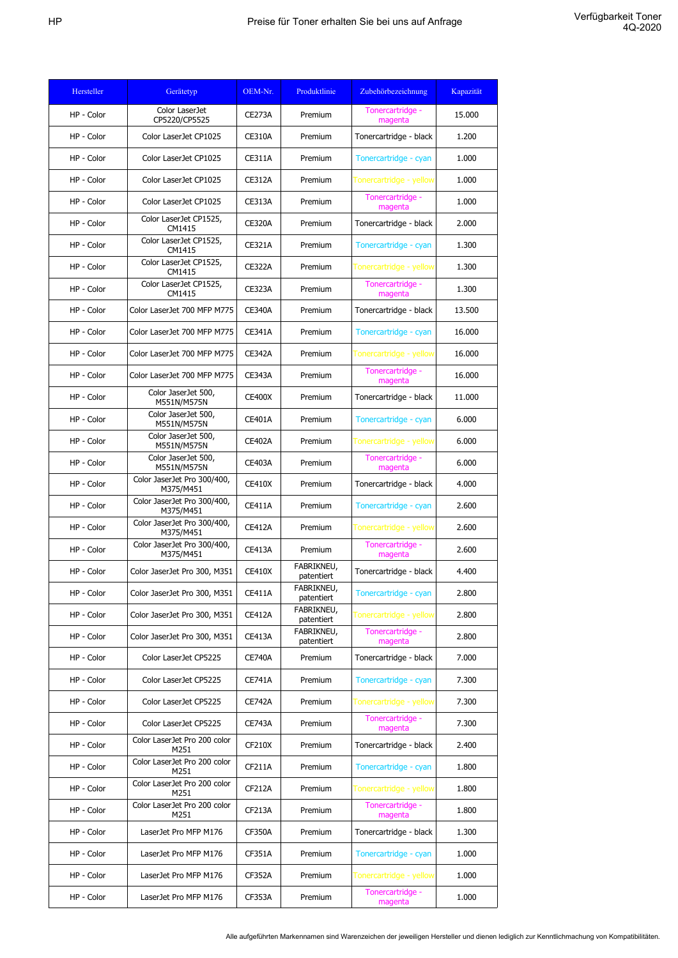| Hersteller | Gerätetyp                                | OEM-Nr.       | Produktlinie             | Zubehörbezeichnung          | Kapazität |
|------------|------------------------------------------|---------------|--------------------------|-----------------------------|-----------|
| HP - Color | Color LaserJet<br>CP5220/CP5525          | <b>CE273A</b> | Premium                  | Tonercartridge -<br>magenta | 15,000    |
| HP - Color | Color LaserJet CP1025                    | <b>CE310A</b> | Premium                  | Tonercartridge - black      | 1.200     |
| HP - Color | Color LaserJet CP1025                    | <b>CE311A</b> | Premium                  | Tonercartridge - cyan       | 1.000     |
| HP - Color | Color LaserJet CP1025                    | <b>CE312A</b> | Premium                  | Tonercartridge - yellow     | 1.000     |
| HP - Color | Color LaserJet CP1025                    | <b>CE313A</b> | Premium                  | Tonercartridge -<br>magenta | 1.000     |
| HP - Color | Color LaserJet CP1525,<br>CM1415         | <b>CE320A</b> | Premium                  | Tonercartridge - black      | 2.000     |
| HP - Color | Color LaserJet CP1525,<br>CM1415         | <b>CE321A</b> | Premium                  | Tonercartridge - cyan       | 1.300     |
| HP - Color | Color LaserJet CP1525,<br>CM1415         | <b>CE322A</b> | Premium                  | Tonercartridge - yellow     | 1.300     |
| HP - Color | Color LaserJet CP1525,<br>CM1415         | <b>CE323A</b> | Premium                  | Tonercartridge -<br>magenta | 1.300     |
| HP - Color | Color LaserJet 700 MFP M775              | <b>CE340A</b> | Premium                  | Tonercartridge - black      | 13.500    |
| HP - Color | Color LaserJet 700 MFP M775              | <b>CE341A</b> | Premium                  | Tonercartridge - cyan       | 16.000    |
| HP - Color | Color LaserJet 700 MFP M775              | <b>CE342A</b> | Premium                  | Tonercartridge - yellow     | 16.000    |
| HP - Color | Color LaserJet 700 MFP M775              | <b>CE343A</b> | Premium                  | Tonercartridge -<br>magenta | 16.000    |
| HP - Color | Color JaserJet 500,<br>M551N/M575N       | <b>CE400X</b> | Premium                  | Tonercartridge - black      | 11.000    |
| HP - Color | Color JaserJet 500,<br>M551N/M575N       | <b>CE401A</b> | Premium                  | Tonercartridge - cyan       | 6.000     |
| HP - Color | Color JaserJet 500,<br>M551N/M575N       | <b>CE402A</b> | Premium                  | Tonercartridge - yellow     | 6.000     |
| HP - Color | Color JaserJet 500,<br>M551N/M575N       | <b>CE403A</b> | Premium                  | Tonercartridge -<br>magenta | 6.000     |
| HP - Color | Color JaserJet Pro 300/400,<br>M375/M451 | <b>CE410X</b> | Premium                  | Tonercartridge - black      | 4.000     |
| HP - Color | Color JaserJet Pro 300/400,<br>M375/M451 | <b>CE411A</b> | Premium                  | Tonercartridge - cyan       | 2.600     |
| HP - Color | Color JaserJet Pro 300/400,<br>M375/M451 | <b>CE412A</b> | Premium                  | Tonercartridge - yellow     | 2.600     |
| HP - Color | Color JaserJet Pro 300/400,<br>M375/M451 | CE413A        | Premium                  | Tonercartridge -<br>magenta | 2.600     |
| HP - Color | Color JaserJet Pro 300, M351             | <b>CE410X</b> | FABRIKNEU,<br>patentiert | Tonercartridge - black      | 4.400     |
| HP - Color | Color JaserJet Pro 300, M351             | <b>CE411A</b> | FABRIKNEU,<br>patentiert | Tonercartridge - cyan       | 2.800     |
| HP - Color | Color JaserJet Pro 300, M351             | <b>CE412A</b> | FABRIKNEU,<br>patentiert | Tonercartridge - yellow     | 2.800     |
| HP - Color | Color JaserJet Pro 300, M351             | <b>CE413A</b> | FABRIKNEU,<br>patentiert | Tonercartridge -<br>magenta | 2.800     |
| HP - Color | Color LaserJet CP5225                    | <b>CE740A</b> | Premium                  | Tonercartridge - black      | 7.000     |
| HP - Color | Color LaserJet CP5225                    | <b>CE741A</b> | Premium                  | Tonercartridge - cyan       | 7.300     |
| HP - Color | Color LaserJet CP5225                    | <b>CE742A</b> | Premium                  | Tonercartridge - yellow     | 7.300     |
| HP - Color | Color LaserJet CP5225                    | <b>CE743A</b> | Premium                  | Tonercartridge -<br>magenta | 7.300     |
| HP - Color | Color LaserJet Pro 200 color<br>M251     | CF210X        | Premium                  | Tonercartridge - black      | 2.400     |
| HP - Color | Color LaserJet Pro 200 color<br>M251     | <b>CF211A</b> | Premium                  | Tonercartridge - cyan       | 1.800     |
| HP - Color | Color LaserJet Pro 200 color<br>M251     | CF212A        | Premium                  | Tonercartridge - yellow     | 1.800     |
| HP - Color | Color LaserJet Pro 200 color<br>M251     | CF213A        | Premium                  | Tonercartridge -<br>magenta | 1.800     |
| HP - Color | LaserJet Pro MFP M176                    | <b>CF350A</b> | Premium                  | Tonercartridge - black      | 1.300     |
| HP - Color | LaserJet Pro MFP M176                    | CF351A        | Premium                  | Tonercartridge - cyan       | 1.000     |
| HP - Color | LaserJet Pro MFP M176                    | CF352A        | Premium                  | Tonercartridge - yellow     | 1.000     |
| HP - Color | LaserJet Pro MFP M176                    | CF353A        | Premium                  | Tonercartridge -<br>magenta | 1.000     |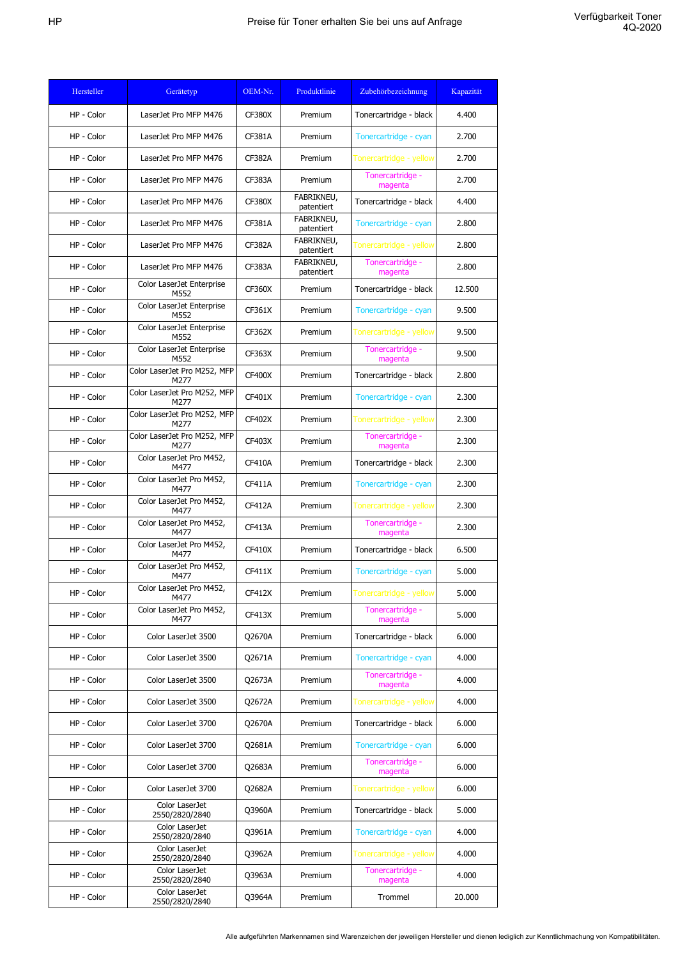| Hersteller | Gerätetyp                            | OEM-Nr.       | Produktlinie             | Zubehörbezeichnung          | Kapazität |
|------------|--------------------------------------|---------------|--------------------------|-----------------------------|-----------|
| HP - Color | LaserJet Pro MFP M476                | <b>CF380X</b> | Premium                  | Tonercartridge - black      | 4.400     |
| HP - Color | LaserJet Pro MFP M476                | <b>CF381A</b> | Premium                  | Tonercartridge - cyan       | 2.700     |
| HP - Color | LaserJet Pro MFP M476                | <b>CF382A</b> | Premium                  | Tonercartridge - yellow     | 2.700     |
| HP - Color | LaserJet Pro MFP M476                | CF383A        | Premium                  | Tonercartridge -<br>magenta | 2.700     |
| HP - Color | LaserJet Pro MFP M476                | CF380X        | FABRIKNEU,<br>patentiert | Tonercartridge - black      | 4.400     |
| HP - Color | LaserJet Pro MFP M476                | <b>CF381A</b> | FABRIKNEU,<br>patentiert | Tonercartridge - cyan       | 2.800     |
| HP - Color | LaserJet Pro MFP M476                | <b>CF382A</b> | FABRIKNEU,<br>patentiert | Tonercartridge - yellow     | 2.800     |
| HP - Color | LaserJet Pro MFP M476                | CF383A        | FABRIKNEU,<br>patentiert | Tonercartridge -<br>magenta | 2.800     |
| HP - Color | Color LaserJet Enterprise<br>M552    | <b>CF360X</b> | Premium                  | Tonercartridge - black      | 12.500    |
| HP - Color | Color LaserJet Enterprise<br>M552    | CF361X        | Premium                  | Tonercartridge - cyan       | 9.500     |
| HP - Color | Color LaserJet Enterprise<br>M552    | <b>CF362X</b> | Premium                  | Tonercartridge - yellow     | 9.500     |
| HP - Color | Color LaserJet Enterprise<br>M552    | CF363X        | Premium                  | Tonercartridge -<br>magenta | 9.500     |
| HP - Color | Color LaserJet Pro M252, MFP<br>M277 | CF400X        | Premium                  | Tonercartridge - black      | 2.800     |
| HP - Color | Color LaserJet Pro M252, MFP<br>M277 | <b>CF401X</b> | Premium                  | Tonercartridge - cyan       | 2.300     |
| HP - Color | Color LaserJet Pro M252, MFP<br>M277 | <b>CF402X</b> | Premium                  | Tonercartridge - yellow     | 2.300     |
| HP - Color | Color LaserJet Pro M252, MFP<br>M277 | <b>CF403X</b> | Premium                  | Tonercartridge -<br>magenta | 2.300     |
| HP - Color | Color LaserJet Pro M452,<br>M477     | <b>CF410A</b> | Premium                  | Tonercartridge - black      | 2.300     |
| HP - Color | Color LaserJet Pro M452,<br>M477     | <b>CF411A</b> | Premium                  | Tonercartridge - cyan       | 2.300     |
| HP - Color | Color LaserJet Pro M452,<br>M477     | <b>CF412A</b> | Premium                  | Tonercartridge - yellow     | 2.300     |
| HP - Color | Color LaserJet Pro M452,<br>M477     | <b>CF413A</b> | Premium                  | Tonercartridge -<br>magenta | 2.300     |
| HP - Color | Color LaserJet Pro M452,<br>M477     | <b>CF410X</b> | Premium                  | Tonercartridge - black      | 6.500     |
| HP - Color | Color LaserJet Pro M452,<br>M477     | CF411X        | Premium                  | Tonercartridge - cyan       | 5.000     |
| HP - Color | Color LaserJet Pro M452,<br>M477     | <b>CF412X</b> | Premium                  | Tonercartridge - yellow     | 5.000     |
| HP - Color | Color LaserJet Pro M452,<br>M477     | CF413X        | Premium                  | Tonercartridge -<br>magenta | 5.000     |
| HP - Color | Color LaserJet 3500                  | Q2670A        | Premium                  | Tonercartridge - black      | 6.000     |
| HP - Color | Color LaserJet 3500                  | Q2671A        | Premium                  | Tonercartridge - cyan       | 4.000     |
| HP - Color | Color LaserJet 3500                  | Q2673A        | Premium                  | Tonercartridge -<br>magenta | 4.000     |
| HP - Color | Color LaserJet 3500                  | Q2672A        | Premium                  | Tonercartridge - yellow     | 4.000     |
| HP - Color | Color LaserJet 3700                  | Q2670A        | Premium                  | Tonercartridge - black      | 6.000     |
| HP - Color | Color LaserJet 3700                  | Q2681A        | Premium                  | Tonercartridge - cyan       | 6.000     |
| HP - Color | Color LaserJet 3700                  | Q2683A        | Premium                  | Tonercartridge -<br>magenta | 6.000     |
| HP - Color | Color LaserJet 3700                  | Q2682A        | Premium                  | Tonercartridge - yellow     | 6.000     |
| HP - Color | Color LaserJet<br>2550/2820/2840     | Q3960A        | Premium                  | Tonercartridge - black      | 5.000     |
| HP - Color | Color LaserJet<br>2550/2820/2840     | Q3961A        | Premium                  | Tonercartridge - cyan       | 4.000     |
| HP - Color | Color LaserJet<br>2550/2820/2840     | Q3962A        | Premium                  | Tonercartridge - yellow     | 4.000     |
| HP - Color | Color LaserJet<br>2550/2820/2840     | Q3963A        | Premium                  | Tonercartridge -<br>magenta | 4.000     |
| HP - Color | Color LaserJet<br>2550/2820/2840     | Q3964A        | Premium                  | Trommel                     | 20.000    |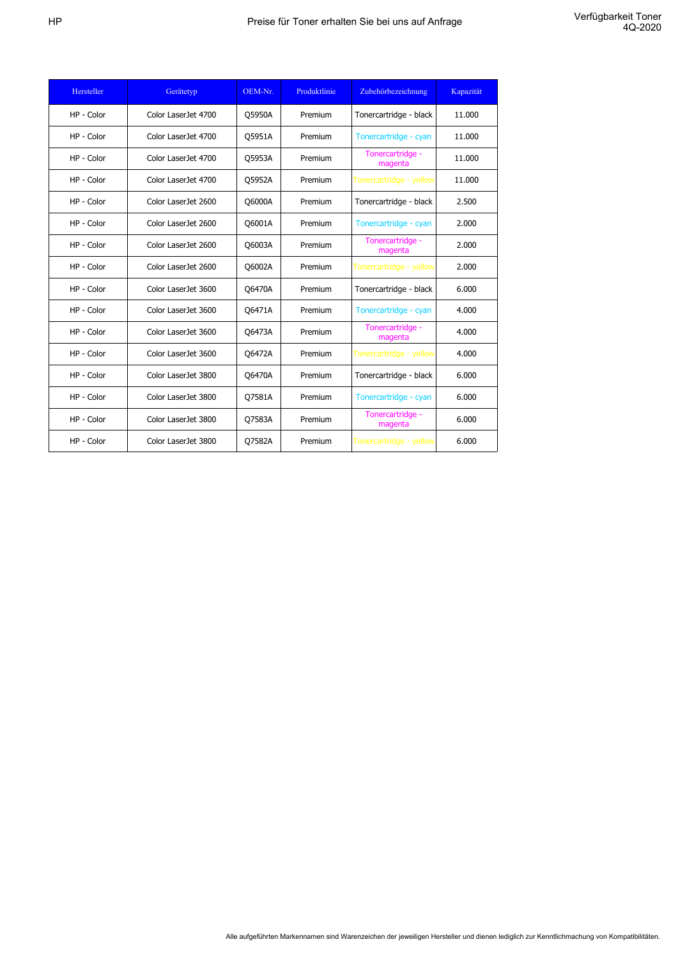| Hersteller | Gerätetyp           | OEM-Nr. | Produktlinie | Zubehörbezeichnung          | Kapazität |
|------------|---------------------|---------|--------------|-----------------------------|-----------|
| HP - Color | Color LaserJet 4700 | Q5950A  | Premium      | Tonercartridge - black      | 11.000    |
| HP - Color | Color LaserJet 4700 | Q5951A  | Premium      | Tonercartridge - cyan       | 11.000    |
| HP - Color | Color LaserJet 4700 | Q5953A  | Premium      | Tonercartridge -<br>magenta | 11.000    |
| HP - Color | Color LaserJet 4700 | Q5952A  | Premium      | Tonercartridge - yellow     | 11.000    |
| HP - Color | Color LaserJet 2600 | Q6000A  | Premium      | Tonercartridge - black      | 2.500     |
| HP - Color | Color LaserJet 2600 | Q6001A  | Premium      | Tonercartridge - cyan       | 2.000     |
| HP - Color | Color LaserJet 2600 | Q6003A  | Premium      | Tonercartridge -<br>magenta | 2.000     |
| HP - Color | Color LaserJet 2600 | Q6002A  | Premium      | Tonercartridge - yellow     | 2.000     |
| HP - Color | Color LaserJet 3600 | Q6470A  | Premium      | Tonercartridge - black      | 6.000     |
| HP - Color | Color LaserJet 3600 | Q6471A  | Premium      | Tonercartridge - cyan       | 4.000     |
| HP - Color | Color LaserJet 3600 | Q6473A  | Premium      | Tonercartridge -<br>magenta | 4.000     |
| HP - Color | Color LaserJet 3600 | Q6472A  | Premium      | Tonercartridge - yellow     | 4.000     |
| HP - Color | Color LaserJet 3800 | Q6470A  | Premium      | Tonercartridge - black      | 6.000     |
| HP - Color | Color LaserJet 3800 | Q7581A  | Premium      | Tonercartridge - cyan       | 6.000     |
| HP - Color | Color LaserJet 3800 | Q7583A  | Premium      | Tonercartridge -<br>magenta | 6.000     |
| HP - Color | Color LaserJet 3800 | Q7582A  | Premium      | Tonercartridge - yellow     | 6.000     |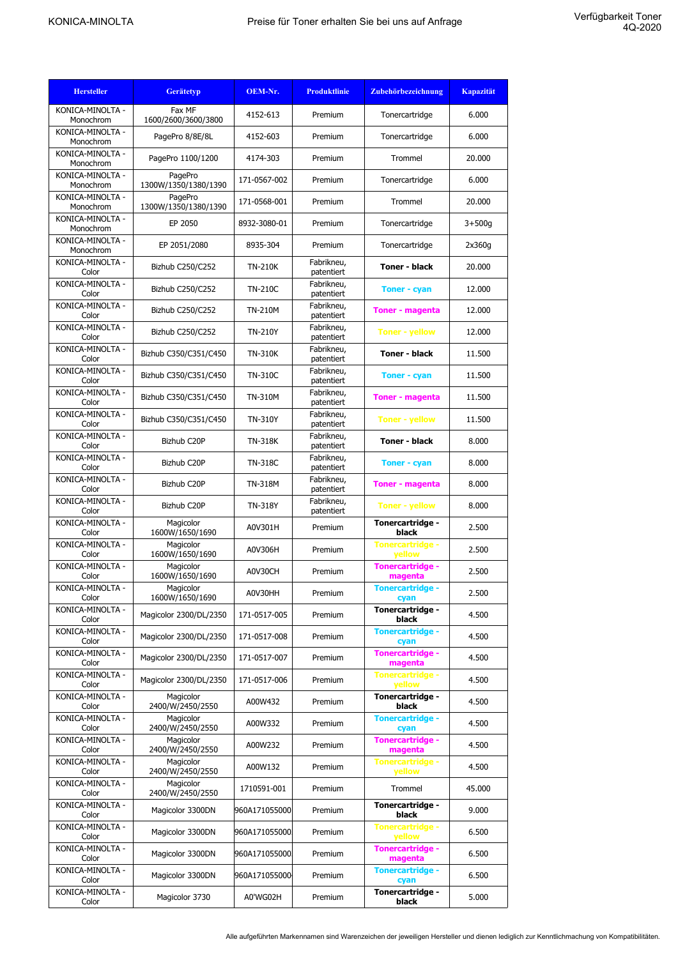| <b>Hersteller</b>             | <b>Gerätetyp</b>                | OEM-Nr.        | <b>Produktlinie</b>      | Zubehörbezeichnung                 | <b>Kapazität</b> |
|-------------------------------|---------------------------------|----------------|--------------------------|------------------------------------|------------------|
| KONICA-MINOLTA -<br>Monochrom | Fax MF<br>1600/2600/3600/3800   | 4152-613       | Premium                  | Tonercartridge                     | 6.000            |
| KONICA-MINOLTA -<br>Monochrom | PagePro 8/8E/8L                 | 4152-603       | Premium                  | Tonercartridge                     | 6.000            |
| KONICA-MINOLTA -<br>Monochrom | PagePro 1100/1200               | 4174-303       | Premium                  | Trommel                            | 20.000           |
| KONICA-MINOLTA -<br>Monochrom | PagePro<br>1300W/1350/1380/1390 | 171-0567-002   | Premium                  | Tonercartridge                     | 6.000            |
| KONICA-MINOLTA -<br>Monochrom | PagePro<br>1300W/1350/1380/1390 | 171-0568-001   | Premium                  | Trommel                            | 20.000           |
| KONICA-MINOLTA -<br>Monochrom | EP 2050                         | 8932-3080-01   | Premium                  | Tonercartridge                     | $3 + 500g$       |
| KONICA-MINOLTA -<br>Monochrom | EP 2051/2080                    | 8935-304       | Premium                  | Tonercartridge                     | 2x360g           |
| KONICA-MINOLTA -<br>Color     | Bizhub C250/C252                | <b>TN-210K</b> | Fabrikneu,<br>patentiert | <b>Toner - black</b>               | 20.000           |
| KONICA-MINOLTA -<br>Color     | Bizhub C250/C252                | <b>TN-210C</b> | Fabrikneu,<br>patentiert | <b>Toner - cyan</b>                | 12.000           |
| KONICA-MINOLTA -<br>Color     | Bizhub C250/C252                | <b>TN-210M</b> | Fabrikneu,<br>patentiert | <b>Toner - magenta</b>             | 12,000           |
| KONICA-MINOLTA -<br>Color     | Bizhub C250/C252                | <b>TN-210Y</b> | Fabrikneu,<br>patentiert | <b>Toner - yellow</b>              | 12.000           |
| KONICA-MINOLTA -<br>Color     | Bizhub C350/C351/C450           | <b>TN-310K</b> | Fabrikneu,<br>patentiert | <b>Toner - black</b>               | 11.500           |
| KONICA-MINOLTA -<br>Color     | Bizhub C350/C351/C450           | <b>TN-310C</b> | Fabrikneu,<br>patentiert | <b>Toner - cyan</b>                | 11.500           |
| KONICA-MINOLTA -<br>Color     | Bizhub C350/C351/C450           | <b>TN-310M</b> | Fabrikneu,<br>patentiert | <b>Toner - magenta</b>             | 11.500           |
| KONICA-MINOLTA -<br>Color     | Bizhub C350/C351/C450           | <b>TN-310Y</b> | Fabrikneu,<br>patentiert | <b>Toner - yellow</b>              | 11.500           |
| KONICA-MINOLTA -<br>Color     | Bizhub C20P                     | <b>TN-318K</b> | Fabrikneu,<br>patentiert | <b>Toner - black</b>               | 8.000            |
| KONICA-MINOLTA -<br>Color     | Bizhub C20P                     | <b>TN-318C</b> | Fabrikneu,<br>patentiert | <b>Toner - cyan</b>                | 8.000            |
| KONICA-MINOLTA -<br>Color     | Bizhub C20P                     | <b>TN-318M</b> | Fabrikneu,<br>patentiert | <b>Toner - magenta</b>             | 8.000            |
| KONICA-MINOLTA -<br>Color     | Bizhub C20P                     | <b>TN-318Y</b> | Fabrikneu,<br>patentiert | <b>Toner - yellow</b>              | 8.000            |
| KONICA-MINOLTA -<br>Color     | Magicolor<br>1600W/1650/1690    | A0V301H        | Premium                  | Tonercartridge -<br>black          | 2.500            |
| KONICA-MINOLTA -<br>Color     | Magicolor<br>1600W/1650/1690    | A0V306H        | Premium                  | Tonercartridge -<br>yellow         | 2.500            |
| KONICA-MINOLTA -<br>Color     | Magicolor<br>1600W/1650/1690    | A0V30CH        | Premium                  | <b>Tonercartridge -</b><br>magenta | 2.500            |
| KONICA-MINOLTA -<br>Color     | Magicolor<br>1600W/1650/1690    | A0V30HH        | Premium                  | <b>Tonercartridge -</b><br>cyan    | 2.500            |
| KONICA-MINOLTA -<br>Color     | Magicolor 2300/DL/2350          | 171-0517-005   | Premium                  | Tonercartridge -<br>black          | 4.500            |
| KONICA-MINOLTA -<br>Color     | Magicolor 2300/DL/2350          | 171-0517-008   | Premium                  | <b>Tonercartridge -</b><br>cyan    | 4.500            |
| KONICA-MINOLTA -<br>Color     | Magicolor 2300/DL/2350          | 171-0517-007   | Premium                  | Tonercartridge -<br>magenta        | 4.500            |
| KONICA-MINOLTA -<br>Color     | Magicolor 2300/DL/2350          | 171-0517-006   | Premium                  | Tonercartridge -<br>yellow         | 4.500            |
| KONICA-MINOLTA -<br>Color     | Magicolor<br>2400/W/2450/2550   | A00W432        | Premium                  | Tonercartridge -<br>black          | 4.500            |
| KONICA-MINOLTA -<br>Color     | Magicolor<br>2400/W/2450/2550   | A00W332        | Premium                  | <b>Tonercartridge -</b><br>cyan    | 4.500            |
| KONICA-MINOLTA -<br>Color     | Magicolor<br>2400/W/2450/2550   | A00W232        | Premium                  | <b>Tonercartridge -</b><br>magenta | 4.500            |
| KONICA-MINOLTA -<br>Color     | Magicolor<br>2400/W/2450/2550   | A00W132        | Premium                  | <b>Tonercartridge -</b><br>yellow  | 4.500            |
| KONICA-MINOLTA -<br>Color     | Magicolor<br>2400/W/2450/2550   | 1710591-001    | Premium                  | Trommel                            | 45.000           |
| KONICA-MINOLTA -<br>Color     | Magicolor 3300DN                | 960A171055000  | Premium                  | Tonercartridge -<br>black          | 9.000            |
| KONICA-MINOLTA -<br>Color     | Magicolor 3300DN                | 960A171055000  | Premium                  | <b>Tonercartridge -</b><br>yellow  | 6.500            |
| KONICA-MINOLTA -<br>Color     | Magicolor 3300DN                | 960A171055000  | Premium                  | Tonercartridge -<br>magenta        | 6.500            |
| KONICA-MINOLTA -<br>Color     | Magicolor 3300DN                | 960A171055000  | Premium                  | <b>Tonercartridge -</b><br>cyan    | 6.500            |
| KONICA-MINOLTA -<br>Color     | Magicolor 3730                  | A0'WG02H       | Premium                  | Tonercartridge -<br>black          | 5.000            |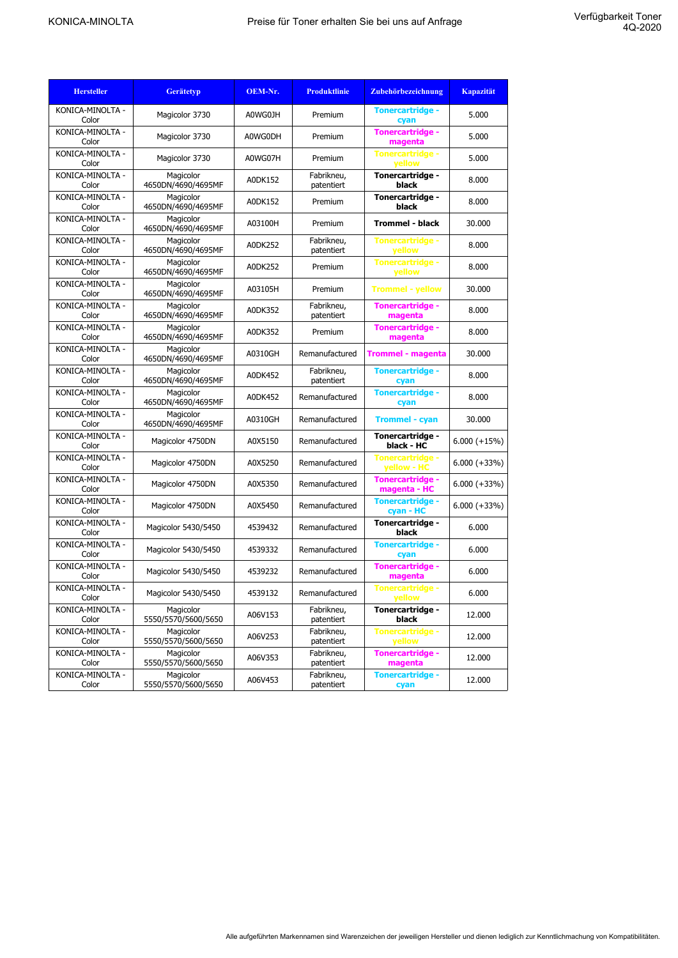| <b>Hersteller</b>         | <b>Gerätetyp</b>                 | OEM-Nr. | <b>Produktlinie</b>      | Zubehörbezeichnung                     | <b>Kapazität</b> |
|---------------------------|----------------------------------|---------|--------------------------|----------------------------------------|------------------|
| KONICA-MINOLTA -<br>Color | Magicolor 3730                   | A0WG0JH | Premium                  | <b>Tonercartridge -</b><br>cyan        | 5.000            |
| KONICA-MINOLTA -<br>Color | Magicolor 3730                   | A0WG0DH | Premium                  | <b>Tonercartridge -</b><br>magenta     | 5.000            |
| KONICA-MINOLTA -<br>Color | Magicolor 3730                   | A0WG07H | Premium                  | <b>Tonercartridge -</b><br>yellow      | 5.000            |
| KONICA-MINOLTA -<br>Color | Magicolor<br>4650DN/4690/4695MF  | A0DK152 | Fabrikneu,<br>patentiert | Tonercartridge -<br>black              | 8.000            |
| KONICA-MINOLTA -<br>Color | Magicolor<br>4650DN/4690/4695MF  | A0DK152 | Premium                  | Tonercartridge -<br>black              | 8.000            |
| KONICA-MINOLTA -<br>Color | Magicolor<br>4650DN/4690/4695MF  | A03100H | Premium                  | <b>Trommel - black</b>                 | 30.000           |
| KONICA-MINOLTA -<br>Color | Magicolor<br>4650DN/4690/4695MF  | A0DK252 | Fabrikneu,<br>patentiert | <b>Tonercartridge -</b><br>yellow      | 8.000            |
| KONICA-MINOLTA -<br>Color | Magicolor<br>4650DN/4690/4695MF  | A0DK252 | Premium                  | Tonercartridge -<br>yellow             | 8.000            |
| KONICA-MINOLTA -<br>Color | Magicolor<br>4650DN/4690/4695MF  | A03105H | Premium                  | <b>Trommel - yellow</b>                | 30.000           |
| KONICA-MINOLTA -<br>Color | Magicolor<br>4650DN/4690/4695MF  | A0DK352 | Fabrikneu,<br>patentiert | <b>Tonercartridge -</b><br>magenta     | 8.000            |
| KONICA-MINOLTA -<br>Color | Magicolor<br>4650DN/4690/4695MF  | A0DK352 | Premium                  | <b>Tonercartridge -</b><br>magenta     | 8.000            |
| KONICA-MINOLTA -<br>Color | Magicolor<br>4650DN/4690/4695MF  | A0310GH | Remanufactured           | <b>Trommel - magenta</b>               | 30.000           |
| KONICA-MINOLTA -<br>Color | Magicolor<br>4650DN/4690/4695MF  | A0DK452 | Fabrikneu,<br>patentiert | <b>Tonercartridge -</b><br>cyan        | 8.000            |
| KONICA-MINOLTA -<br>Color | Magicolor<br>4650DN/4690/4695MF  | A0DK452 | Remanufactured           | <b>Tonercartridge -</b><br>cyan        | 8.000            |
| KONICA-MINOLTA -<br>Color | Magicolor<br>4650DN/4690/4695MF  | A0310GH | Remanufactured           | <b>Trommel - cyan</b>                  | 30.000           |
| KONICA-MINOLTA -<br>Color | Magicolor 4750DN                 | A0X5150 | Remanufactured           | Tonercartridge -<br>black - HC         | $6.000 (+15%)$   |
| KONICA-MINOLTA -<br>Color | Magicolor 4750DN                 | A0X5250 | Remanufactured           | <b>Tonercartridge -</b><br>yellow - HC | $6.000 (+33\%)$  |
| KONICA-MINOLTA -<br>Color | Magicolor 4750DN                 | A0X5350 | Remanufactured           | Tonercartridge -<br>magenta - HC       | $6.000 (+33\%)$  |
| KONICA-MINOLTA -<br>Color | Magicolor 4750DN                 | A0X5450 | Remanufactured           | <b>Tonercartridge -</b><br>cyan - HC   | $6.000 (+33%)$   |
| KONICA-MINOLTA -<br>Color | Magicolor 5430/5450              | 4539432 | Remanufactured           | Tonercartridge -<br>black              | 6.000            |
| KONICA-MINOLTA -<br>Color | Magicolor 5430/5450              | 4539332 | Remanufactured           | <b>Tonercartridge -</b><br>cyan        | 6.000            |
| KONICA-MINOLTA -<br>Color | Magicolor 5430/5450              | 4539232 | Remanufactured           | <b>Tonercartridge -</b><br>magenta     | 6.000            |
| KONICA-MINOLTA -<br>Color | Magicolor 5430/5450              | 4539132 | Remanufactured           | vellow                                 | 6.000            |
| KONICA-MINOLTA -<br>Color | Magicolor<br>5550/5570/5600/5650 | A06V153 | Fabrikneu,<br>patentiert | Tonercartridge -<br>black              | 12.000           |
| KONICA-MINOLTA -<br>Color | Magicolor<br>5550/5570/5600/5650 | A06V253 | Fabrikneu,<br>patentiert | <b>Tonercartridge -</b><br>yellow      | 12.000           |
| KONICA-MINOLTA -<br>Color | Magicolor<br>5550/5570/5600/5650 | A06V353 | Fabrikneu,<br>patentiert | <b>Tonercartridge -</b><br>magenta     | 12.000           |
| KONICA-MINOLTA -<br>Color | Magicolor<br>5550/5570/5600/5650 | A06V453 | Fabrikneu,<br>patentiert | <b>Tonercartridge -</b><br>cyan        | 12.000           |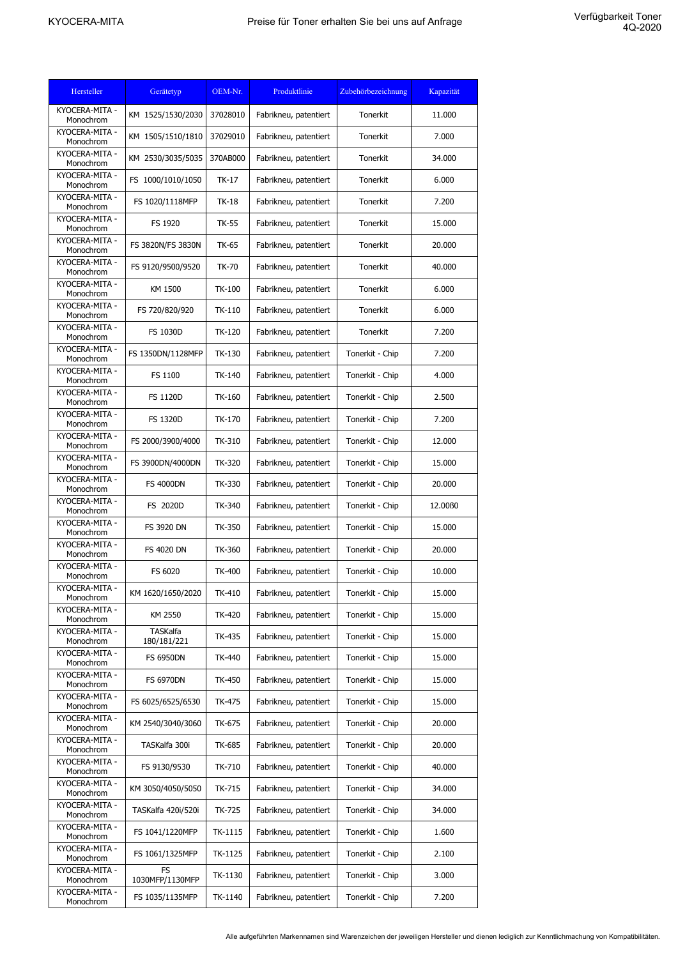| Hersteller                  | Gerätetyp                      | OEM-Nr.       | Produktlinie          | Zubehörbezeichnung | Kapazität          |
|-----------------------------|--------------------------------|---------------|-----------------------|--------------------|--------------------|
| KYOCERA-MITA -<br>Monochrom | KM 1525/1530/2030              | 37028010      | Fabrikneu, patentiert | Tonerkit           | 11.000             |
| KYOCERA-MITA -<br>Monochrom | KM 1505/1510/1810              | 37029010      | Fabrikneu, patentiert | Tonerkit           | 7.000              |
| KYOCERA-MITA -<br>Monochrom | KM 2530/3035/5035              | 370AB000      | Fabrikneu, patentiert | Tonerkit           | 34.000             |
| KYOCERA-MITA -<br>Monochrom | FS 1000/1010/1050              | <b>TK-17</b>  | Fabrikneu, patentiert | Tonerkit           | 6.000              |
| KYOCERA-MITA -<br>Monochrom | FS 1020/1118MFP                | <b>TK-18</b>  | Fabrikneu, patentiert | Tonerkit           | 7.200              |
| KYOCERA-MITA -<br>Monochrom | FS 1920                        | TK-55         | Fabrikneu, patentiert | Tonerkit           | 15,000             |
| KYOCERA-MITA -<br>Monochrom | FS 3820N/FS 3830N              | TK-65         | Fabrikneu, patentiert | Tonerkit           | 20.000             |
| KYOCERA-MITA -<br>Monochrom | FS 9120/9500/9520              | <b>TK-70</b>  | Fabrikneu, patentiert | Tonerkit           | 40.000             |
| KYOCERA-MITA -<br>Monochrom | KM 1500                        | <b>TK-100</b> | Fabrikneu, patentiert | Tonerkit           | 6.000              |
| KYOCERA-MITA -<br>Monochrom | FS 720/820/920                 | TK-110        | Fabrikneu, patentiert | Tonerkit           | 6.000              |
| KYOCERA-MITA -<br>Monochrom | <b>FS 1030D</b>                | TK-120        | Fabrikneu, patentiert | Tonerkit           | 7.200              |
| KYOCERA-MITA -<br>Monochrom | FS 1350DN/1128MFP              | TK-130        | Fabrikneu, patentiert | Tonerkit - Chip    | 7.200              |
| KYOCERA-MITA -<br>Monochrom | FS 1100                        | TK-140        | Fabrikneu, patentiert | Tonerkit - Chip    | 4.000              |
| KYOCERA-MITA -<br>Monochrom | <b>FS 1120D</b>                | TK-160        | Fabrikneu, patentiert | Tonerkit - Chip    | 2.500              |
| KYOCERA-MITA -<br>Monochrom | <b>FS 1320D</b>                | TK-170        | Fabrikneu, patentiert | Tonerkit - Chip    | 7.200              |
| KYOCERA-MITA -<br>Monochrom | FS 2000/3900/4000              | TK-310        | Fabrikneu, patentiert | Tonerkit - Chip    | 12.000             |
| KYOCERA-MITA -<br>Monochrom | FS 3900DN/4000DN               | TK-320        | Fabrikneu, patentiert | Tonerkit - Chip    | 15.000             |
| KYOCERA-MITA -<br>Monochrom | <b>FS 4000DN</b>               | TK-330        | Fabrikneu, patentiert | Tonerkit - Chip    | 20.000             |
| KYOCERA-MITA -<br>Monochrom | FS 2020D                       | TK-340        | Fabrikneu, patentiert | Tonerkit - Chip    | 12.00 <sub>B</sub> |
| KYOCERA-MITA -<br>Monochrom | FS 3920 DN                     | TK-350        | Fabrikneu, patentiert | Tonerkit - Chip    | 15.000             |
| KYOCERA-MITA -<br>Monochrom | FS 4020 DN                     | TK-360        | Fabrikneu, patentiert | Tonerkit - Chip    | 20.000             |
| KYOCERA-MITA -<br>Monochrom | FS 6020                        | <b>TK-400</b> | Fabrikneu, patentiert | Tonerkit - Chip    | 10.000             |
| KYOCERA-MITA -<br>Monochrom | KM 1620/1650/2020              | TK-410        | Fabrikneu, patentiert | Tonerkit - Chip    | 15.000             |
| KYOCERA-MITA -<br>Monochrom | KM 2550                        | <b>TK-420</b> | Fabrikneu, patentiert | Tonerkit - Chip    | 15.000             |
| KYOCERA-MITA -<br>Monochrom | <b>TASKalfa</b><br>180/181/221 | TK-435        | Fabrikneu, patentiert | Tonerkit - Chip    | 15.000             |
| KYOCERA-MITA -<br>Monochrom | <b>FS 6950DN</b>               | TK-440        | Fabrikneu, patentiert | Tonerkit - Chip    | 15.000             |
| KYOCERA-MITA -<br>Monochrom | <b>FS 6970DN</b>               | TK-450        | Fabrikneu, patentiert | Tonerkit - Chip    | 15.000             |
| KYOCERA-MITA -<br>Monochrom | FS 6025/6525/6530              | TK-475        | Fabrikneu, patentiert | Tonerkit - Chip    | 15.000             |
| KYOCERA-MITA -<br>Monochrom | KM 2540/3040/3060              | TK-675        | Fabrikneu, patentiert | Tonerkit - Chip    | 20.000             |
| KYOCERA-MITA -<br>Monochrom | TASKalfa 300i                  | TK-685        | Fabrikneu, patentiert | Tonerkit - Chip    | 20.000             |
| KYOCERA-MITA -<br>Monochrom | FS 9130/9530                   | TK-710        | Fabrikneu, patentiert | Tonerkit - Chip    | 40.000             |
| KYOCERA-MITA -<br>Monochrom | KM 3050/4050/5050              | TK-715        | Fabrikneu, patentiert | Tonerkit - Chip    | 34.000             |
| KYOCERA-MITA -<br>Monochrom | TASKalfa 420i/520i             | TK-725        | Fabrikneu, patentiert | Tonerkit - Chip    | 34.000             |
| KYOCERA-MITA -<br>Monochrom | FS 1041/1220MFP                | TK-1115       | Fabrikneu, patentiert | Tonerkit - Chip    | 1.600              |
| KYOCERA-MITA -<br>Monochrom | FS 1061/1325MFP                | TK-1125       | Fabrikneu, patentiert | Tonerkit - Chip    | 2.100              |
| KYOCERA-MITA -<br>Monochrom | <b>FS</b><br>1030MFP/1130MFP   | TK-1130       | Fabrikneu, patentiert | Tonerkit - Chip    | 3.000              |
| KYOCERA-MITA -<br>Monochrom | FS 1035/1135MFP                | TK-1140       | Fabrikneu, patentiert | Tonerkit - Chip    | 7.200              |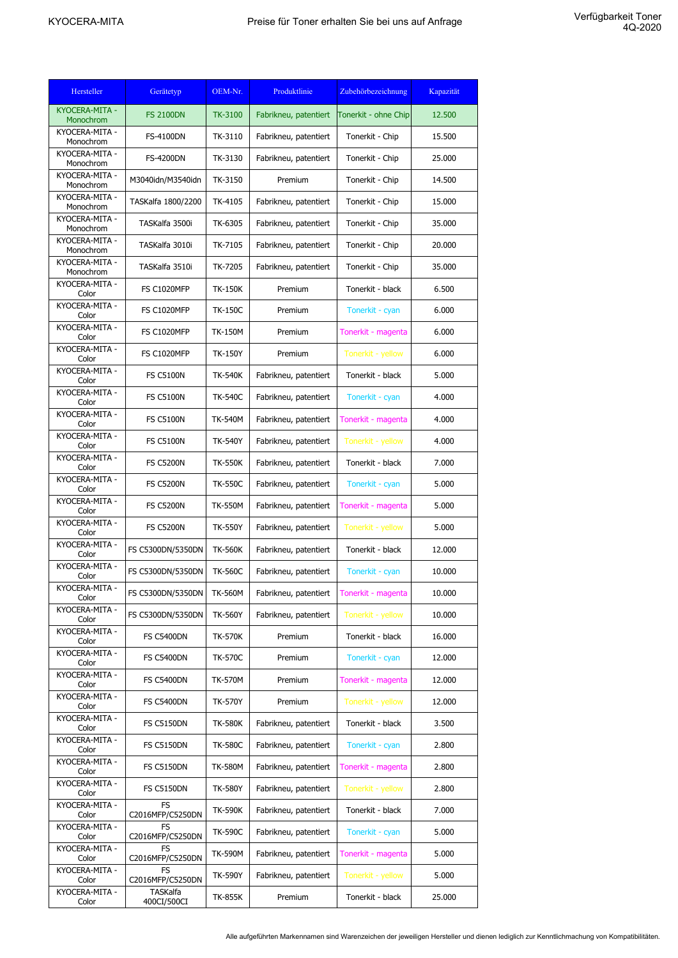| Hersteller                               | Gerätetyp                                          | OEM-Nr.        | Produktlinie          | Zubehörbezeichnung   | Kapazität |
|------------------------------------------|----------------------------------------------------|----------------|-----------------------|----------------------|-----------|
| KYOCERA-MITA -<br>Monochrom              | <b>FS 2100DN</b>                                   | TK-3100        | Fabrikneu, patentiert | Tonerkit - ohne Chip | 12.500    |
| KYOCERA-MITA -<br>Monochrom              | <b>FS-4100DN</b>                                   | TK-3110        | Fabrikneu, patentiert | Tonerkit - Chip      | 15.500    |
| KYOCERA-MITA -<br>Monochrom              | <b>FS-4200DN</b>                                   | TK-3130        | Fabrikneu, patentiert | Tonerkit - Chip      | 25.000    |
| KYOCERA-MITA -<br>Monochrom              | M3040idn/M3540idn                                  | TK-3150        | Premium               | Tonerkit - Chip      | 14.500    |
| KYOCERA-MITA -                           | TASKalfa 1800/2200                                 | TK-4105        | Fabrikneu, patentiert | Tonerkit - Chip      | 15.000    |
| Monochrom<br>KYOCERA-MITA -<br>Monochrom | TASKalfa 3500i                                     | TK-6305        | Fabrikneu, patentiert | Tonerkit - Chip      | 35.000    |
| KYOCERA-MITA -<br>Monochrom              | TASKalfa 3010i                                     | TK-7105        | Fabrikneu, patentiert | Tonerkit - Chip      | 20.000    |
| KYOCERA-MITA -<br>Monochrom              | TASKalfa 3510i                                     | TK-7205        | Fabrikneu, patentiert | Tonerkit - Chip      | 35.000    |
| KYOCERA-MITA -<br>Color                  | <b>FS C1020MFP</b>                                 | <b>TK-150K</b> | Premium               | Tonerkit - black     | 6.500     |
| KYOCERA-MITA -<br>Color                  | <b>FS C1020MFP</b>                                 | <b>TK-150C</b> | Premium               | Tonerkit - cyan      | 6.000     |
| KYOCERA-MITA -<br>Color                  | <b>FS C1020MFP</b>                                 | <b>TK-150M</b> | Premium               | Tonerkit - magenta   | 6.000     |
| KYOCERA-MITA -<br>Color                  | <b>FS C1020MFP</b>                                 | <b>TK-150Y</b> | Premium               | Tonerkit - yellow    | 6.000     |
| KYOCERA-MITA -<br>Color                  | <b>FS C5100N</b>                                   | <b>TK-540K</b> | Fabrikneu, patentiert | Tonerkit - black     | 5.000     |
| KYOCERA-MITA -                           | <b>FS C5100N</b>                                   | <b>TK-540C</b> | Fabrikneu, patentiert | Tonerkit - cyan      | 4.000     |
| Color<br>KYOCERA-MITA -                  | <b>FS C5100N</b>                                   | <b>TK-540M</b> | Fabrikneu, patentiert | Tonerkit - magenta   | 4.000     |
| Color<br>KYOCERA-MITA -                  | <b>FS C5100N</b>                                   | <b>TK-540Y</b> | Fabrikneu, patentiert | Tonerkit - yellow    | 4.000     |
| Color<br>KYOCERA-MITA -                  | <b>FS C5200N</b>                                   | <b>TK-550K</b> | Fabrikneu, patentiert | Tonerkit - black     | 7.000     |
| Color<br>KYOCERA-MITA -                  | <b>FS C5200N</b>                                   | <b>TK-550C</b> | Fabrikneu, patentiert | Tonerkit - cyan      | 5.000     |
| Color<br>KYOCERA-MITA -                  | <b>FS C5200N</b>                                   | <b>TK-550M</b> | Fabrikneu, patentiert | Tonerkit - magenta   | 5.000     |
| Color<br>KYOCERA-MITA -                  | <b>FS C5200N</b>                                   | <b>TK-550Y</b> | Fabrikneu, patentiert | Tonerkit - yellow    | 5.000     |
| Color<br>KYOCERA-MITA -                  | FS C5300DN/5350DN                                  | <b>TK-560K</b> | Fabrikneu, patentiert | Tonerkit - black     | 12,000    |
| Color<br>KYOCERA-MITA -                  | FS C5300DN/5350DN                                  | <b>TK-560C</b> | Fabrikneu, patentiert | Tonerkit - cyan      | 10.000    |
| Color<br>KYOCERA-MITA -                  | FS C5300DN/5350DN                                  | <b>TK-560M</b> | Fabrikneu, patentiert | Tonerkit - magenta   | 10.000    |
| Color<br>KYOCERA-MITA -<br>Color         | FS C5300DN/5350DN                                  | <b>TK-560Y</b> | Fabrikneu, patentiert | Tonerkit - yellow    | 10.000    |
| KYOCERA-MITA -                           | <b>FS C5400DN</b>                                  | <b>TK-570K</b> | Premium               | Tonerkit - black     | 16.000    |
| Color<br>KYOCERA-MITA -                  | <b>FS C5400DN</b>                                  | <b>TK-570C</b> | Premium               | Tonerkit - cyan      | 12.000    |
| Color<br>KYOCERA-MITA -                  | <b>FS C5400DN</b>                                  | <b>TK-570M</b> | Premium               | Tonerkit - magenta   | 12.000    |
| Color<br>KYOCERA-MITA -                  | <b>FS C5400DN</b>                                  | <b>TK-570Y</b> | Premium               | Tonerkit - yellow    | 12.000    |
| Color<br>KYOCERA-MITA -                  | <b>FS C5150DN</b>                                  | <b>TK-580K</b> | Fabrikneu, patentiert | Tonerkit - black     | 3.500     |
| Color<br>KYOCERA-MITA -                  | <b>FS C5150DN</b>                                  | <b>TK-580C</b> | Fabrikneu, patentiert | Tonerkit - cyan      | 2.800     |
| Color<br>KYOCERA-MITA -                  | <b>FS C5150DN</b>                                  | <b>TK-580M</b> | Fabrikneu, patentiert | Tonerkit - magenta   | 2.800     |
| Color<br>KYOCERA-MITA -                  | <b>FS C5150DN</b>                                  | TK-580Y        | Fabrikneu, patentiert | Tonerkit - yellow    | 2.800     |
| Color<br>KYOCERA-MITA -                  | <b>FS</b>                                          | <b>TK-590K</b> | Fabrikneu, patentiert | Tonerkit - black     | 7.000     |
| Color<br>KYOCERA-MITA -                  | C2016MFP/C5250DN<br>FS                             | <b>TK-590C</b> | Fabrikneu, patentiert | Tonerkit - cyan      | 5.000     |
| Color<br>KYOCERA-MITA -                  | C2016MFP/C5250DN<br><b>FS</b>                      | <b>TK-590M</b> | Fabrikneu, patentiert | Tonerkit - magenta   | 5.000     |
| Color<br>KYOCERA-MITA -                  | C2016MFP/C5250DN<br><b>FS</b>                      | <b>TK-590Y</b> | Fabrikneu, patentiert | Tonerkit - yellow    | 5.000     |
| Color<br>KYOCERA-MITA -<br>Color         | C2016MFP/C5250DN<br><b>TASKalfa</b><br>400CI/500CI | <b>TK-855K</b> | Premium               | Tonerkit - black     | 25.000    |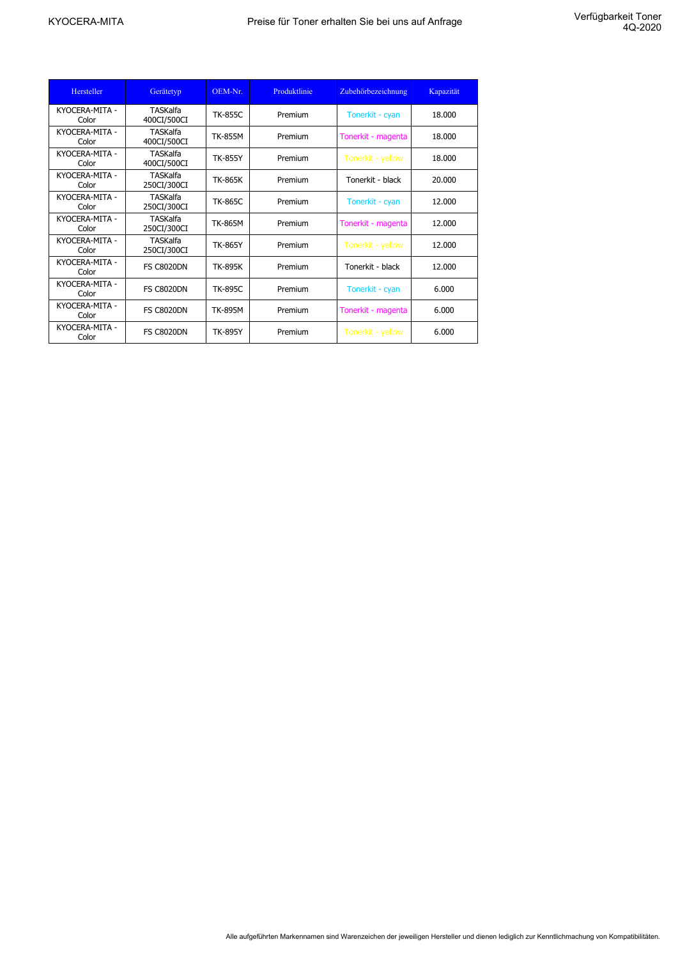| Hersteller              | Gerätetyp                      | OEM-Nr.        | Produktlinie | Zubehörbezeichnung | Kapazität |
|-------------------------|--------------------------------|----------------|--------------|--------------------|-----------|
| KYOCERA-MITA -<br>Color | <b>TASKalfa</b><br>400CI/500CI | <b>TK-855C</b> | Premium      | Tonerkit - cyan    | 18.000    |
| KYOCERA-MITA -<br>Color | <b>TASKalfa</b><br>400CI/500CI | <b>TK-855M</b> | Premium      | Tonerkit - magenta | 18.000    |
| KYOCERA-MITA -<br>Color | TASKalfa<br>400CI/500CI        | <b>TK-855Y</b> | Premium      | Tonerkit - yellow  | 18.000    |
| KYOCERA-MITA -<br>Color | <b>TASKalfa</b><br>250CI/300CI | <b>TK-865K</b> | Premium      | Tonerkit - black   | 20.000    |
| KYOCERA-MITA -<br>Color | <b>TASKalfa</b><br>250CI/300CI | <b>TK-865C</b> | Premium      | Tonerkit - cyan    | 12.000    |
| KYOCERA-MITA -<br>Color | <b>TASKalfa</b><br>250CI/300CI | <b>TK-865M</b> | Premium      | Tonerkit - magenta | 12.000    |
| KYOCERA-MITA -<br>Color | TASKalfa<br>250CI/300CI        | <b>TK-865Y</b> | Premium      | Tonerkit - yellow  | 12,000    |
| KYOCERA-MITA -<br>Color | <b>FS C8020DN</b>              | <b>TK-895K</b> | Premium      | Tonerkit - black   | 12,000    |
| KYOCERA-MITA -<br>Color | <b>FS C8020DN</b>              | <b>TK-895C</b> | Premium      | Tonerkit - cyan    | 6.000     |
| KYOCERA-MITA -<br>Color | <b>FS C8020DN</b>              | <b>TK-895M</b> | Premium      | Tonerkit - magenta | 6.000     |
| KYOCERA-MITA -<br>Color | <b>FS C8020DN</b>              | <b>TK-895Y</b> | Premium      | Tonerkit - yellow  | 6.000     |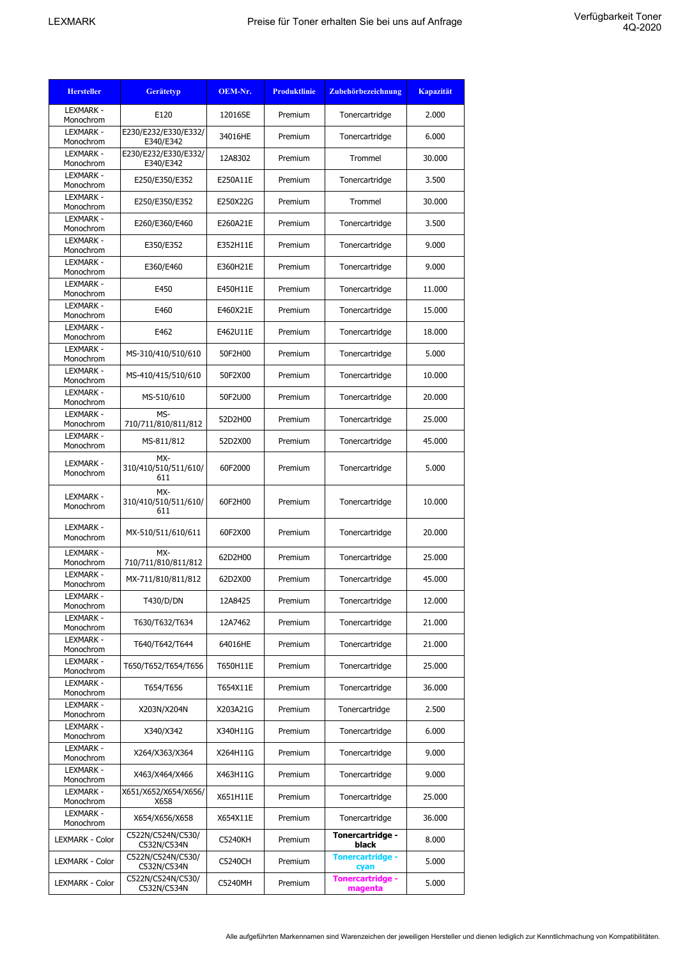| <b>Hersteller</b>             | <b>Gerätetyp</b>                   | OEM-Nr.  | <b>Produktlinie</b> | Zubehörbezeichnung                 | <b>Kapazität</b> |
|-------------------------------|------------------------------------|----------|---------------------|------------------------------------|------------------|
| <b>LEXMARK -</b><br>Monochrom | E120                               | 12016SE  | Premium             | Tonercartridge                     | 2.000            |
| LEXMARK -<br>Monochrom        | E230/E232/E330/E332/<br>E340/E342  | 34016HE  | Premium             | Tonercartridge                     | 6.000            |
| <b>LEXMARK -</b><br>Monochrom | E230/E232/E330/E332/<br>E340/E342  | 12A8302  | Premium             | Trommel                            | 30.000           |
| LEXMARK -<br>Monochrom        | E250/E350/E352                     | E250A11E | Premium             | Tonercartridge                     | 3.500            |
| <b>LEXMARK -</b><br>Monochrom | E250/E350/E352                     | E250X22G | Premium             | Trommel                            | 30.000           |
| <b>LEXMARK -</b><br>Monochrom | E260/E360/E460                     | E260A21E | Premium             | Tonercartridge                     | 3.500            |
| <b>LEXMARK -</b><br>Monochrom | E350/E352                          | E352H11E | Premium             | Tonercartridge                     | 9.000            |
| <b>LEXMARK -</b><br>Monochrom | E360/E460                          | E360H21E | Premium             | Tonercartridge                     | 9.000            |
| <b>LEXMARK -</b><br>Monochrom | E450                               | E450H11E | Premium             | Tonercartridge                     | 11.000           |
| <b>LEXMARK -</b><br>Monochrom | E460                               | E460X21E | Premium             | Tonercartridge                     | 15.000           |
| <b>LEXMARK -</b><br>Monochrom | E462                               | E462U11E | Premium             | Tonercartridge                     | 18.000           |
| <b>LEXMARK -</b><br>Monochrom | MS-310/410/510/610                 | 50F2H00  | Premium             | Tonercartridge                     | 5.000            |
| LEXMARK -<br>Monochrom        | MS-410/415/510/610                 | 50F2X00  | Premium             | Tonercartridge                     | 10.000           |
| <b>LEXMARK -</b><br>Monochrom | MS-510/610                         | 50F2U00  | Premium             | Tonercartridge                     | 20,000           |
| <b>LEXMARK -</b><br>Monochrom | MS-<br>710/711/810/811/812         | 52D2H00  | Premium             | Tonercartridge                     | 25.000           |
| LEXMARK -<br>Monochrom        | MS-811/812                         | 52D2X00  | Premium             | Tonercartridge                     | 45.000           |
| <b>LEXMARK -</b><br>Monochrom | MX-<br>310/410/510/511/610/<br>611 | 60F2000  | Premium             | Tonercartridge                     | 5.000            |
| <b>LEXMARK -</b><br>Monochrom | MX-<br>310/410/510/511/610/<br>611 | 60F2H00  | Premium             | Tonercartridge                     | 10.000           |
| <b>LEXMARK -</b><br>Monochrom | MX-510/511/610/611                 | 60F2X00  | Premium             | Tonercartridge                     | 20,000           |
| <b>LEXMARK -</b><br>Monochrom | MX-<br>710/711/810/811/812         | 62D2H00  | Premium             | Tonercartridge                     | 25,000           |
| <b>LEXMARK -</b><br>Monochrom | MX-711/810/811/812                 | 62D2X00  | Premium             | Tonercartridge                     | 45.000           |
| <b>LEXMARK -</b><br>Monochrom | T430/D/DN                          | 12A8425  | Premium             | Tonercartridge                     | 12.000           |
| <b>LEXMARK -</b><br>Monochrom | T630/T632/T634                     | 12A7462  | Premium             | Tonercartridge                     | 21.000           |
| LEXMARK -<br>Monochrom        | T640/T642/T644                     | 64016HE  | Premium             | Tonercartridge                     | 21.000           |
| LEXMARK -<br>Monochrom        | T650/T652/T654/T656                | T650H11E | Premium             | Tonercartridge                     | 25.000           |
| LEXMARK -<br>Monochrom        | T654/T656                          | T654X11E | Premium             | Tonercartridge                     | 36,000           |
| LEXMARK -<br>Monochrom        | X203N/X204N                        | X203A21G | Premium             | Tonercartridge                     | 2.500            |
| LEXMARK -<br>Monochrom        | X340/X342                          | X340H11G | Premium             | Tonercartridge                     | 6.000            |
| <b>LEXMARK -</b><br>Monochrom | X264/X363/X364                     | X264H11G | Premium             | Tonercartridge                     | 9.000            |
| LEXMARK -<br>Monochrom        | X463/X464/X466                     | X463H11G | Premium             | Tonercartridge                     | 9.000            |
| <b>LEXMARK -</b><br>Monochrom | X651/X652/X654/X656/<br>X658       | X651H11E | Premium             | Tonercartridge                     | 25.000           |
| <b>LEXMARK -</b><br>Monochrom | X654/X656/X658                     | X654X11E | Premium             | Tonercartridge                     | 36.000           |
| LEXMARK - Color               | C522N/C524N/C530/<br>C532N/C534N   | C5240KH  | Premium             | Tonercartridge -<br>black          | 8.000            |
| LEXMARK - Color               | C522N/C524N/C530/<br>C532N/C534N   | C5240CH  | Premium             | <b>Tonercartridge -</b><br>cyan    | 5.000            |
| LEXMARK - Color               | C522N/C524N/C530/<br>C532N/C534N   | C5240MH  | Premium             | <b>Tonercartridge -</b><br>magenta | 5.000            |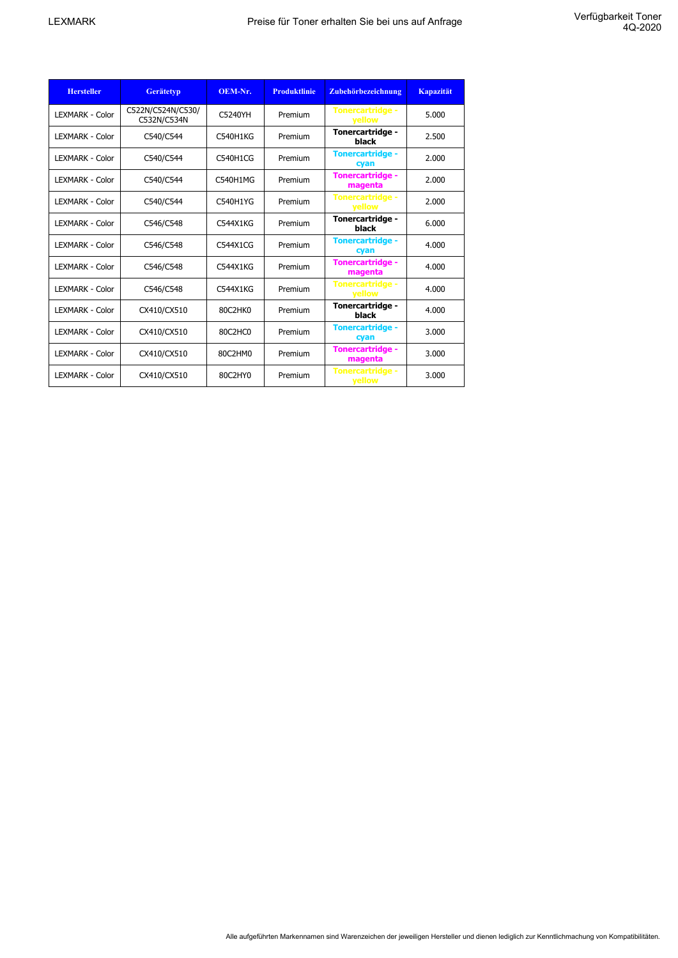| <b>Hersteller</b>       | <b>Gerätetyp</b>                 | OEM-Nr.         | <b>Produktlinie</b> | Zubehörbezeichnung                       | <b>Kapazität</b> |
|-------------------------|----------------------------------|-----------------|---------------------|------------------------------------------|------------------|
| <b>LEXMARK - Color</b>  | C522N/C524N/C530/<br>C532N/C534N | C5240YH         | Premium             | <b>Tonercartridge -</b><br>yellow        | 5.000            |
| <b>I FXMARK - Color</b> | C540/C544                        | <b>C540H1KG</b> | Premium             | Tonercartridge -<br>black                | 2.500            |
| <b>LEXMARK - Color</b>  | C540/C544                        | C540H1CG        | Premium             | <b>Tonercartridge -</b><br>cyan          | 2.000            |
| <b>LEXMARK - Color</b>  | C540/C544                        | C540H1MG        | Premium             | <b>Tonercartridge -</b><br>magenta       | 2.000            |
| <b>I FXMARK - Color</b> | C540/C544                        | C540H1YG        | Premium             | <b>Tonercartridge -</b><br><b>vellow</b> | 2.000            |
| <b>LEXMARK - Color</b>  | C546/C548                        | C544X1KG        | Premium             | Tonercartridge -<br>black                | 6.000            |
| <b>LEXMARK - Color</b>  | C546/C548                        | C544X1CG        | Premium             | <b>Tonercartridge -</b><br>cyan          | 4.000            |
| <b>LEXMARK - Color</b>  | C546/C548                        | C544X1KG        | Premium             | <b>Tonercartridge -</b><br>magenta       | 4.000            |
| <b>LEXMARK - Color</b>  | C546/C548                        | C544X1KG        | Premium             | <b>Tonercartridge -</b><br>yellow        | 4.000            |
| <b>I FXMARK - Color</b> | CX410/CX510                      | 80C2HK0         | Premium             | Tonercartridge -<br>black                | 4.000            |
| <b>LEXMARK - Color</b>  | CX410/CX510                      | 80C2HC0         | Premium             | <b>Tonercartridge -</b><br>cyan          | 3.000            |
| <b>LEXMARK - Color</b>  | CX410/CX510                      | 80C2HM0         | Premium             | <b>Tonercartridge -</b><br>magenta       | 3.000            |
| <b>I FXMARK - Color</b> | CX410/CX510                      | 80C2HY0         | Premium             | <b>Tonercartridge -</b><br>yellow        | 3.000            |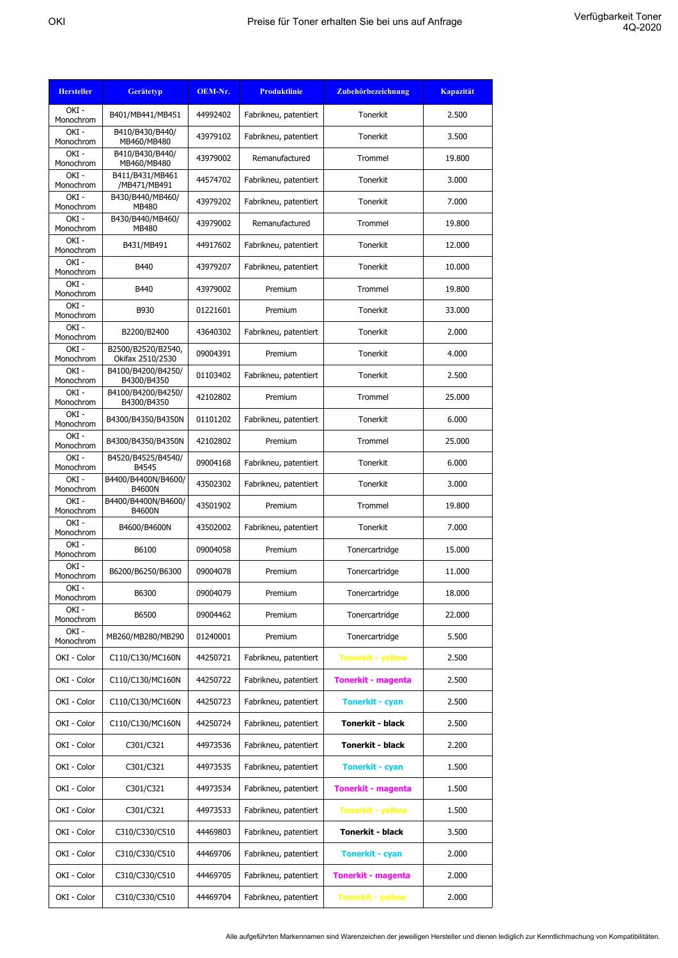| <b>Hersteller</b>    | <b>Gerätetyp</b>                       | OEM-Nr.  | <b>Produktlinie</b>   | Zubehörbezeichnung        | <b>Kapazität</b> |
|----------------------|----------------------------------------|----------|-----------------------|---------------------------|------------------|
| OKI-<br>Monochrom    | B401/MB441/MB451                       | 44992402 | Fabrikneu, patentiert | Tonerkit                  | 2.500            |
| OKI-<br>Monochrom    | B410/B430/B440/<br>MB460/MB480         | 43979102 | Fabrikneu, patentiert | Tonerkit                  | 3.500            |
| OKI-<br>Monochrom    | B410/B430/B440/<br>MB460/MB480         | 43979002 | Remanufactured        | Trommel                   | 19,800           |
| OKI-<br>Monochrom    | B411/B431/MB461<br>/MB471/MB491        | 44574702 | Fabrikneu, patentiert | Tonerkit                  | 3.000            |
| OKI-<br>Monochrom    | B430/B440/MB460/<br>MB480              | 43979202 | Fabrikneu, patentiert | Tonerkit                  | 7.000            |
| OKI-<br>Monochrom    | B430/B440/MB460/<br><b>MB480</b>       | 43979002 | Remanufactured        | Trommel                   | 19,800           |
| OKI-<br>Monochrom    | B431/MB491                             | 44917602 | Fabrikneu, patentiert | Tonerkit                  | 12.000           |
| OKI-<br>Monochrom    | B440                                   | 43979207 | Fabrikneu, patentiert | <b>Tonerkit</b>           | 10.000           |
| OKI-<br>Monochrom    | B440                                   | 43979002 | Premium               | Trommel                   | 19,800           |
| OKI -<br>Monochrom   | B930                                   | 01221601 | Premium               | Tonerkit                  | 33,000           |
| OKI-<br>Monochrom    | B2200/B2400                            | 43640302 | Fabrikneu, patentiert | Tonerkit                  | 2.000            |
| OKI-<br>Monochrom    | B2500/B2520/B2540,<br>Okifax 2510/2530 | 09004391 | Premium               | Tonerkit                  | 4.000            |
| OKI-<br>Monochrom    | B4100/B4200/B4250/<br>B4300/B4350      | 01103402 | Fabrikneu, patentiert | <b>Tonerkit</b>           | 2.500            |
| OKI -<br>Monochrom   | B4100/B4200/B4250/<br>B4300/B4350      | 42102802 | Premium               | Trommel                   | 25,000           |
| OKI -<br>Monochrom   | B4300/B4350/B4350N                     | 01101202 | Fabrikneu, patentiert | Tonerkit                  | 6.000            |
| OKI-<br>Monochrom    | B4300/B4350/B4350N                     | 42102802 | Premium               | Trommel                   | 25.000           |
| OKI-<br>Monochrom    | B4520/B4525/B4540/<br>B4545            | 09004168 | Fabrikneu, patentiert | Tonerkit                  | 6.000            |
| OKI-<br>Monochrom    | B4400/B4400N/B4600/<br><b>B4600N</b>   | 43502302 | Fabrikneu, patentiert | Tonerkit                  | 3.000            |
| OKI-<br>Monochrom    | B4400/B4400N/B4600/<br><b>B4600N</b>   | 43501902 | Premium               | Trommel                   | 19.800           |
| OKI-<br>Monochrom    | B4600/B4600N                           | 43502002 | Fabrikneu, patentiert | Tonerkit                  | 7.000            |
| $OKI -$<br>Monochrom | B6100                                  | 09004058 | Premium               | Tonercartridge            | 15,000           |
| OKI -<br>Monochrom   | B6200/B6250/B6300                      | 09004078 | Premium               | Tonercartridge            | 11.000           |
| OKI -<br>Monochrom   | B6300                                  | 09004079 | Premium               | Tonercartridge            | 18.000           |
| OKI -<br>Monochrom   | B6500                                  | 09004462 | Premium               | Tonercartridge            | 22.000           |
| OKI-<br>Monochrom    | MB260/MB280/MB290                      | 01240001 | Premium               | Tonercartridge            | 5.500            |
| OKI - Color          | C110/C130/MC160N                       | 44250721 | Fabrikneu, patentiert | <b>Tonerkit - yellow</b>  | 2.500            |
| OKI - Color          | C110/C130/MC160N                       | 44250722 | Fabrikneu, patentiert | <b>Tonerkit - magenta</b> | 2.500            |
| OKI - Color          | C110/C130/MC160N                       | 44250723 | Fabrikneu, patentiert | <b>Tonerkit - cyan</b>    | 2.500            |
| OKI - Color          | C110/C130/MC160N                       | 44250724 | Fabrikneu, patentiert | <b>Tonerkit - black</b>   | 2.500            |
| OKI - Color          | C301/C321                              | 44973536 | Fabrikneu, patentiert | Tonerkit - black          | 2.200            |
| OKI - Color          | C301/C321                              | 44973535 | Fabrikneu, patentiert | <b>Tonerkit - cyan</b>    | 1.500            |
| OKI - Color          | C301/C321                              | 44973534 | Fabrikneu, patentiert | <b>Tonerkit - magenta</b> | 1.500            |
| OKI - Color          | C301/C321                              | 44973533 | Fabrikneu, patentiert | <b>Tonerkit - yellow</b>  | 1.500            |
| OKI - Color          | C310/C330/C510                         | 44469803 | Fabrikneu, patentiert | Tonerkit - black          | 3.500            |
| OKI - Color          | C310/C330/C510                         | 44469706 | Fabrikneu, patentiert | <b>Tonerkit - cyan</b>    | 2.000            |
| OKI - Color          | C310/C330/C510                         | 44469705 | Fabrikneu, patentiert | <b>Tonerkit - magenta</b> | 2.000            |
| OKI - Color          | C310/C330/C510                         | 44469704 | Fabrikneu, patentiert | <b>Tonerkit - yellow</b>  | 2.000            |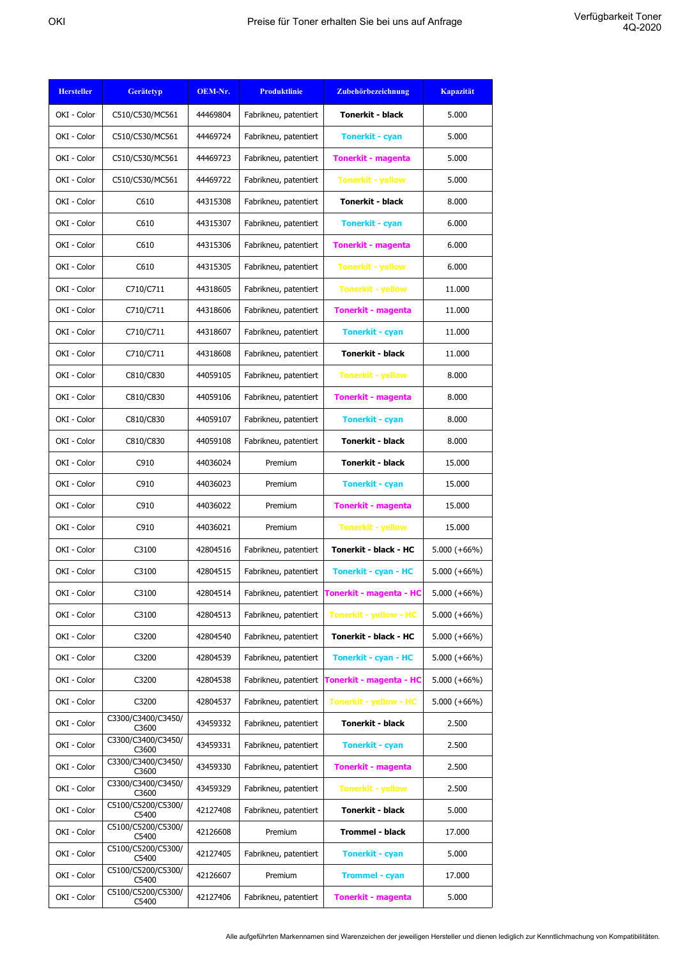| <b>Hersteller</b> | <b>Gerätetyp</b>            | OEM-Nr.  | <b>Produktlinie</b>   | Zubehörbezeichnung            | <b>Kapazität</b> |
|-------------------|-----------------------------|----------|-----------------------|-------------------------------|------------------|
| OKI - Color       | C510/C530/MC561             | 44469804 | Fabrikneu, patentiert | <b>Tonerkit - black</b>       | 5.000            |
| OKI - Color       | C510/C530/MC561             | 44469724 | Fabrikneu, patentiert | <b>Tonerkit - cyan</b>        | 5.000            |
| OKI - Color       | C510/C530/MC561             | 44469723 | Fabrikneu, patentiert | <b>Tonerkit - magenta</b>     | 5.000            |
| OKI - Color       | C510/C530/MC561             | 44469722 | Fabrikneu, patentiert | <b>Tonerkit - yellow</b>      | 5.000            |
| OKI - Color       | C610                        | 44315308 | Fabrikneu, patentiert | <b>Tonerkit - black</b>       | 8.000            |
| OKI - Color       | C610                        | 44315307 | Fabrikneu, patentiert | <b>Tonerkit - cyan</b>        | 6.000            |
| OKI - Color       | C610                        | 44315306 | Fabrikneu, patentiert | <b>Tonerkit - magenta</b>     | 6.000            |
| OKI - Color       | C610                        | 44315305 | Fabrikneu, patentiert | <b>Tonerkit - yellow</b>      | 6.000            |
| OKI - Color       | C710/C711                   | 44318605 | Fabrikneu, patentiert | <b>Tonerkit - yellow</b>      | 11.000           |
| OKI - Color       | C710/C711                   | 44318606 | Fabrikneu, patentiert | <b>Tonerkit - magenta</b>     | 11.000           |
| OKI - Color       | C710/C711                   | 44318607 | Fabrikneu, patentiert | <b>Tonerkit - cyan</b>        | 11.000           |
| OKI - Color       | C710/C711                   | 44318608 | Fabrikneu, patentiert | <b>Tonerkit - black</b>       | 11.000           |
| OKI - Color       | C810/C830                   | 44059105 | Fabrikneu, patentiert | <b>Tonerkit - yellow</b>      | 8.000            |
| OKI - Color       | C810/C830                   | 44059106 | Fabrikneu, patentiert | <b>Tonerkit - magenta</b>     | 8.000            |
| OKI - Color       | C810/C830                   | 44059107 | Fabrikneu, patentiert | <b>Tonerkit - cyan</b>        | 8.000            |
| OKI - Color       | C810/C830                   | 44059108 | Fabrikneu, patentiert | <b>Tonerkit - black</b>       | 8.000            |
| OKI - Color       | C910                        | 44036024 | Premium               | <b>Tonerkit - black</b>       | 15.000           |
| OKI - Color       | C910                        | 44036023 | Premium               | <b>Tonerkit - cyan</b>        | 15.000           |
| OKI - Color       | C910                        | 44036022 | Premium               | <b>Tonerkit - magenta</b>     | 15.000           |
| OKI - Color       | C910                        | 44036021 | Premium               | <b>Tonerkit - yellow</b>      | 15.000           |
| OKI - Color       | C3100                       | 42804516 | Fabrikneu, patentiert | Tonerkit - black - HC         | $5.000 (+66%)$   |
| OKI - Color       | C3100                       | 42804515 | Fabrikneu, patentiert | <b>Tonerkit - cyan - HC</b>   | $5.000 (+66%)$   |
| OKI - Color       | C3100                       | 42804514 | Fabrikneu, patentiert | Tonerkit - magenta - HC       | $5.000 (+66%)$   |
| OKI - Color       | C3100                       | 42804513 | Fabrikneu, patentiert | <b>Tonerkit - yellow - HC</b> | $5.000 (+66%)$   |
| OKI - Color       | C3200                       | 42804540 | Fabrikneu, patentiert | Tonerkit - black - HC         | $5.000 (+66%)$   |
| OKI - Color       | C3200                       | 42804539 | Fabrikneu, patentiert | <b>Tonerkit - cyan - HC</b>   | $5.000 (+66%)$   |
| OKI - Color       | C3200                       | 42804538 | Fabrikneu, patentiert | Tonerkit - magenta - HC       | $5.000 (+66%)$   |
| OKI - Color       | C3200                       | 42804537 | Fabrikneu, patentiert | <b>Tonerkit - yellow - HC</b> | $5.000 (+66%)$   |
| OKI - Color       | C3300/C3400/C3450/<br>C3600 | 43459332 | Fabrikneu, patentiert | Tonerkit - black              | 2.500            |
| OKI - Color       | C3300/C3400/C3450/<br>C3600 | 43459331 | Fabrikneu, patentiert | <b>Tonerkit - cyan</b>        | 2.500            |
| OKI - Color       | C3300/C3400/C3450/<br>C3600 | 43459330 | Fabrikneu, patentiert | <b>Tonerkit - magenta</b>     | 2.500            |
| OKI - Color       | C3300/C3400/C3450/<br>C3600 | 43459329 | Fabrikneu, patentiert | <b>Tonerkit - yellow</b>      | 2.500            |
| OKI - Color       | C5100/C5200/C5300/<br>C5400 | 42127408 | Fabrikneu, patentiert | Tonerkit - black              | 5.000            |
| OKI - Color       | C5100/C5200/C5300/<br>C5400 | 42126608 | Premium               | Trommel - black               | 17.000           |
| OKI - Color       | C5100/C5200/C5300/<br>C5400 | 42127405 | Fabrikneu, patentiert | <b>Tonerkit - cyan</b>        | 5.000            |
| OKI - Color       | C5100/C5200/C5300/<br>C5400 | 42126607 | Premium               | <b>Trommel - cyan</b>         | 17.000           |
| OKI - Color       | C5100/C5200/C5300/<br>C5400 | 42127406 | Fabrikneu, patentiert | <b>Tonerkit - magenta</b>     | 5.000            |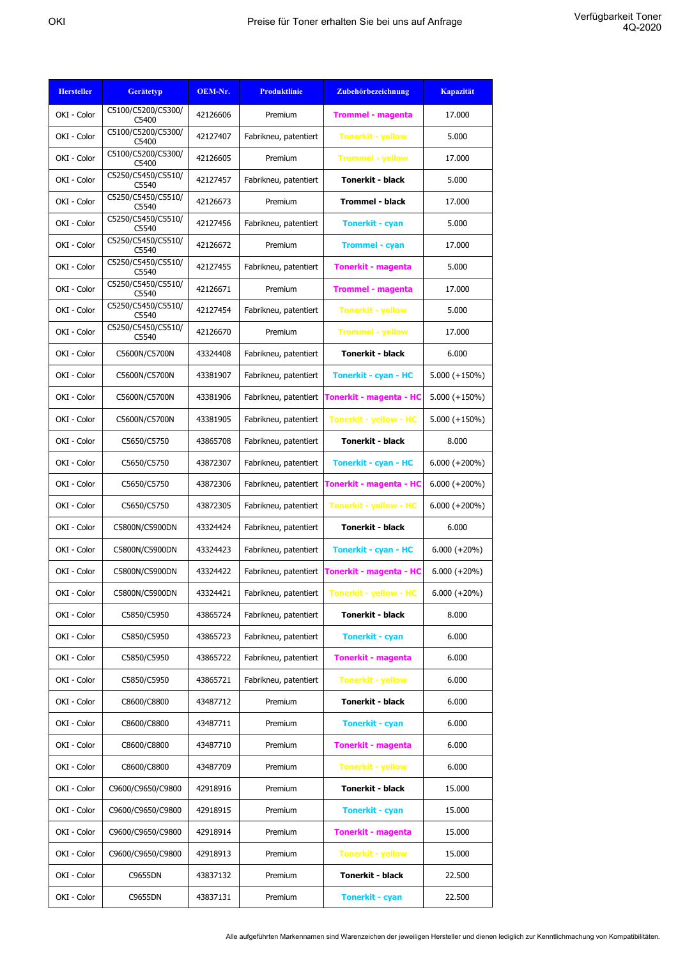| <b>Hersteller</b> | <b>Gerätetyp</b>            | OEM-Nr.  | <b>Produktlinie</b>   | Zubehörbezeichnung            | <b>Kapazität</b> |
|-------------------|-----------------------------|----------|-----------------------|-------------------------------|------------------|
| OKI - Color       | C5100/C5200/C5300/<br>C5400 | 42126606 | Premium               | <b>Trommel - magenta</b>      | 17.000           |
| OKI - Color       | C5100/C5200/C5300/<br>C5400 | 42127407 | Fabrikneu, patentiert | <b>Tonerkit - yellow</b>      | 5.000            |
| OKI - Color       | C5100/C5200/C5300/<br>C5400 | 42126605 | Premium               | <b>Trommel - yellow</b>       | 17,000           |
| OKI - Color       | C5250/C5450/C5510/<br>C5540 | 42127457 | Fabrikneu, patentiert | Tonerkit - black              | 5.000            |
| OKI - Color       | C5250/C5450/C5510/<br>C5540 | 42126673 | Premium               | <b>Trommel - black</b>        | 17.000           |
| OKI - Color       | C5250/C5450/C5510/<br>C5540 | 42127456 | Fabrikneu, patentiert | <b>Tonerkit - cyan</b>        | 5.000            |
| OKI - Color       | C5250/C5450/C5510/<br>C5540 | 42126672 | Premium               | <b>Trommel - cyan</b>         | 17.000           |
| OKI - Color       | C5250/C5450/C5510/<br>C5540 | 42127455 | Fabrikneu, patentiert | <b>Tonerkit - magenta</b>     | 5.000            |
| OKI - Color       | C5250/C5450/C5510/<br>C5540 | 42126671 | Premium               | <b>Trommel - magenta</b>      | 17.000           |
| OKI - Color       | C5250/C5450/C5510/<br>C5540 | 42127454 | Fabrikneu, patentiert | <b>Tonerkit - yellow</b>      | 5.000            |
| OKI - Color       | C5250/C5450/C5510/<br>C5540 | 42126670 | Premium               | <b>Trommel - yellow</b>       | 17.000           |
| OKI - Color       | C5600N/C5700N               | 43324408 | Fabrikneu, patentiert | <b>Tonerkit - black</b>       | 6.000            |
| OKI - Color       | C5600N/C5700N               | 43381907 | Fabrikneu, patentiert | <b>Tonerkit - cyan - HC</b>   | $5.000 (+150%)$  |
| OKI - Color       | C5600N/C5700N               | 43381906 | Fabrikneu, patentiert | Tonerkit - magenta - HC       | $5.000 (+150\%)$ |
| OKI - Color       | C5600N/C5700N               | 43381905 | Fabrikneu, patentiert | <b>Tonerkit - yellow - HC</b> | $5.000 (+150\%)$ |
| OKI - Color       | C5650/C5750                 | 43865708 | Fabrikneu, patentiert | Tonerkit - black              | 8.000            |
| OKI - Color       | C5650/C5750                 | 43872307 | Fabrikneu, patentiert | <b>Tonerkit - cyan - HC</b>   | $6.000 (+200\%)$ |
| OKI - Color       | C5650/C5750                 | 43872306 | Fabrikneu, patentiert | Tonerkit - magenta - HC       | $6.000 (+200\%)$ |
| OKI - Color       | C5650/C5750                 | 43872305 | Fabrikneu, patentiert | <b>Tonerkit - yellow - HC</b> | $6.000 (+200\%)$ |
| OKI - Color       | C5800N/C5900DN              | 43324424 | Fabrikneu, patentiert | <b>Tonerkit - black</b>       | 6.000            |
| OKI - Color       | C5800N/C5900DN              | 43324423 | Fabrikneu, patentiert | <b>Tonerkit - cyan - HC</b>   | $6.000 (+20\%)$  |
| OKI - Color       | C5800N/C5900DN              | 43324422 | Fabrikneu, patentiert | Tonerkit - magenta - HC       | $6.000 (+20\%)$  |
| OKI - Color       | C5800N/C5900DN              | 43324421 | Fabrikneu, patentiert | <b>Tonerkit - yellow - HC</b> | $6.000 (+20\%)$  |
| OKI - Color       | C5850/C5950                 | 43865724 | Fabrikneu, patentiert | Tonerkit - black              | 8.000            |
| OKI - Color       | C5850/C5950                 | 43865723 | Fabrikneu, patentiert | <b>Tonerkit - cyan</b>        | 6.000            |
| OKI - Color       | C5850/C5950                 | 43865722 | Fabrikneu, patentiert | <b>Tonerkit - magenta</b>     | 6.000            |
| OKI - Color       | C5850/C5950                 | 43865721 | Fabrikneu, patentiert | <b>Tonerkit - yellow</b>      | 6.000            |
| OKI - Color       | C8600/C8800                 | 43487712 | Premium               | <b>Tonerkit - black</b>       | 6.000            |
| OKI - Color       | C8600/C8800                 | 43487711 | Premium               | <b>Tonerkit - cyan</b>        | 6.000            |
| OKI - Color       | C8600/C8800                 | 43487710 | Premium               | <b>Tonerkit - magenta</b>     | 6.000            |
| OKI - Color       | C8600/C8800                 | 43487709 | Premium               | <b>Tonerkit - yellow</b>      | 6.000            |
| OKI - Color       | C9600/C9650/C9800           | 42918916 | Premium               | Tonerkit - black              | 15.000           |
| OKI - Color       | C9600/C9650/C9800           | 42918915 | Premium               | <b>Tonerkit - cyan</b>        | 15.000           |
| OKI - Color       | C9600/C9650/C9800           | 42918914 | Premium               | <b>Tonerkit - magenta</b>     | 15.000           |
| OKI - Color       | C9600/C9650/C9800           | 42918913 | Premium               | <b>Tonerkit - yellow</b>      | 15.000           |
| OKI - Color       | C9655DN                     | 43837132 | Premium               | <b>Tonerkit - black</b>       | 22.500           |
| OKI - Color       | C9655DN                     | 43837131 | Premium               | <b>Tonerkit - cyan</b>        | 22.500           |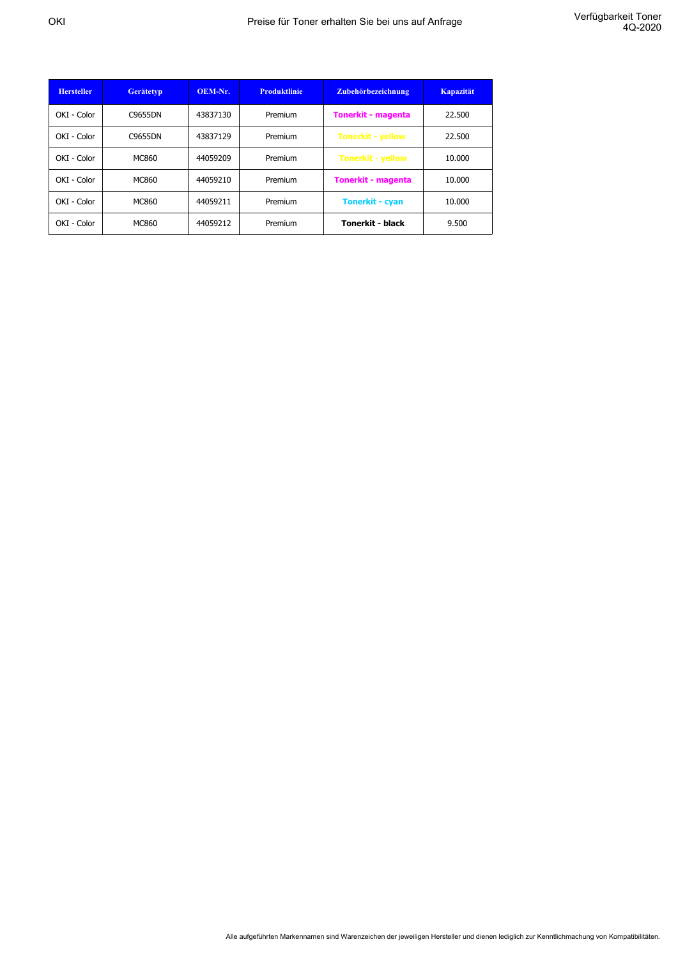| <b>Hersteller</b> | <b>Gerätetyp</b> | OEM-Nr.  | <b>Produktlinie</b> | Zubehörbezeichnung        | <b>Kapazität</b> |
|-------------------|------------------|----------|---------------------|---------------------------|------------------|
| OKI - Color       | C9655DN          | 43837130 | Premium             | <b>Tonerkit - magenta</b> | 22.500           |
| OKI - Color       | C9655DN          | 43837129 | Premium             | <b>Tonerkit - yellow</b>  | 22.500           |
| OKI - Color       | MC860            | 44059209 | Premium             | <b>Tonerkit - yellow</b>  | 10.000           |
| OKI - Color       | MC860            | 44059210 | Premium             | <b>Tonerkit - magenta</b> | 10.000           |
| OKI - Color       | MC860            | 44059211 | Premium             | <b>Tonerkit - cyan</b>    | 10.000           |
| OKI - Color       | MC860            | 44059212 | Premium             | <b>Tonerkit - black</b>   | 9.500            |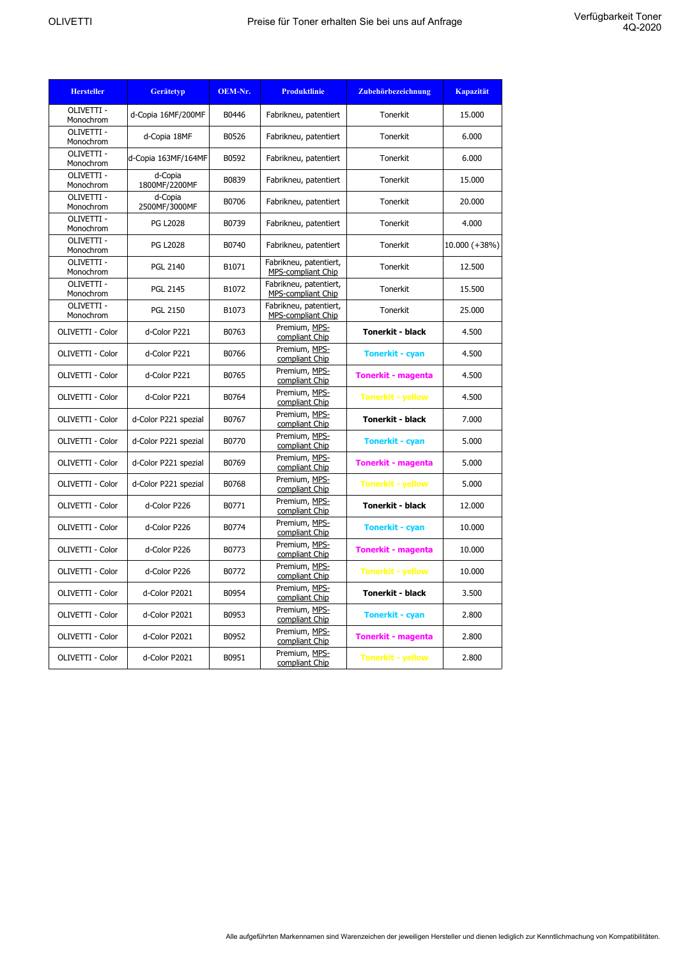| <b>Hersteller</b>       | <b>Gerätetyp</b>         | OEM-Nr. | <b>Produktlinie</b>                                 | Zubehörbezeichnung        | <b>Kapazität</b> |
|-------------------------|--------------------------|---------|-----------------------------------------------------|---------------------------|------------------|
| OLIVETTI -<br>Monochrom | d-Copia 16MF/200MF       | B0446   | Fabrikneu, patentiert                               | <b>Tonerkit</b>           | 15.000           |
| OLIVETTI -<br>Monochrom | d-Copia 18MF             | B0526   | Fabrikneu, patentiert                               | Tonerkit                  | 6.000            |
| OLIVETTI -<br>Monochrom | d-Copia 163MF/164MF      | B0592   | Fabrikneu, patentiert                               | Tonerkit                  | 6.000            |
| OLIVETTI -<br>Monochrom | d-Copia<br>1800MF/2200MF | B0839   | Fabrikneu, patentiert                               | <b>Tonerkit</b>           | 15.000           |
| OLIVETTI -<br>Monochrom | d-Copia<br>2500MF/3000MF | B0706   | Fabrikneu, patentiert                               | Tonerkit                  | 20,000           |
| OLIVETTI -<br>Monochrom | <b>PG L2028</b>          | B0739   | Fabrikneu, patentiert                               | Tonerkit                  | 4.000            |
| OLIVETTI -<br>Monochrom | <b>PG L2028</b>          | B0740   | Fabrikneu, patentiert                               | Tonerkit                  | $10.000 (+38%)$  |
| OLIVETTI -<br>Monochrom | <b>PGL 2140</b>          | B1071   | Fabrikneu, patentiert,<br>MPS-compliant Chip        | Tonerkit                  | 12.500           |
| OLIVETTI -<br>Monochrom | <b>PGL 2145</b>          | B1072   | Fabrikneu, patentiert,<br><b>MPS-compliant Chip</b> | Tonerkit                  | 15.500           |
| OLIVETTI -<br>Monochrom | <b>PGL 2150</b>          | B1073   | Fabrikneu, patentiert,<br>MPS-compliant Chip        | Tonerkit                  | 25.000           |
| OLIVETTI - Color        | d-Color P221             | B0763   | Premium, MPS-<br>compliant Chip                     | <b>Tonerkit - black</b>   | 4.500            |
| OLIVETTI - Color        | d-Color P221             | B0766   | Premium, MPS-<br>compliant Chip                     | <b>Tonerkit - cyan</b>    | 4.500            |
| OLIVETTI - Color        | d-Color P221             | B0765   | Premium, MPS-<br>compliant Chip                     | <b>Tonerkit - magenta</b> | 4.500            |
| OLIVETTI - Color        | d-Color P221             | B0764   | Premium, MPS-<br>compliant Chip                     | <b>Tonerkit - yellow</b>  | 4.500            |
| OLIVETTI - Color        | d-Color P221 spezial     | B0767   | Premium, MPS-<br>compliant Chip                     | <b>Tonerkit - black</b>   | 7.000            |
| OLIVETTI - Color        | d-Color P221 spezial     | B0770   | Premium, MPS-<br>compliant Chip                     | <b>Tonerkit - cyan</b>    | 5.000            |
| OLIVETTI - Color        | d-Color P221 spezial     | B0769   | Premium, MPS-<br>compliant Chip                     | <b>Tonerkit - magenta</b> | 5.000            |
| OLIVETTI - Color        | d-Color P221 spezial     | B0768   | Premium, MPS-<br>compliant Chip                     | <b>Tonerkit - yellow</b>  | 5.000            |
| OLIVETTI - Color        | d-Color P226             | B0771   | Premium, MPS-<br>compliant Chip                     | <b>Tonerkit - black</b>   | 12.000           |
| OLIVETTI - Color        | d-Color P226             | B0774   | Premium, MPS-<br>compliant Chip                     | <b>Tonerkit - cyan</b>    | 10.000           |
| OLIVETTI - Color        | d-Color P226             | B0773   | Premium, MPS-<br>compliant Chip                     | <b>Tonerkit - magenta</b> | 10.000           |
| OLIVETTI - Color        | d-Color P226             | B0772   | Premium, MPS-<br>compliant Chip                     | <b>Tonerkit - yellow</b>  | 10.000           |
| OLIVETTI - Color        | d-Color P2021            | B0954   | Premium, MPS-<br>compliant Chip                     | <b>Tonerkit - black</b>   | 3.500            |
| OLIVETTI - Color        | d-Color P2021            | B0953   | Premium, MPS-<br>compliant Chip                     | <b>Tonerkit - cyan</b>    | 2.800            |
| OLIVETTI - Color        | d-Color P2021            | B0952   | Premium, MPS-<br>compliant Chip                     | <b>Tonerkit - magenta</b> | 2.800            |
| OLIVETTI - Color        | d-Color P2021            | B0951   | Premium, MPS-<br>compliant Chip                     | <b>Tonerkit - yellow</b>  | 2.800            |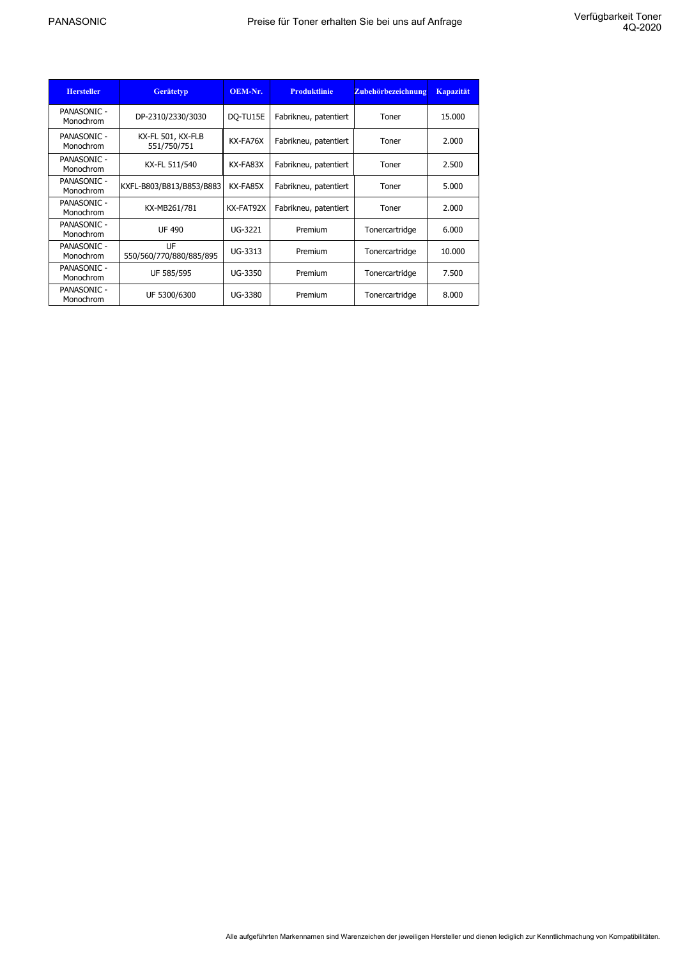| <b>Hersteller</b>               | <b>Gerätetyp</b>                 | OEM-Nr.   | <b>Produktlinie</b>   | Zubehörbezeichnung | <b>Kapazität</b> |
|---------------------------------|----------------------------------|-----------|-----------------------|--------------------|------------------|
| <b>PANASONIC -</b><br>Monochrom | DP-2310/2330/3030                | DQ-TU15E  | Fabrikneu, patentiert | Toner              | 15,000           |
| PANASONIC -<br>Monochrom        | KX-FL 501, KX-FLB<br>551/750/751 | KX-FA76X  | Fabrikneu, patentiert | Toner              | 2.000            |
| PANASONIC -<br>Monochrom        | KX-FL 511/540                    | KX-FA83X  | Fabrikneu, patentiert | Toner              | 2.500            |
| PANASONIC -<br>Monochrom        | KXFL-B803/B813/B853/B883         | KX-FA85X  | Fabrikneu, patentiert | Toner              | 5.000            |
| PANASONIC -<br>Monochrom        | KX-MB261/781                     | KX-FAT92X | Fabrikneu, patentiert | Toner              | 2.000            |
| PANASONIC -<br>Monochrom        | <b>UF 490</b>                    | UG-3221   | Premium               | Tonercartridge     | 6.000            |
| <b>PANASONIC -</b><br>Monochrom | UF<br>550/560/770/880/885/895    | UG-3313   | Premium               | Tonercartridge     | 10.000           |
| PANASONIC -<br>Monochrom        | UF 585/595                       | UG-3350   | Premium               | Tonercartridge     | 7.500            |
| PANASONIC -<br>Monochrom        | UF 5300/6300                     | UG-3380   | Premium               | Tonercartridge     | 8.000            |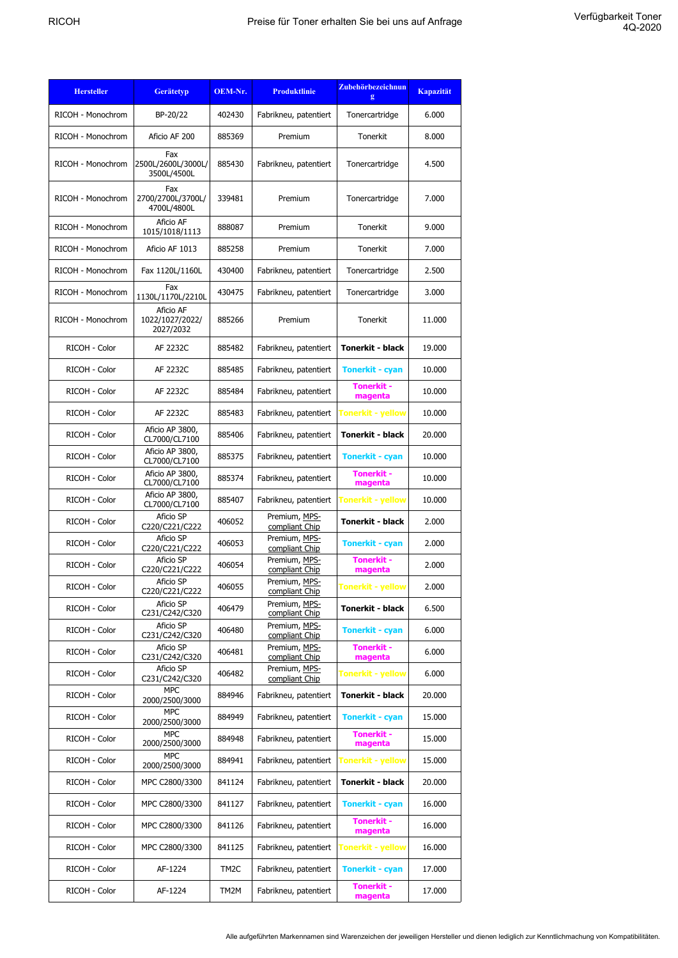| <b>Hersteller</b> | <b>Gerätetyp</b>                          | OEM-Nr.           | <b>Produktlinie</b>             | Zubehörbezeichnun<br>g       | <b>Kapazität</b> |
|-------------------|-------------------------------------------|-------------------|---------------------------------|------------------------------|------------------|
| RICOH - Monochrom | BP-20/22                                  | 402430            | Fabrikneu, patentiert           | Tonercartridge               | 6.000            |
| RICOH - Monochrom | Aficio AF 200                             | 885369            | Premium                         | Tonerkit                     | 8.000            |
| RICOH - Monochrom | Fax<br>2500L/2600L/3000L/<br>3500L/4500L  | 885430            | Fabrikneu, patentiert           | Tonercartridge               | 4.500            |
| RICOH - Monochrom | Fax<br>2700/2700L/3700L/<br>4700L/4800L   | 339481            | Premium                         | Tonercartridge               | 7.000            |
| RICOH - Monochrom | Aficio AF<br>1015/1018/1113               | 888087            | Premium                         | Tonerkit                     | 9.000            |
| RICOH - Monochrom | Aficio AF 1013                            | 885258            | Premium                         | Tonerkit                     | 7.000            |
| RICOH - Monochrom | Fax 1120L/1160L                           | 430400            | Fabrikneu, patentiert           | Tonercartridge               | 2.500            |
| RICOH - Monochrom | Fax<br>1130L/1170L/2210L                  | 430475            | Fabrikneu, patentiert           | Tonercartridge               | 3.000            |
| RICOH - Monochrom | Aficio AF<br>1022/1027/2022/<br>2027/2032 | 885266            | Premium                         | Tonerkit                     | 11.000           |
| RICOH - Color     | AF 2232C                                  | 885482            | Fabrikneu, patentiert           | <b>Tonerkit - black</b>      | 19.000           |
| RICOH - Color     | AF 2232C                                  | 885485            | Fabrikneu, patentiert           | <b>Tonerkit - cyan</b>       | 10.000           |
| RICOH - Color     | AF 2232C                                  | 885484            | Fabrikneu, patentiert           | <b>Tonerkit -</b><br>magenta | 10.000           |
| RICOH - Color     | AF 2232C                                  | 885483            | Fabrikneu, patentiert           | Tonerkit - yellow            | 10.000           |
| RICOH - Color     | Aficio AP 3800,<br>CL7000/CL7100          | 885406            | Fabrikneu, patentiert           | <b>Tonerkit - black</b>      | 20.000           |
| RICOH - Color     | Aficio AP 3800,<br>CL7000/CL7100          | 885375            | Fabrikneu, patentiert           | <b>Tonerkit - cyan</b>       | 10.000           |
| RICOH - Color     | Aficio AP 3800,<br>CL7000/CL7100          | 885374            | Fabrikneu, patentiert           | <b>Tonerkit -</b><br>magenta | 10.000           |
| RICOH - Color     | Aficio AP 3800,<br>CL7000/CL7100          | 885407            | Fabrikneu, patentiert           | Tonerkit - yellow            | 10.000           |
| RICOH - Color     | Aficio SP<br>C220/C221/C222               | 406052            | Premium, MPS-<br>compliant Chip | <b>Tonerkit - black</b>      | 2.000            |
| RICOH - Color     | Aficio SP<br>C220/C221/C222               | 406053            | Premium, MPS-<br>compliant Chip | <b>Tonerkit - cyan</b>       | 2.000            |
| RICOH - Color     | Aficio SP<br>C220/C221/C222               | 406054            | Premium, MPS-<br>compliant Chip | <b>Tonerkit -</b><br>magenta | 2.000            |
| RICOH - Color     | Aficio SP<br>C220/C221/C222               | 406055            | Premium, MPS-<br>compliant Chip | Tonerkit - yellow            | 2.000            |
| RICOH - Color     | Aficio SP<br>C231/C242/C320               | 406479            | Premium, MPS-<br>compliant Chip | Tonerkit - black             | 6.500            |
| RICOH - Color     | Aficio SP<br>C231/C242/C320               | 406480            | Premium, MPS-<br>compliant Chip | <b>Tonerkit - cyan</b>       | 6.000            |
| RICOH - Color     | Aficio SP<br>C231/C242/C320               | 406481            | Premium, MPS-<br>compliant Chip | <b>Tonerkit -</b><br>magenta | 6.000            |
| RICOH - Color     | Aficio SP<br>C231/C242/C320               | 406482            | Premium, MPS-<br>compliant Chip | <b>Tonerkit - yellow</b>     | 6.000            |
| RICOH - Color     | <b>MPC</b><br>2000/2500/3000              | 884946            | Fabrikneu, patentiert           | Tonerkit - black             | 20.000           |
| RICOH - Color     | <b>MPC</b><br>2000/2500/3000              | 884949            | Fabrikneu, patentiert           | <b>Tonerkit - cyan</b>       | 15.000           |
| RICOH - Color     | <b>MPC</b><br>2000/2500/3000              | 884948            | Fabrikneu, patentiert           | <b>Tonerkit -</b><br>magenta | 15.000           |
| RICOH - Color     | <b>MPC</b><br>2000/2500/3000              | 884941            | Fabrikneu, patentiert           | <b>Tonerkit - yellow</b>     | 15.000           |
| RICOH - Color     | MPC C2800/3300                            | 841124            | Fabrikneu, patentiert           | Tonerkit - black             | 20.000           |
| RICOH - Color     | MPC C2800/3300                            | 841127            | Fabrikneu, patentiert           | <b>Tonerkit - cyan</b>       | 16.000           |
| RICOH - Color     | MPC C2800/3300                            | 841126            | Fabrikneu, patentiert           | <b>Tonerkit -</b><br>magenta | 16.000           |
| RICOH - Color     | MPC C2800/3300                            | 841125            | Fabrikneu, patentiert           | <b>Tonerkit - yellow</b>     | 16.000           |
| RICOH - Color     | AF-1224                                   | TM <sub>2</sub> C | Fabrikneu, patentiert           | <b>Tonerkit - cyan</b>       | 17.000           |
| RICOH - Color     | AF-1224                                   | TM2M              | Fabrikneu, patentiert           | <b>Tonerkit -</b><br>magenta | 17.000           |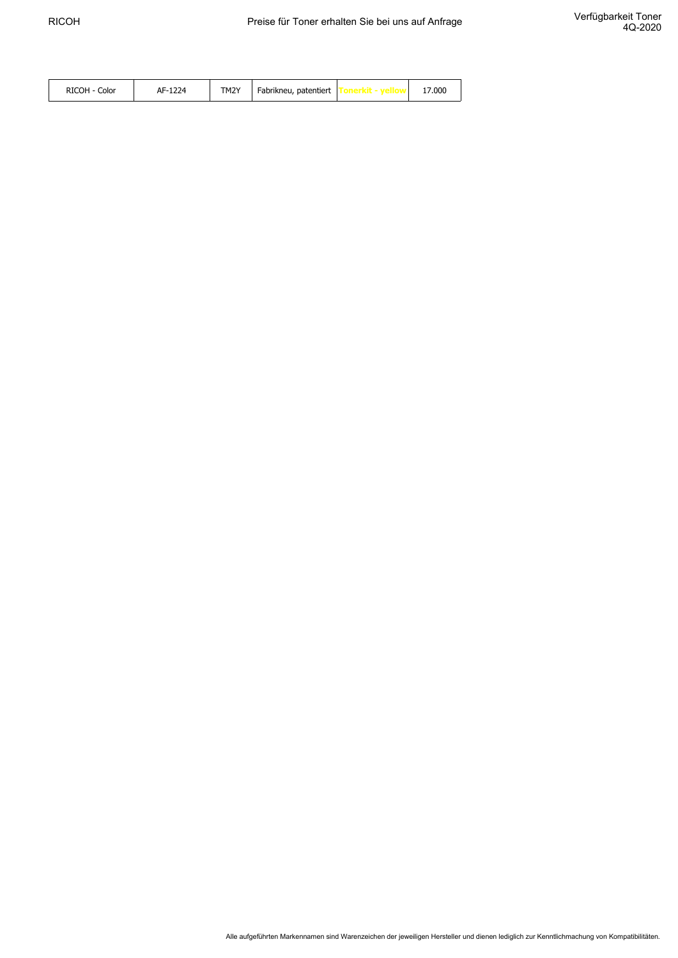| <b>RICOH</b><br>Color | 1224<br>AF-12 | TM2Y | Fabrikneu, patentiert |  | 17.000 |
|-----------------------|---------------|------|-----------------------|--|--------|
|-----------------------|---------------|------|-----------------------|--|--------|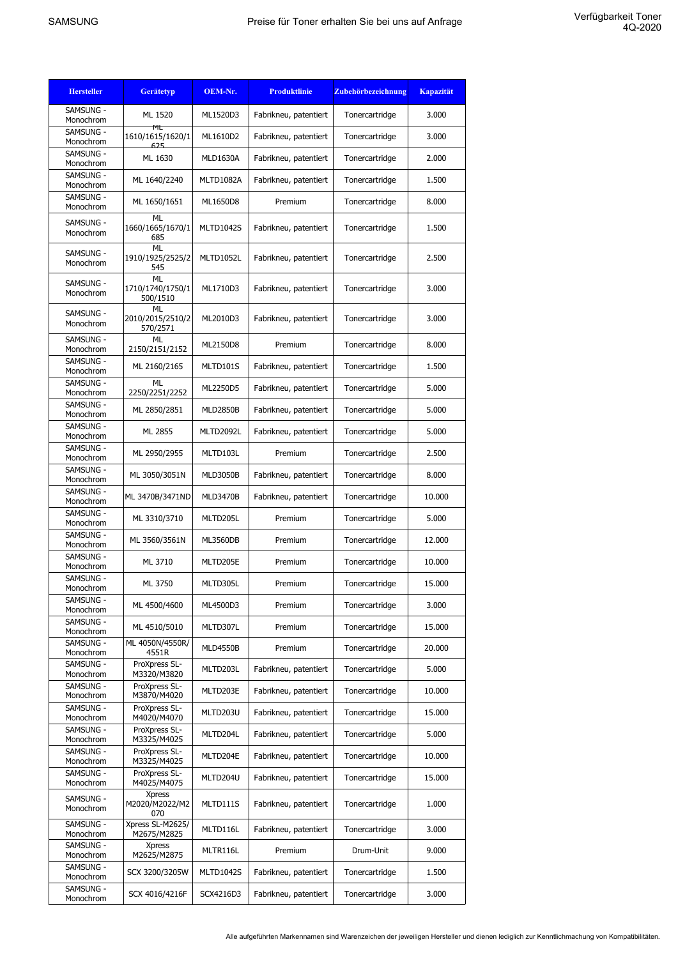| <b>Gerätetyp</b>                     | OEM-Nr.                                                                                                                                                  | <b>Produktlinie</b>   | <b>Zubehörbezeichnung</b>                      | <b>Kapazität</b>                 |
|--------------------------------------|----------------------------------------------------------------------------------------------------------------------------------------------------------|-----------------------|------------------------------------------------|----------------------------------|
| ML 1520                              | ML1520D3                                                                                                                                                 | Fabrikneu, patentiert | Tonercartridge                                 | 3.000                            |
| ML<br>1610/1615/1620/1               | ML1610D2                                                                                                                                                 | Fabrikneu, patentiert | Tonercartridge                                 | 3.000                            |
| ML 1630                              | <b>MLD1630A</b>                                                                                                                                          | Fabrikneu, patentiert | Tonercartridge                                 | 2.000                            |
| ML 1640/2240                         | <b>MLTD1082A</b>                                                                                                                                         | Fabrikneu, patentiert | Tonercartridge                                 | 1.500                            |
| ML 1650/1651                         | ML1650D8                                                                                                                                                 | Premium               | Tonercartridge                                 | 8.000                            |
| <b>ML</b><br>1660/1665/1670/1<br>685 | <b>MLTD1042S</b>                                                                                                                                         | Fabrikneu, patentiert | Tonercartridge                                 | 1.500                            |
| 1910/1925/2525/2<br>545              | MLTD1052L                                                                                                                                                | Fabrikneu, patentiert | Tonercartridge                                 | 2.500                            |
| ML<br>1710/1740/1750/1<br>500/1510   | ML1710D3                                                                                                                                                 | Fabrikneu, patentiert | Tonercartridge                                 | 3.000                            |
| ML<br>2010/2015/2510/2<br>570/2571   | ML2010D3                                                                                                                                                 | Fabrikneu, patentiert | Tonercartridge                                 | 3.000                            |
| ML<br>2150/2151/2152                 | ML2150D8                                                                                                                                                 | Premium               | Tonercartridge                                 | 8.000                            |
| ML 2160/2165                         | MLTD101S                                                                                                                                                 | Fabrikneu, patentiert | Tonercartridge                                 | 1.500                            |
| <b>ML</b><br>2250/2251/2252          | ML2250D5                                                                                                                                                 | Fabrikneu, patentiert | Tonercartridge                                 | 5.000                            |
| ML 2850/2851                         | <b>MLD2850B</b>                                                                                                                                          | Fabrikneu, patentiert | Tonercartridge                                 | 5.000                            |
| ML 2855                              | MLTD2092L                                                                                                                                                | Fabrikneu, patentiert | Tonercartridge                                 | 5.000                            |
| ML 2950/2955                         | MLTD103L                                                                                                                                                 | Premium               | Tonercartridge                                 | 2.500                            |
| ML 3050/3051N                        | <b>MLD3050B</b>                                                                                                                                          | Fabrikneu, patentiert | Tonercartridge                                 | 8.000                            |
| ML 3470B/3471ND                      | <b>MLD3470B</b>                                                                                                                                          | Fabrikneu, patentiert | Tonercartridge                                 | 10.000                           |
| ML 3310/3710                         | MLTD205L                                                                                                                                                 | Premium               | Tonercartridge                                 | 5.000                            |
| ML 3560/3561N                        | <b>ML3560DB</b>                                                                                                                                          | Premium               | Tonercartridge                                 | 12.000                           |
| ML 3710                              | MLTD205E                                                                                                                                                 | Premium               | Tonercartridge                                 | 10.000                           |
| ML 3750                              | MLTD305L                                                                                                                                                 | Premium               | Tonercartridge                                 | 15.000                           |
| ML 4500/4600                         | ML4500D3                                                                                                                                                 | Premium               | Tonercartridge                                 | 3.000                            |
| ML 4510/5010                         | MLTD307L                                                                                                                                                 | Premium               | Tonercartridge                                 | 15.000                           |
| ML 4050N/4550R/                      | <b>MLD4550B</b>                                                                                                                                          | Premium               | Tonercartridge                                 | 20.000                           |
| ProXpress SL-                        | MLTD203L                                                                                                                                                 | Fabrikneu, patentiert | Tonercartridge                                 | 5.000                            |
| ProXpress SL-                        | MLTD203E                                                                                                                                                 | Fabrikneu, patentiert | Tonercartridge                                 | 10.000                           |
| ProXpress SL-                        | MLTD203U                                                                                                                                                 | Fabrikneu, patentiert | Tonercartridge                                 | 15.000                           |
| ProXpress SL-                        | MLTD204L                                                                                                                                                 | Fabrikneu, patentiert | Tonercartridge                                 | 5.000                            |
| ProXpress SL-                        |                                                                                                                                                          |                       |                                                | 10.000                           |
| ProXpress SL-                        |                                                                                                                                                          |                       |                                                | 15.000                           |
| <b>Xpress</b><br>M2020/M2022/M2      | MLTD111S                                                                                                                                                 | Fabrikneu, patentiert | Tonercartridge                                 | 1.000                            |
| Xpress SL-M2625/                     | MLTD116L                                                                                                                                                 | Fabrikneu, patentiert | Tonercartridge                                 | 3.000                            |
| <b>Xpress</b>                        | MLTR116L                                                                                                                                                 | Premium               | Drum-Unit                                      | 9.000                            |
| SCX 3200/3205W                       | <b>MLTD1042S</b>                                                                                                                                         | Fabrikneu, patentiert | Tonercartridge                                 | 1.500                            |
| SCX 4016/4216F                       | SCX4216D3                                                                                                                                                | Fabrikneu, patentiert | Tonercartridge                                 | 3.000                            |
|                                      | 625<br><b>ML</b><br>4551R<br>M3320/M3820<br>M3870/M4020<br>M4020/M4070<br>M3325/M4025<br>M3325/M4025<br>M4025/M4075<br>070<br>M2675/M2825<br>M2625/M2875 | MLTD204E<br>MLTD204U  | Fabrikneu, patentiert<br>Fabrikneu, patentiert | Tonercartridge<br>Tonercartridge |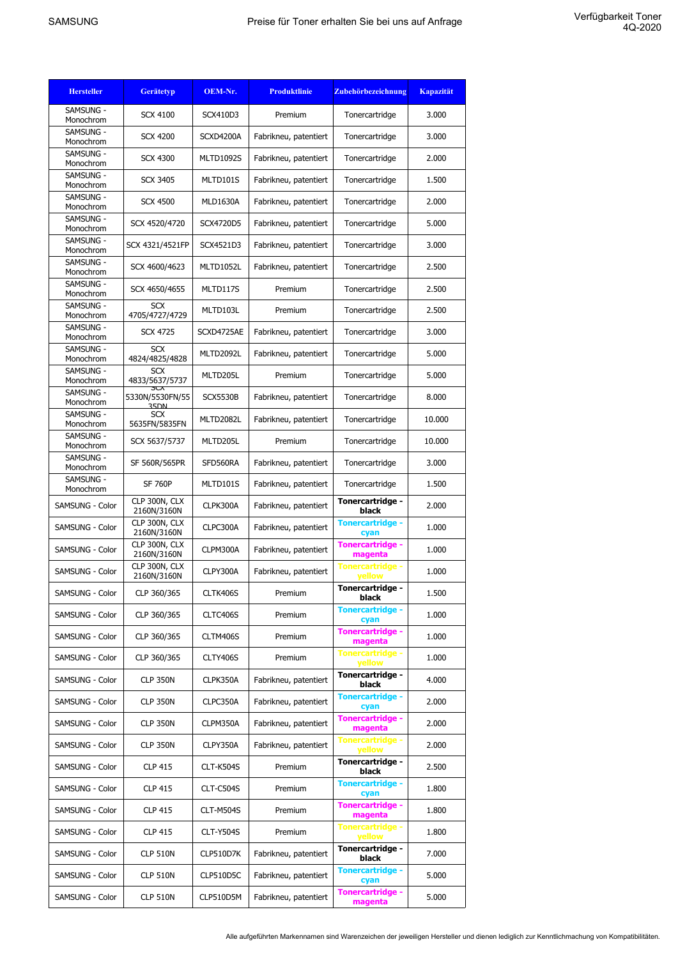| <b>Hersteller</b>      | <b>Gerätetyp</b>                         | OEM-Nr.          | <b>Produktlinie</b>   | Zubehörbezeichnung                 | <b>Kapazität</b> |
|------------------------|------------------------------------------|------------------|-----------------------|------------------------------------|------------------|
| SAMSUNG -<br>Monochrom | <b>SCX 4100</b>                          | SCX410D3         | Premium               | Tonercartridge                     | 3.000            |
| SAMSUNG -<br>Monochrom | <b>SCX 4200</b>                          | SCXD4200A        | Fabrikneu, patentiert | Tonercartridge                     | 3.000            |
| SAMSUNG -<br>Monochrom | <b>SCX 4300</b>                          | <b>MLTD1092S</b> | Fabrikneu, patentiert | Tonercartridge                     | 2.000            |
| SAMSUNG -<br>Monochrom | <b>SCX 3405</b>                          | MLTD101S         | Fabrikneu, patentiert | Tonercartridge                     | 1.500            |
| SAMSUNG -<br>Monochrom | <b>SCX 4500</b>                          | <b>MLD1630A</b>  | Fabrikneu, patentiert | Tonercartridge                     | 2.000            |
| SAMSUNG -<br>Monochrom | SCX 4520/4720                            | SCX4720D5        | Fabrikneu, patentiert | Tonercartridge                     | 5.000            |
| SAMSUNG -<br>Monochrom | SCX 4321/4521FP                          | SCX4521D3        | Fabrikneu, patentiert | Tonercartridge                     | 3.000            |
| SAMSUNG -<br>Monochrom | SCX 4600/4623                            | MLTD1052L        | Fabrikneu, patentiert | Tonercartridge                     | 2.500            |
| SAMSUNG -<br>Monochrom | SCX 4650/4655                            | MLTD117S         | Premium               | Tonercartridge                     | 2.500            |
| SAMSUNG -<br>Monochrom | SCX<br>4705/4727/4729                    | MLTD103L         | Premium               | Tonercartridge                     | 2.500            |
| SAMSUNG -              | <b>SCX 4725</b>                          | SCXD4725AE       | Fabrikneu, patentiert | Tonercartridge                     | 3.000            |
| Monochrom<br>SAMSUNG - | <b>SCX</b>                               | MLTD2092L        | Fabrikneu, patentiert | Tonercartridge                     | 5.000            |
| Monochrom<br>SAMSUNG - | 4824/4825/4828<br><b>SCX</b>             | MLTD205L         | Premium               | Tonercartridge                     | 5.000            |
| Monochrom<br>SAMSUNG - | 4833/5637/5737<br>5CX<br>5330N/5530FN/55 | <b>SCX5530B</b>  | Fabrikneu, patentiert | Tonercartridge                     | 8.000            |
| Monochrom<br>SAMSUNG - | <b>35DN</b><br>SCX                       | MLTD2082L        | Fabrikneu, patentiert | Tonercartridge                     | 10.000           |
| Monochrom<br>SAMSUNG - | 5635FN/5835FN                            | MLTD205L         | Premium               |                                    | 10.000           |
| Monochrom<br>SAMSUNG - | SCX 5637/5737                            |                  |                       | Tonercartridge                     |                  |
| Monochrom<br>SAMSUNG - | SF 560R/565PR                            | SFD560RA         | Fabrikneu, patentiert | Tonercartridge                     | 3.000            |
| Monochrom              | <b>SF 760P</b><br>CLP 300N, CLX          | MLTD101S         | Fabrikneu, patentiert | Tonercartridge<br>Tonercartridge - | 1.500            |
| SAMSUNG - Color        | 2160N/3160N<br>CLP 300N, CLX             | CLPK300A         | Fabrikneu, patentiert | black<br><b>Tonercartridge -</b>   | 2.000            |
| SAMSUNG - Color        | 2160N/3160N<br>CLP 300N, CLX             | CLPC300A         | Fabrikneu, patentiert | cyan<br><b>Tonercartridge -</b>    | 1.000            |
| SAMSUNG - Color        | 2160N/3160N<br>CLP 300N, CLX             | CLPM300A         | Fabrikneu, patentiert | magenta<br><b>Tonercartridge -</b> | 1.000            |
| SAMSUNG - Color        | 2160N/3160N                              | CLPY300A         | Fabrikneu, patentiert | yellow<br>Tonercartridge -         | 1.000            |
| SAMSUNG - Color        | CLP 360/365                              | CLTK406S         | Premium               | black                              | 1.500            |
| <b>SAMSUNG - Color</b> | CLP 360/365                              | CLTC406S         | Premium               | <b>Tonercartridge -</b><br>cyan    | 1.000            |
| SAMSUNG - Color        | CLP 360/365                              | CLTM406S         | Premium               | <b>Tonercartridge -</b><br>magenta | 1.000            |
| SAMSUNG - Color        | CLP 360/365                              | CLTY406S         | Premium               | <b>Tonercartridge -</b><br>yellow  | 1.000            |
| SAMSUNG - Color        | <b>CLP 350N</b>                          | CLPK350A         | Fabrikneu, patentiert | Tonercartridge -<br>black          | 4.000            |
| SAMSUNG - Color        | <b>CLP 350N</b>                          | CLPC350A         | Fabrikneu, patentiert | <b>Tonercartridge -</b><br>cyan    | 2.000            |
| SAMSUNG - Color        | <b>CLP 350N</b>                          | CLPM350A         | Fabrikneu, patentiert | <b>Tonercartridge -</b><br>magenta | 2.000            |
| SAMSUNG - Color        | <b>CLP 350N</b>                          | CLPY350A         | Fabrikneu, patentiert | Tonercartridge -<br>yellow         | 2.000            |
| SAMSUNG - Color        | <b>CLP 415</b>                           | <b>CLT-K504S</b> | Premium               | Tonercartridge -<br>black          | 2.500            |
| SAMSUNG - Color        | <b>CLP 415</b>                           | CLT-C504S        | Premium               | <b>Tonercartridge -</b><br>cyan    | 1.800            |
| SAMSUNG - Color        | <b>CLP 415</b>                           | CLT-M504S        | Premium               | <b>Tonercartridge -</b><br>magenta | 1.800            |
| SAMSUNG - Color        | <b>CLP 415</b>                           | <b>CLT-Y504S</b> | Premium               | <b>Tonercartridge -</b><br>yellow  | 1.800            |
| SAMSUNG - Color        | <b>CLP 510N</b>                          | CLP510D7K        | Fabrikneu, patentiert | Tonercartridge -<br>black          | 7.000            |
| SAMSUNG - Color        | <b>CLP 510N</b>                          | <b>CLP510D5C</b> | Fabrikneu, patentiert | <b>Tonercartridge -</b><br>cyan    | 5.000            |
| SAMSUNG - Color        | <b>CLP 510N</b>                          | CLP510D5M        | Fabrikneu, patentiert | Tonercartridge -<br>magenta        | 5.000            |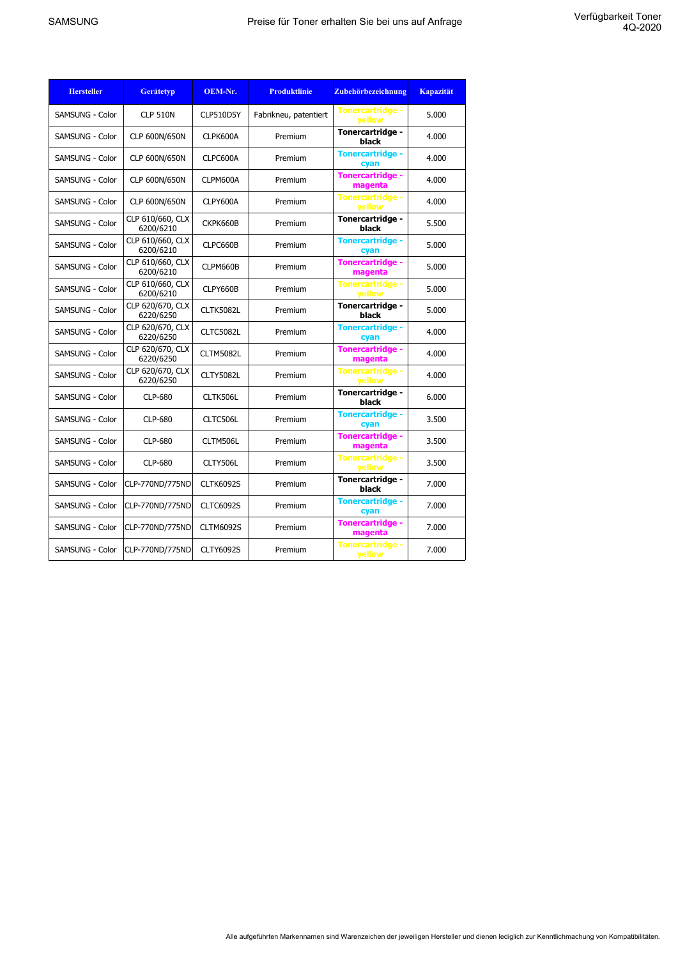| <b>Hersteller</b>      | <b>Gerätetyp</b>              | OEM-Nr.          | <b>Produktlinie</b>   | Zubehörbezeichnung                       | <b>Kapazität</b> |
|------------------------|-------------------------------|------------------|-----------------------|------------------------------------------|------------------|
| <b>SAMSUNG - Color</b> | <b>CLP 510N</b>               | CLP510D5Y        | Fabrikneu, patentiert | <b>Tonercartridge -</b><br><b>vellow</b> | 5.000            |
| SAMSUNG - Color        | CLP 600N/650N                 | CLPK600A         | Premium               | Tonercartridge -<br>black                | 4.000            |
| SAMSUNG - Color        | CLP 600N/650N                 | CLPC600A         | Premium               | <b>Tonercartridge -</b><br>cyan          | 4.000            |
| <b>SAMSUNG - Color</b> | CLP 600N/650N                 | CLPM600A         | Premium               | <b>Tonercartridge -</b><br>magenta       | 4.000            |
| <b>SAMSUNG - Color</b> | CLP 600N/650N                 | CLPY600A         | Premium               | <b>Tonercartridge -</b><br><b>vellow</b> | 4.000            |
| <b>SAMSUNG - Color</b> | CLP 610/660, CLX<br>6200/6210 | CKPK660B         | Premium               | Tonercartridge -<br>black                | 5.500            |
| SAMSUNG - Color        | CLP 610/660, CLX<br>6200/6210 | CLPC660B         | Premium               | <b>Tonercartridge -</b><br>cyan          | 5.000            |
| SAMSUNG - Color        | CLP 610/660, CLX<br>6200/6210 | CLPM660B         | Premium               | <b>Tonercartridge -</b><br>magenta       | 5.000            |
| <b>SAMSUNG - Color</b> | CLP 610/660, CLX<br>6200/6210 | CLPY660B         | Premium               | <b>Tonercartridge -</b><br>vellow        | 5.000            |
| SAMSUNG - Color        | CLP 620/670, CLX<br>6220/6250 | <b>CLTK5082L</b> | Premium               | Tonercartridge -<br>black                | 5.000            |
| SAMSUNG - Color        | CLP 620/670, CLX<br>6220/6250 | CLTC5082L        | Premium               | <b>Tonercartridge -</b><br>cyan          | 4.000            |
| SAMSUNG - Color        | CLP 620/670, CLX<br>6220/6250 | CLTM5082L        | Premium               | <b>Tonercartridge -</b><br>magenta       | 4.000            |
| SAMSUNG - Color        | CLP 620/670, CLX<br>6220/6250 | <b>CLTY5082L</b> | Premium               | <b>Tonercartridge -</b><br>yellow        | 4.000            |
| <b>SAMSUNG - Color</b> | <b>CLP-680</b>                | CLTK506L         | Premium               | Tonercartridge -<br>black                | 6.000            |
| <b>SAMSUNG - Color</b> | <b>CLP-680</b>                | CLTC506L         | Premium               | <b>Tonercartridge -</b><br>cyan          | 3.500            |
| SAMSUNG - Color        | <b>CLP-680</b>                | CLTM506L         | Premium               | <b>Tonercartridge -</b><br>magenta       | 3.500            |
| SAMSUNG - Color        | CLP-680                       | CLTY506L         | Premium               | <b>Tonercartridge -</b><br>yellow        | 3.500            |
| <b>SAMSUNG - Color</b> | CLP-770ND/775ND               | <b>CLTK6092S</b> | Premium               | Tonercartridge -<br>black                | 7.000            |
| SAMSUNG - Color        | CLP-770ND/775ND               | <b>CLTC6092S</b> | Premium               | <b>Tonercartridge -</b><br>cyan          | 7.000            |
| SAMSUNG - Color        | CLP-770ND/775ND               | <b>CLTM6092S</b> | Premium               | <b>Tonercartridge -</b><br>magenta       | 7.000            |
| SAMSUNG - Color        | CLP-770ND/775ND               | <b>CLTY6092S</b> | Premium               | <b>Tonercartridge -</b><br>yellow        | 7.000            |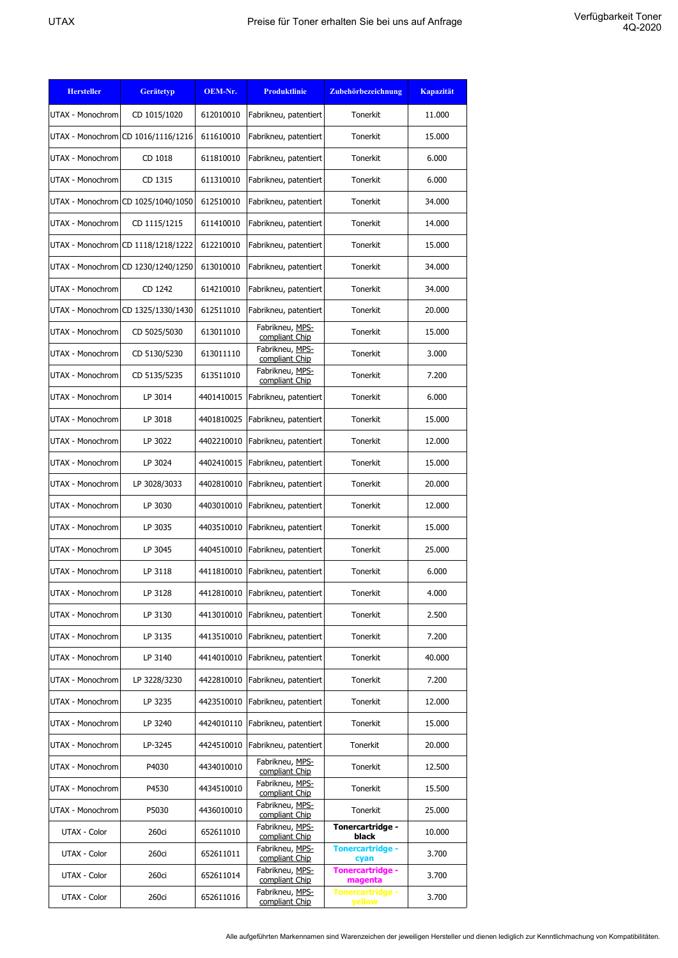| <b>Hersteller</b> | <b>Gerätetyp</b>                   | OEM-Nr.    | <b>Produktlinie</b>               | Zubehörbezeichnung                       | <b>Kapazität</b> |
|-------------------|------------------------------------|------------|-----------------------------------|------------------------------------------|------------------|
| UTAX - Monochrom  | CD 1015/1020                       | 612010010  | Fabrikneu, patentiert             | Tonerkit                                 | 11.000           |
|                   | UTAX - Monochrom CD 1016/1116/1216 | 611610010  | Fabrikneu, patentiert             | Tonerkit                                 | 15,000           |
| UTAX - Monochrom  | CD 1018                            | 611810010  | Fabrikneu, patentiert             | Tonerkit                                 | 6.000            |
| UTAX - Monochrom  | CD 1315                            | 611310010  | Fabrikneu, patentiert             | Tonerkit                                 | 6.000            |
|                   | UTAX - Monochrom CD 1025/1040/1050 | 612510010  | Fabrikneu, patentiert             | Tonerkit                                 | 34.000           |
| UTAX - Monochrom  | CD 1115/1215                       | 611410010  | Fabrikneu, patentiert             | Tonerkit                                 | 14.000           |
|                   | UTAX - Monochrom CD 1118/1218/1222 | 612210010  | Fabrikneu, patentiert             | Tonerkit                                 | 15,000           |
|                   | UTAX - Monochrom CD 1230/1240/1250 | 613010010  | Fabrikneu, patentiert             | Tonerkit                                 | 34.000           |
| UTAX - Monochrom  | CD 1242                            | 614210010  | Fabrikneu, patentiert             | Tonerkit                                 | 34.000           |
|                   | UTAX - Monochrom CD 1325/1330/1430 | 612511010  | Fabrikneu, patentiert             | Tonerkit                                 | 20.000           |
| UTAX - Monochrom  | CD 5025/5030                       | 613011010  | Fabrikneu, MPS-<br>compliant Chip | Tonerkit                                 | 15.000           |
| UTAX - Monochrom  | CD 5130/5230                       | 613011110  | Fabrikneu, MPS-<br>compliant Chip | Tonerkit                                 | 3.000            |
| UTAX - Monochrom  | CD 5135/5235                       | 613511010  | Fabrikneu, MPS-<br>compliant Chip | Tonerkit                                 | 7.200            |
| UTAX - Monochrom  | LP 3014                            | 4401410015 | Fabrikneu, patentiert             | Tonerkit                                 | 6.000            |
| UTAX - Monochrom  | LP 3018                            | 4401810025 | Fabrikneu, patentiert             | Tonerkit                                 | 15,000           |
| UTAX - Monochrom  | LP 3022                            | 4402210010 | Fabrikneu, patentiert             | Tonerkit                                 | 12.000           |
| UTAX - Monochrom  | LP 3024                            | 4402410015 | Fabrikneu, patentiert             | Tonerkit                                 | 15.000           |
| UTAX - Monochrom  | LP 3028/3033                       | 4402810010 | Fabrikneu, patentiert             | Tonerkit                                 | 20.000           |
| UTAX - Monochrom  | LP 3030                            | 4403010010 | Fabrikneu, patentiert             | Tonerkit                                 | 12.000           |
| UTAX - Monochrom  | LP 3035                            | 4403510010 | Fabrikneu, patentiert             | Tonerkit                                 | 15.000           |
| UTAX - Monochrom  | LP 3045                            | 4404510010 | Fabrikneu, patentiert             | Tonerkit                                 | 25.000           |
| UTAX - Monochrom  | LP 3118                            | 4411810010 | Fabrikneu, patentiert             | Tonerkit                                 | 6.000            |
| UTAX - Monochrom  | LP 3128                            | 4412810010 | Fabrikneu, patentiert             | Tonerkit                                 | 4.000            |
| UTAX - Monochrom  | LP 3130                            | 4413010010 | Fabrikneu, patentiert             | Tonerkit                                 | 2.500            |
| UTAX - Monochrom  | LP 3135                            | 4413510010 | Fabrikneu, patentiert             | Tonerkit                                 | 7.200            |
| UTAX - Monochrom  | LP 3140                            | 4414010010 | Fabrikneu, patentiert             | Tonerkit                                 | 40.000           |
| UTAX - Monochrom  | LP 3228/3230                       | 4422810010 | Fabrikneu, patentiert             | Tonerkit                                 | 7.200            |
| UTAX - Monochrom  | LP 3235                            | 4423510010 | Fabrikneu, patentiert             | Tonerkit                                 | 12.000           |
| UTAX - Monochrom  | LP 3240                            | 4424010110 | Fabrikneu, patentiert             | Tonerkit                                 | 15.000           |
| UTAX - Monochrom  | LP-3245                            | 4424510010 | Fabrikneu, patentiert             | Tonerkit                                 | 20.000           |
| UTAX - Monochrom  | P4030                              | 4434010010 | Fabrikneu, MPS-<br>compliant Chip | Tonerkit                                 | 12.500           |
| UTAX - Monochrom  | P4530                              | 4434510010 | Fabrikneu, MPS-<br>compliant Chip | Tonerkit                                 | 15.500           |
| UTAX - Monochrom  | P5030                              | 4436010010 | Fabrikneu, MPS-<br>compliant Chip | Tonerkit                                 | 25.000           |
| UTAX - Color      | 260ci                              | 652611010  | Fabrikneu, MPS-<br>compliant Chip | Tonercartridge -<br>black                | 10.000           |
| UTAX - Color      | 260ci                              | 652611011  | Fabrikneu, MPS-<br>compliant Chip | <b>Tonercartridge -</b><br>cyan          | 3.700            |
| UTAX - Color      | 260ci                              | 652611014  | Fabrikneu, MPS-<br>compliant Chip | Tonercartridge -<br>magenta              | 3.700            |
| UTAX - Color      | 260ci                              | 652611016  | Fabrikneu, MPS-<br>compliant Chip | <b>Tonercartridge -</b><br><b>yellow</b> | 3.700            |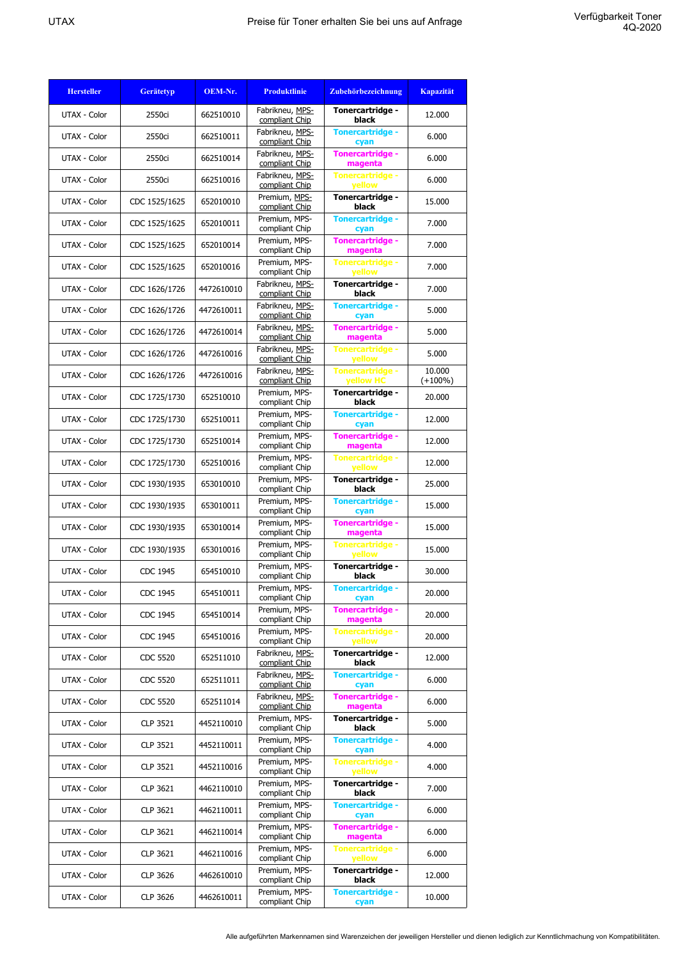| <b>Hersteller</b> | <b>Gerätetyp</b> | OEM-Nr.    | <b>Produktlinie</b>               | <b>Zubehörbezeichnung</b>          | <b>Kapazität</b>     |
|-------------------|------------------|------------|-----------------------------------|------------------------------------|----------------------|
| UTAX - Color      | 2550ci           | 662510010  | Fabrikneu, MPS-<br>compliant Chip | Tonercartridge -<br>black          | 12.000               |
| UTAX - Color      | 2550ci           | 662510011  | Fabrikneu, MPS-<br>compliant Chip | <b>Tonercartridge -</b><br>cyan    | 6.000                |
| UTAX - Color      | 2550ci           | 662510014  | Fabrikneu, MPS-<br>compliant Chip | Tonercartridge -<br>magenta        | 6.000                |
| UTAX - Color      | 2550ci           | 662510016  | Fabrikneu, MPS-<br>compliant Chip | <b>Tonercartridge -</b><br>yellow  | 6.000                |
| UTAX - Color      | CDC 1525/1625    | 652010010  | Premium, MPS-<br>compliant Chip   | Tonercartridge -<br>black          | 15.000               |
| UTAX - Color      | CDC 1525/1625    | 652010011  | Premium, MPS-<br>compliant Chip   | <b>Tonercartridge -</b><br>cyan    | 7.000                |
| UTAX - Color      | CDC 1525/1625    | 652010014  | Premium, MPS-<br>compliant Chip   | <b>Tonercartridge -</b><br>magenta | 7.000                |
| UTAX - Color      | CDC 1525/1625    | 652010016  | Premium, MPS-<br>compliant Chip   | Tonercartridge -<br>yellow         | 7.000                |
| UTAX - Color      | CDC 1626/1726    | 4472610010 | Fabrikneu, MPS-<br>compliant Chip | Tonercartridge -<br>black          | 7.000                |
| UTAX - Color      | CDC 1626/1726    | 4472610011 | Fabrikneu, MPS-<br>compliant Chip | <b>Tonercartridge -</b><br>cyan    | 5.000                |
| UTAX - Color      | CDC 1626/1726    | 4472610014 | Fabrikneu, MPS-<br>compliant Chip | Tonercartridge -<br>magenta        | 5.000                |
| UTAX - Color      | CDC 1626/1726    | 4472610016 | Fabrikneu, MPS-<br>compliant Chip | <b>Tonercartridge -</b><br>yellow  | 5.000                |
| UTAX - Color      | CDC 1626/1726    | 4472610016 | Fabrikneu, MPS-<br>compliant Chip | Tonercartridge -<br>yellow HC      | 10.000<br>$(+100\%)$ |
| UTAX - Color      | CDC 1725/1730    | 652510010  | Premium, MPS-<br>compliant Chip   | Tonercartridge -<br>black          | 20.000               |
| UTAX - Color      | CDC 1725/1730    | 652510011  | Premium, MPS-<br>compliant Chip   | <b>Tonercartridge -</b><br>cyan    | 12.000               |
| UTAX - Color      | CDC 1725/1730    | 652510014  | Premium, MPS-<br>compliant Chip   | <b>Tonercartridge -</b><br>magenta | 12.000               |
| UTAX - Color      | CDC 1725/1730    | 652510016  | Premium, MPS-<br>compliant Chip   | <b>Tonercartridge -</b><br>yellow  | 12.000               |
| UTAX - Color      | CDC 1930/1935    | 653010010  | Premium, MPS-<br>compliant Chip   | Tonercartridge -<br>black          | 25.000               |
| UTAX - Color      | CDC 1930/1935    | 653010011  | Premium, MPS-<br>compliant Chip   | <b>Tonercartridge -</b><br>cyan    | 15.000               |
| UTAX - Color      | CDC 1930/1935    | 653010014  | Premium, MPS-<br>compliant Chip   | <b>Tonercartridge -</b><br>magenta | 15.000               |
| UTAX - Color      | CDC 1930/1935    | 653010016  | Premium, MPS-<br>compliant Chip   | <b>Tonercartridge -</b><br>yellow  | 15,000               |
| UTAX - Color      | CDC 1945         | 654510010  | Premium, MPS-<br>compliant Chip   | Tonercartridge -<br>black          | 30,000               |
| UTAX - Color      | CDC 1945         | 654510011  | Premium, MPS-<br>compliant Chip   | <b>Tonercartridge -</b><br>cyan    | 20.000               |
| UTAX - Color      | CDC 1945         | 654510014  | Premium, MPS-<br>compliant Chip   | Tonercartridge -<br>magenta        | 20.000               |
| UTAX - Color      | CDC 1945         | 654510016  | Premium, MPS-<br>compliant Chip   | <b>Tonercartridge -</b><br>yellow  | 20,000               |
| UTAX - Color      | CDC 5520         | 652511010  | Fabrikneu, MPS-<br>compliant Chip | Tonercartridge -<br>black          | 12.000               |
| UTAX - Color      | CDC 5520         | 652511011  | Fabrikneu, MPS-<br>compliant Chip | <b>Tonercartridge -</b><br>cyan    | 6.000                |
| UTAX - Color      | CDC 5520         | 652511014  | Fabrikneu, MPS-<br>compliant Chip | <b>Tonercartridge -</b><br>magenta | 6.000                |
| UTAX - Color      | CLP 3521         | 4452110010 | Premium, MPS-<br>compliant Chip   | Tonercartridge -<br>black          | 5.000                |
| UTAX - Color      | CLP 3521         | 4452110011 | Premium, MPS-<br>compliant Chip   | <b>Tonercartridge -</b><br>cyan    | 4.000                |
| UTAX - Color      | CLP 3521         | 4452110016 | Premium, MPS-<br>compliant Chip   | <b>Tonercartridge -</b><br>yellow  | 4.000                |
| UTAX - Color      | CLP 3621         | 4462110010 | Premium, MPS-<br>compliant Chip   | Tonercartridge -<br>black          | 7.000                |
| UTAX - Color      | CLP 3621         | 4462110011 | Premium, MPS-<br>compliant Chip   | <b>Tonercartridge -</b><br>cyan    | 6.000                |
| UTAX - Color      | CLP 3621         | 4462110014 | Premium, MPS-<br>compliant Chip   | Tonercartridge -<br>magenta        | 6.000                |
| UTAX - Color      | CLP 3621         | 4462110016 | Premium, MPS-<br>compliant Chip   | <b>Tonercartridge -</b><br>yellow  | 6.000                |
| UTAX - Color      | CLP 3626         | 4462610010 | Premium, MPS-<br>compliant Chip   | Tonercartridge -<br>black          | 12.000               |
| UTAX - Color      | CLP 3626         | 4462610011 | Premium, MPS-<br>compliant Chip   | <b>Tonercartridge -</b><br>cyan    | 10.000               |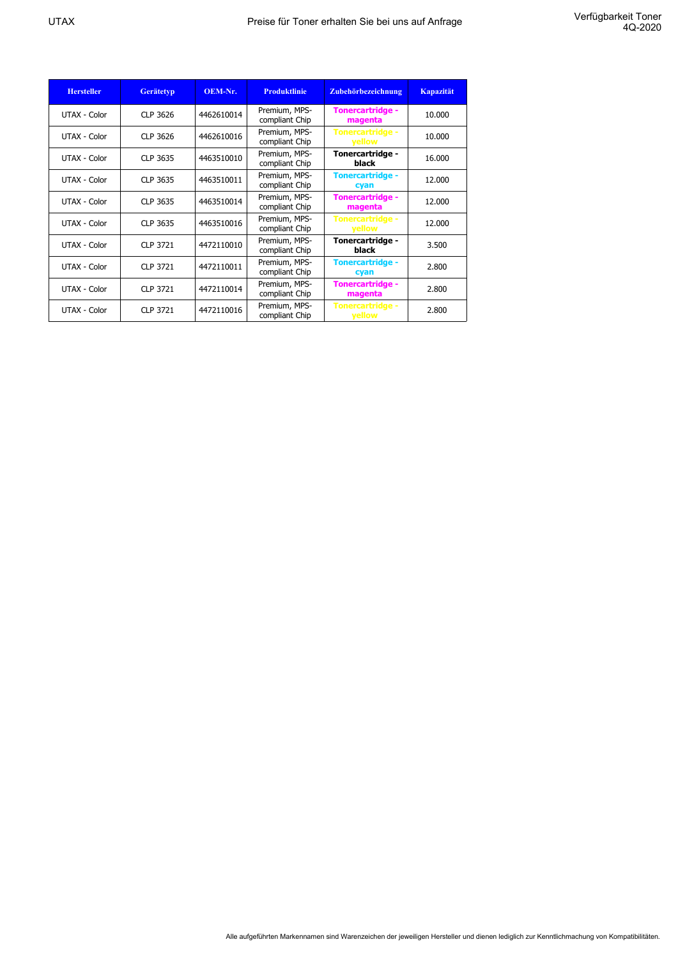| <b>Hersteller</b> | <b>Gerätetyp</b> | OEM-Nr.    | <b>Produktlinie</b>             | Zubehörbezeichnung                       | <b>Kapazität</b> |
|-------------------|------------------|------------|---------------------------------|------------------------------------------|------------------|
| UTAX - Color      | CLP 3626         | 4462610014 | Premium, MPS-<br>compliant Chip | <b>Tonercartridge -</b><br>magenta       | 10.000           |
| UTAX - Color      | CLP 3626         | 4462610016 | Premium, MPS-<br>compliant Chip | <b>Tonercartridge -</b><br>vellow        | 10.000           |
| UTAX - Color      | CLP 3635         | 4463510010 | Premium, MPS-<br>compliant Chip | Tonercartridge -<br>black                | 16.000           |
| UTAX - Color      | CLP 3635         | 4463510011 | Premium, MPS-<br>compliant Chip | <b>Tonercartridge -</b><br>cyan          | 12,000           |
| UTAX - Color      | CLP 3635         | 4463510014 | Premium, MPS-<br>compliant Chip | <b>Tonercartridge -</b><br>magenta       | 12,000           |
| UTAX - Color      | CLP 3635         | 4463510016 | Premium, MPS-<br>compliant Chip | <b>Tonercartridge -</b><br><b>yellow</b> | 12.000           |
| UTAX - Color      | CLP 3721         | 4472110010 | Premium, MPS-<br>compliant Chip | Tonercartridge -<br>black                | 3.500            |
| UTAX - Color      | CLP 3721         | 4472110011 | Premium, MPS-<br>compliant Chip | <b>Tonercartridge -</b><br>cyan          | 2.800            |
| UTAX - Color      | CLP 3721         | 4472110014 | Premium, MPS-<br>compliant Chip | <b>Tonercartridge -</b><br>magenta       | 2.800            |
| UTAX - Color      | CLP 3721         | 4472110016 | Premium, MPS-<br>compliant Chip | <b>Tonercartridge -</b><br><b>yellow</b> | 2.800            |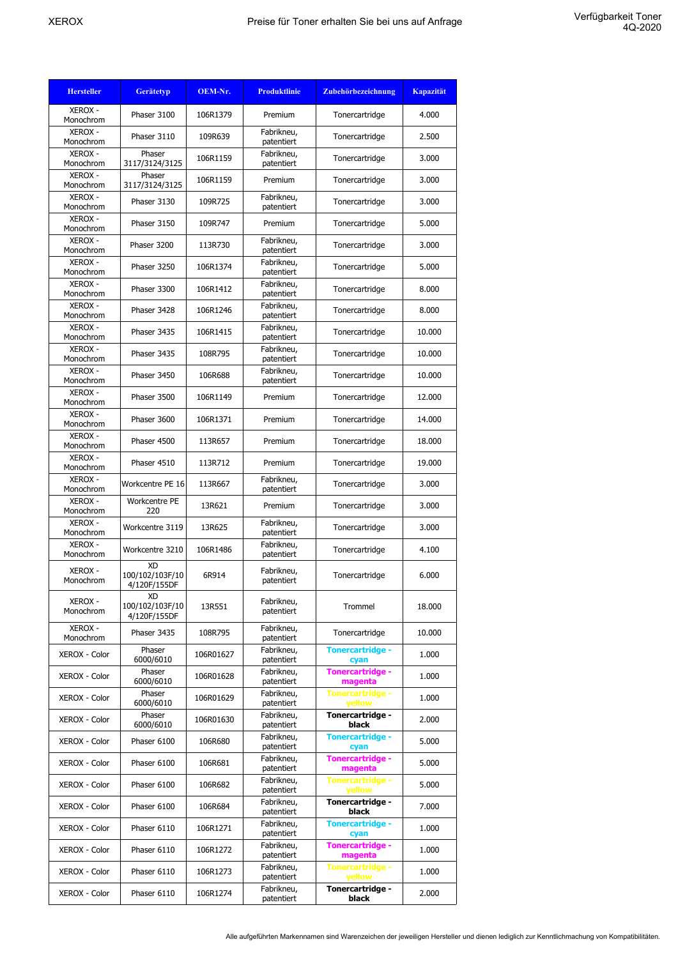| <b>Hersteller</b>           | <b>Gerätetyp</b>                             | OEM-Nr.   | <b>Produktlinie</b>      | Zubehörbezeichnung                 | <b>Kapazität</b> |
|-----------------------------|----------------------------------------------|-----------|--------------------------|------------------------------------|------------------|
| <b>XEROX -</b><br>Monochrom | Phaser 3100                                  | 106R1379  | Premium                  | Tonercartridge                     | 4.000            |
| <b>XEROX -</b><br>Monochrom | Phaser 3110                                  | 109R639   | Fabrikneu,<br>patentiert | Tonercartridge                     | 2.500            |
| <b>XEROX -</b><br>Monochrom | Phaser<br>3117/3124/3125                     | 106R1159  | Fabrikneu,<br>patentiert | Tonercartridge                     | 3.000            |
| <b>XEROX -</b><br>Monochrom | Phaser<br>3117/3124/3125                     | 106R1159  | Premium                  | Tonercartridge                     | 3.000            |
| <b>XEROX -</b><br>Monochrom | Phaser 3130                                  | 109R725   | Fabrikneu,<br>patentiert | Tonercartridge                     | 3.000            |
| <b>XEROX -</b><br>Monochrom | Phaser 3150                                  | 109R747   | Premium                  | Tonercartridge                     | 5.000            |
| <b>XEROX -</b><br>Monochrom | Phaser 3200                                  | 113R730   | Fabrikneu,<br>patentiert | Tonercartridge                     | 3.000            |
| <b>XEROX -</b><br>Monochrom | Phaser 3250                                  | 106R1374  | Fabrikneu,<br>patentiert | Tonercartridge                     | 5.000            |
| <b>XEROX -</b><br>Monochrom | Phaser 3300                                  | 106R1412  | Fabrikneu,<br>patentiert | Tonercartridge                     | 8.000            |
| <b>XEROX -</b><br>Monochrom | Phaser 3428                                  | 106R1246  | Fabrikneu,<br>patentiert | Tonercartridge                     | 8.000            |
| <b>XEROX -</b><br>Monochrom | Phaser 3435                                  | 106R1415  | Fabrikneu,<br>patentiert | Tonercartridge                     | 10.000           |
| <b>XEROX -</b><br>Monochrom | Phaser 3435                                  | 108R795   | Fabrikneu,<br>patentiert | Tonercartridge                     | 10.000           |
| <b>XEROX -</b><br>Monochrom | Phaser 3450                                  | 106R688   | Fabrikneu,<br>patentiert | Tonercartridge                     | 10.000           |
| <b>XEROX -</b><br>Monochrom | Phaser 3500                                  | 106R1149  | Premium                  | Tonercartridge                     | 12.000           |
| <b>XEROX -</b><br>Monochrom | Phaser 3600                                  | 106R1371  | Premium                  | Tonercartridge                     | 14.000           |
| <b>XEROX -</b><br>Monochrom | Phaser 4500                                  | 113R657   | Premium                  | Tonercartridge                     | 18,000           |
| <b>XEROX -</b><br>Monochrom | Phaser 4510                                  | 113R712   | Premium                  | Tonercartridge                     | 19.000           |
| <b>XEROX -</b><br>Monochrom | Workcentre PE 16                             | 113R667   | Fabrikneu,<br>patentiert | Tonercartridge                     | 3.000            |
| <b>XEROX -</b><br>Monochrom | Workcentre PE<br>220                         | 13R621    | Premium                  | Tonercartridge                     | 3.000            |
| <b>XEROX -</b><br>Monochrom | Workcentre 3119                              | 13R625    | Fabrikneu,<br>patentiert | Tonercartridge                     | 3.000            |
| <b>XEROX -</b><br>Monochrom | Workcentre 3210                              | 106R1486  | Fabrikneu,<br>patentiert | Tonercartridge                     | 4.100            |
| <b>XEROX -</b><br>Monochrom | <b>XD</b><br>100/102/103F/10<br>4/120F/155DF | 6R914     | Fabrikneu,<br>patentiert | Tonercartridge                     | 6.000            |
| <b>XEROX -</b><br>Monochrom | XD<br>100/102/103F/10<br>4/120F/155DF        | 13R551    | Fabrikneu,<br>patentiert | Trommel                            | 18.000           |
| <b>XEROX -</b><br>Monochrom | Phaser 3435                                  | 108R795   | Fabrikneu,<br>patentiert | Tonercartridge                     | 10.000           |
| XEROX - Color               | Phaser<br>6000/6010                          | 106R01627 | Fabrikneu,<br>patentiert | <b>Tonercartridge -</b><br>cyan    | 1.000            |
| XEROX - Color               | Phaser<br>6000/6010                          | 106R01628 | Fabrikneu,<br>patentiert | <b>Tonercartridge -</b><br>magenta | 1.000            |
| XEROX - Color               | Phaser<br>6000/6010                          | 106R01629 | Fabrikneu,<br>patentiert | <b>Tonercartridge -</b><br>yellow  | 1.000            |
| <b>XEROX - Color</b>        | Phaser<br>6000/6010                          | 106R01630 | Fabrikneu,<br>patentiert | Tonercartridge -<br>black          | 2.000            |
| XEROX - Color               | Phaser 6100                                  | 106R680   | Fabrikneu,<br>patentiert | <b>Tonercartridge -</b><br>cyan    | 5.000            |
| XEROX - Color               | Phaser 6100                                  | 106R681   | Fabrikneu,<br>patentiert | Tonercartridge -<br>magenta        | 5.000            |
| XEROX - Color               | Phaser 6100                                  | 106R682   | Fabrikneu,<br>patentiert | <b>Tonercartridge -</b><br>yellow  | 5.000            |
| XEROX - Color               | Phaser 6100                                  | 106R684   | Fabrikneu,<br>patentiert | Tonercartridge -<br>black          | 7.000            |
| XEROX - Color               | Phaser 6110                                  | 106R1271  | Fabrikneu,<br>patentiert | <b>Tonercartridge -</b><br>cyan    | 1.000            |
| XEROX - Color               | Phaser 6110                                  | 106R1272  | Fabrikneu,<br>patentiert | Tonercartridge -<br>magenta        | 1.000            |
| XEROX - Color               | Phaser 6110                                  | 106R1273  | Fabrikneu,<br>patentiert | Tonercartridge -<br>yellow         | 1.000            |
| XEROX - Color               | Phaser 6110                                  | 106R1274  | Fabrikneu,<br>patentiert | Tonercartridge -<br>black          | 2.000            |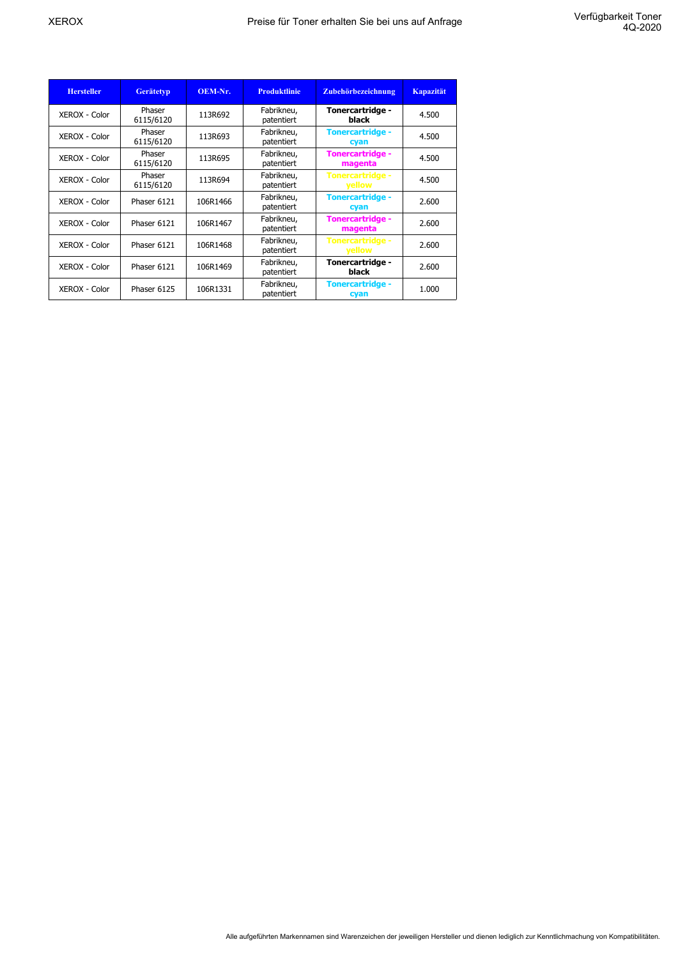| <b>Hersteller</b> | <b>Gerätetyp</b>    | OEM-Nr.  | <b>Produktlinie</b>      | Zubehörbezeichnung                       | <b>Kapazität</b> |
|-------------------|---------------------|----------|--------------------------|------------------------------------------|------------------|
| XEROX - Color     | Phaser<br>6115/6120 | 113R692  | Fabrikneu,<br>patentiert | Tonercartridge -<br>black                | 4.500            |
| XEROX - Color     | Phaser<br>6115/6120 | 113R693  | Fabrikneu,<br>patentiert | <b>Tonercartridge -</b><br>cyan          | 4.500            |
| XEROX - Color     | Phaser<br>6115/6120 | 113R695  | Fabrikneu,<br>patentiert | <b>Tonercartridge -</b><br>magenta       | 4.500            |
| XEROX - Color     | Phaser<br>6115/6120 | 113R694  | Fabrikneu,<br>patentiert | <b>Tonercartridge -</b><br>yellow        | 4.500            |
| XEROX - Color     | Phaser 6121         | 106R1466 | Fabrikneu,<br>patentiert | <b>Tonercartridge -</b><br>cyan          | 2.600            |
| XEROX - Color     | Phaser 6121         | 106R1467 | Fabrikneu,<br>patentiert | <b>Tonercartridge -</b><br>magenta       | 2.600            |
| XEROX - Color     | Phaser 6121         | 106R1468 | Fabrikneu,<br>patentiert | <b>Tonercartridge -</b><br><b>yellow</b> | 2.600            |
| XEROX - Color     | Phaser 6121         | 106R1469 | Fabrikneu,<br>patentiert | Tonercartridge -<br>black                | 2.600            |
| XEROX - Color     | Phaser 6125         | 106R1331 | Fabrikneu,<br>patentiert | <b>Tonercartridge -</b><br>cyan          | 1.000            |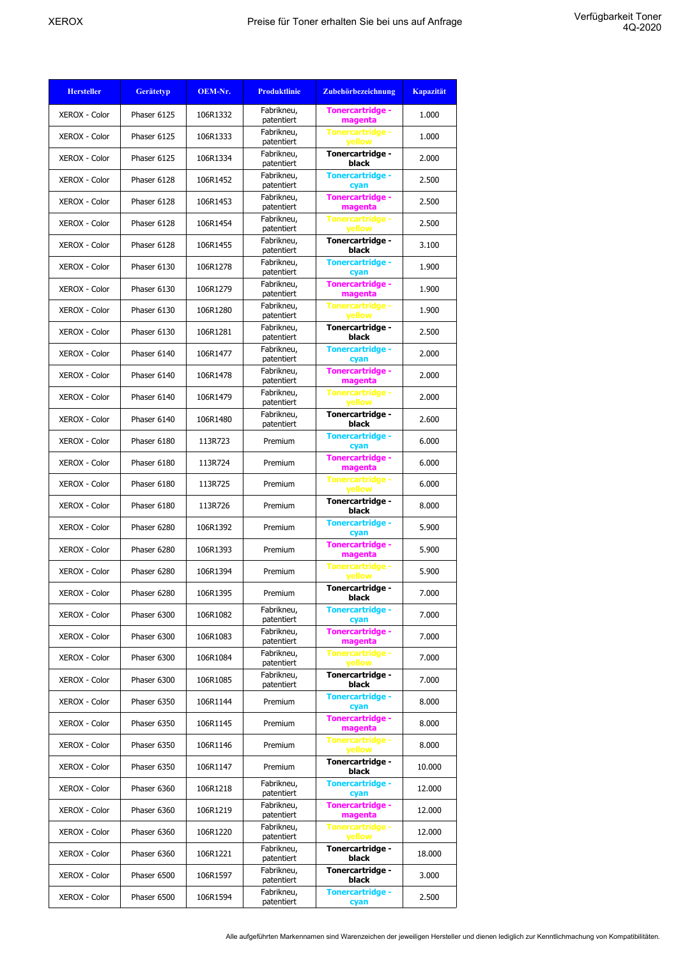| <b>Hersteller</b>    | <b>Gerätetyp</b> | OEM-Nr.  | <b>Produktlinie</b>      | Zubehörbezeichnung                       | <b>Kapazität</b> |
|----------------------|------------------|----------|--------------------------|------------------------------------------|------------------|
| XEROX - Color        | Phaser 6125      | 106R1332 | Fabrikneu,<br>patentiert | Tonercartridge -<br>magenta              | 1.000            |
| XEROX - Color        | Phaser 6125      | 106R1333 | Fabrikneu,<br>patentiert | <b>Tonercartridge -</b><br><b>yellow</b> | 1.000            |
| <b>XEROX - Color</b> | Phaser 6125      | 106R1334 | Fabrikneu,<br>patentiert | Tonercartridge -<br>black                | 2.000            |
| XEROX - Color        | Phaser 6128      | 106R1452 | Fabrikneu,<br>patentiert | <b>Tonercartridge -</b><br>cyan          | 2.500            |
| XEROX - Color        | Phaser 6128      | 106R1453 | Fabrikneu,<br>patentiert | <b>Tonercartridge -</b><br>magenta       | 2.500            |
| <b>XEROX - Color</b> | Phaser 6128      | 106R1454 | Fabrikneu,<br>patentiert | <b>Tonercartridge -</b><br>yellow        | 2.500            |
| <b>XEROX - Color</b> | Phaser 6128      | 106R1455 | Fabrikneu,<br>patentiert | Tonercartridge -<br>black                | 3.100            |
| XEROX - Color        | Phaser 6130      | 106R1278 | Fabrikneu,<br>patentiert | <b>Tonercartridge -</b><br>cyan          | 1.900            |
| <b>XEROX - Color</b> | Phaser 6130      | 106R1279 | Fabrikneu,<br>patentiert | <b>Tonercartridge -</b><br>magenta       | 1.900            |
| XEROX - Color        | Phaser 6130      | 106R1280 | Fabrikneu,<br>patentiert | <b>Tonercartridge -</b><br>yellow        | 1.900            |
| XEROX - Color        | Phaser 6130      | 106R1281 | Fabrikneu,<br>patentiert | <b>Tonercartridge -</b><br>black         | 2.500            |
| XEROX - Color        | Phaser 6140      | 106R1477 | Fabrikneu,<br>patentiert | <b>Tonercartridge -</b><br>cyan          | 2.000            |
| XEROX - Color        | Phaser 6140      | 106R1478 | Fabrikneu,<br>patentiert | <b>Tonercartridge -</b><br>magenta       | 2.000            |
| <b>XEROX - Color</b> | Phaser 6140      | 106R1479 | Fabrikneu,<br>patentiert | <b>Tonercartridge -</b><br>vellow        | 2.000            |
| XEROX - Color        | Phaser 6140      | 106R1480 | Fabrikneu,<br>patentiert | Tonercartridge -<br>black                | 2.600            |
| XEROX - Color        | Phaser 6180      | 113R723  | Premium                  | <b>Tonercartridge -</b><br>cyan          | 6.000            |
| <b>XEROX - Color</b> | Phaser 6180      | 113R724  | Premium                  | <b>Tonercartridge -</b><br>magenta       | 6.000            |
| XEROX - Color        | Phaser 6180      | 113R725  | Premium                  | <b>Tonercartridge -</b><br>yellow        | 6.000            |
| <b>XEROX - Color</b> | Phaser 6180      | 113R726  | Premium                  | Tonercartridge -<br>black                | 8.000            |
| XEROX - Color        | Phaser 6280      | 106R1392 | Premium                  | <b>Tonercartridge -</b><br>cyan          | 5.900            |
| XEROX - Color        | Phaser 6280      | 106R1393 | Premium                  | <b>Tonercartridge -</b><br>magenta       | 5.900            |
| <b>XEROX - Color</b> | Phaser 6280      | 106R1394 | Premium                  | <b>Tonercartridge -</b><br>yellow        | 5.900            |
| <b>XEROX - Color</b> | Phaser 6280      | 106R1395 | Premium                  | Tonercartridge -<br>black                | 7.000            |
| XEROX - Color        | Phaser 6300      | 106R1082 | Fabrikneu,<br>patentiert | <b>Tonercartridge -</b><br>cyan          | 7.000            |
| XEROX - Color        | Phaser 6300      | 106R1083 | Fabrikneu,<br>patentiert | <b>Tonercartridge -</b><br>magenta       | 7.000            |
| XEROX - Color        | Phaser 6300      | 106R1084 | Fabrikneu,<br>patentiert | <b>Tonercartridge -</b><br>yellow        | 7.000            |
| XEROX - Color        | Phaser 6300      | 106R1085 | Fabrikneu,<br>patentiert | Tonercartridge -<br>black                | 7.000            |
| XEROX - Color        | Phaser 6350      | 106R1144 | Premium                  | <b>Tonercartridge -</b><br>cyan          | 8.000            |
| XEROX - Color        | Phaser 6350      | 106R1145 | Premium                  | Tonercartridge -<br>magenta              | 8.000            |
| XEROX - Color        | Phaser 6350      | 106R1146 | Premium                  | <b>Tonercartridge -</b><br>yellow        | 8.000            |
| XEROX - Color        | Phaser 6350      | 106R1147 | Premium                  | Tonercartridge -<br>black                | 10.000           |
| XEROX - Color        | Phaser 6360      | 106R1218 | Fabrikneu,<br>patentiert | <b>Tonercartridge -</b><br>cyan          | 12.000           |
| <b>XEROX - Color</b> | Phaser 6360      | 106R1219 | Fabrikneu,<br>patentiert | Tonercartridge -<br>magenta              | 12.000           |
| XEROX - Color        | Phaser 6360      | 106R1220 | Fabrikneu,<br>patentiert | <b>Tonercartridge -</b><br>yellow        | 12.000           |
| XEROX - Color        | Phaser 6360      | 106R1221 | Fabrikneu,<br>patentiert | Tonercartridge -<br>black                | 18.000           |
| XEROX - Color        | Phaser 6500      | 106R1597 | Fabrikneu,<br>patentiert | Tonercartridge -<br>black                | 3.000            |
| XEROX - Color        | Phaser 6500      | 106R1594 | Fabrikneu,<br>patentiert | <b>Tonercartridge -</b><br>cyan          | 2.500            |